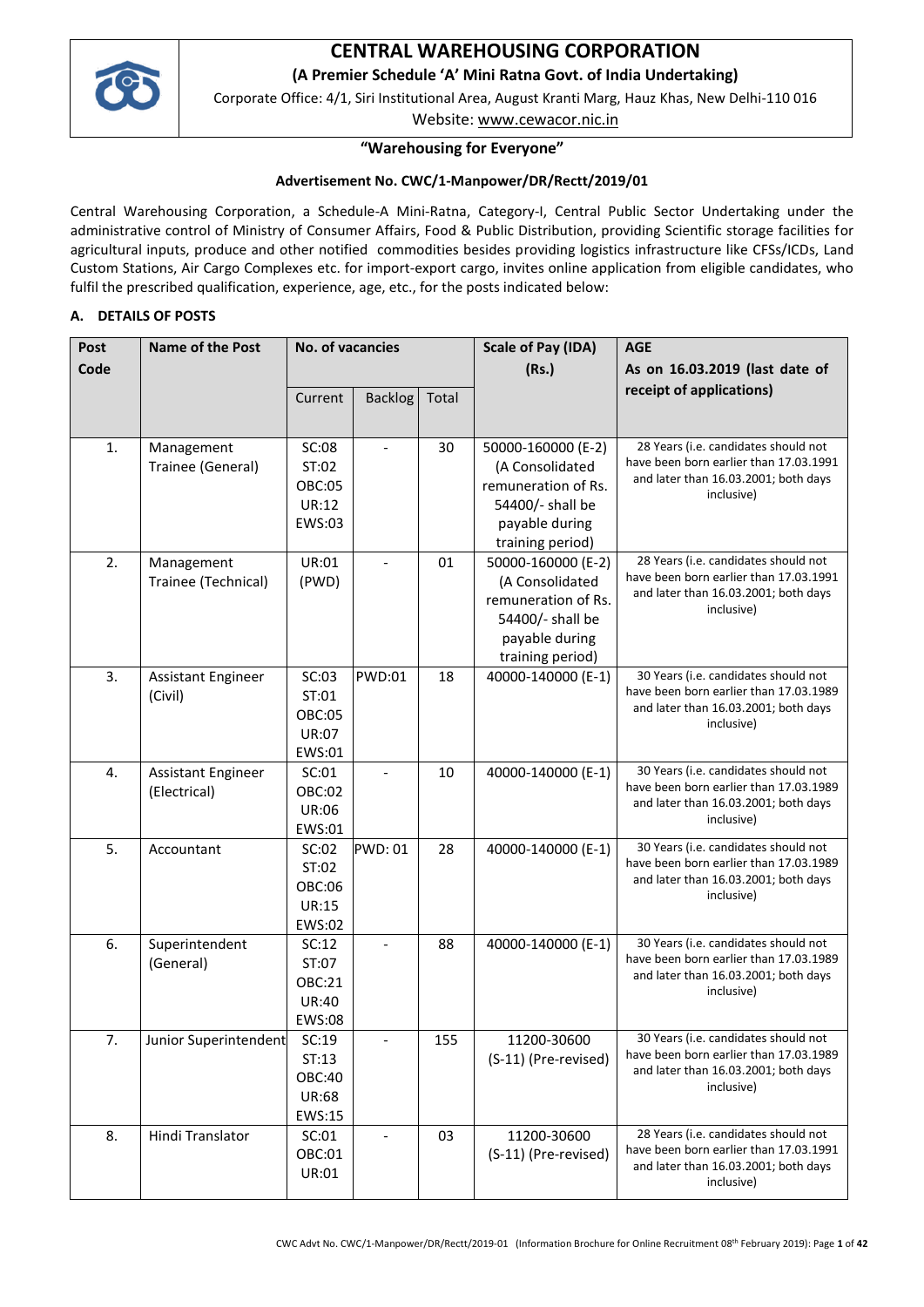

# **CENTRAL WAREHOUSING CORPORATION**

**(A Premier Schedule 'A' Mini Ratna Govt. of India Undertaking)**

Corporate Office: 4/1, Siri Institutional Area, August Kranti Marg, Hauz Khas, New Delhi-110 016

Website: [www.cewacor.nic.in](http://www.cewacor.nic.in/)

# **"Warehousing for Everyone"**

### **Advertisement No. CWC/1-Manpower/DR/Rectt/2019/01**

Central Warehousing Corporation, a Schedule-A Mini-Ratna, Category-I, Central Public Sector Undertaking under the administrative control of Ministry of Consumer Affairs, Food & Public Distribution, providing Scientific storage facilities for agricultural inputs, produce and other notified commodities besides providing logistics infrastructure like CFSs/ICDs, Land Custom Stations, Air Cargo Complexes etc. for import-export cargo, invites online application from eligible candidates, who fulfil the prescribed qualification, experience, age, etc., for the posts indicated below:

### **A. DETAILS OF POSTS**

| Post | <b>Name of the Post</b>   |               | <b>No. of vacancies</b>  |       | <b>Scale of Pay (IDA)</b> | <b>AGE</b>                                                                     |
|------|---------------------------|---------------|--------------------------|-------|---------------------------|--------------------------------------------------------------------------------|
| Code |                           |               |                          |       | (Rs.)                     | As on 16.03.2019 (last date of                                                 |
|      |                           | Current       | <b>Backlog</b>           | Total |                           | receipt of applications)                                                       |
|      |                           |               |                          |       |                           |                                                                                |
|      |                           |               |                          |       |                           |                                                                                |
| 1.   | Management                | SC:08         |                          | 30    | 50000-160000 (E-2)        | 28 Years (i.e. candidates should not<br>have been born earlier than 17.03.1991 |
|      | Trainee (General)         | ST:02         |                          |       | (A Consolidated           | and later than 16.03.2001; both days                                           |
|      |                           | <b>OBC:05</b> |                          |       | remuneration of Rs.       | inclusive)                                                                     |
|      |                           | UR:12         |                          |       | 54400/- shall be          |                                                                                |
|      |                           | EWS:03        |                          |       | payable during            |                                                                                |
|      |                           |               |                          |       | training period)          |                                                                                |
| 2.   | Management                | UR:01         |                          | 01    | 50000-160000 (E-2)        | 28 Years (i.e. candidates should not<br>have been born earlier than 17.03.1991 |
|      | Trainee (Technical)       | (PWD)         |                          |       | (A Consolidated           | and later than 16.03.2001; both days                                           |
|      |                           |               |                          |       | remuneration of Rs.       | inclusive)                                                                     |
|      |                           |               |                          |       | 54400/- shall be          |                                                                                |
|      |                           |               |                          |       | payable during            |                                                                                |
|      |                           |               |                          |       | training period)          |                                                                                |
| 3.   | Assistant Engineer        | SC:03         | <b>PWD:01</b>            | 18    | 40000-140000 (E-1)        | 30 Years (i.e. candidates should not<br>have been born earlier than 17.03.1989 |
|      | (Civil)                   | ST:01         |                          |       |                           | and later than 16.03.2001; both days                                           |
|      |                           | <b>OBC:05</b> |                          |       |                           | inclusive)                                                                     |
|      |                           | <b>UR:07</b>  |                          |       |                           |                                                                                |
|      |                           | EWS:01        |                          |       |                           |                                                                                |
| 4.   | <b>Assistant Engineer</b> | SC:01         | $\overline{\phantom{a}}$ | 10    | 40000-140000 (E-1)        | 30 Years (i.e. candidates should not<br>have been born earlier than 17.03.1989 |
|      | (Electrical)              | OBC:02        |                          |       |                           | and later than 16.03.2001; both days                                           |
|      |                           | UR:06         |                          |       |                           | inclusive)                                                                     |
|      |                           | EWS:01        |                          |       |                           |                                                                                |
| 5.   | Accountant                | SC:02         | <b>PWD: 01</b>           | 28    | 40000-140000 (E-1)        | 30 Years (i.e. candidates should not<br>have been born earlier than 17.03.1989 |
|      |                           | ST:02         |                          |       |                           | and later than 16.03.2001; both days                                           |
|      |                           | OBC:06        |                          |       |                           | inclusive)                                                                     |
|      |                           | UR:15         |                          |       |                           |                                                                                |
|      |                           | EWS:02        |                          |       |                           |                                                                                |
| 6.   | Superintendent            | SC:12         |                          | 88    | 40000-140000 (E-1)        | 30 Years (i.e. candidates should not<br>have been born earlier than 17.03.1989 |
|      | (General)                 | ST:07         |                          |       |                           | and later than 16.03.2001; both days                                           |
|      |                           | OBC:21        |                          |       |                           | inclusive)                                                                     |
|      |                           | <b>UR:40</b>  |                          |       |                           |                                                                                |
|      |                           | EWS:08        |                          |       |                           |                                                                                |
| 7.   | Junior Superintendent     | SC:19         |                          | 155   | 11200-30600               | 30 Years (i.e. candidates should not<br>have been born earlier than 17.03.1989 |
|      |                           | ST:13         |                          |       | (S-11) (Pre-revised)      | and later than 16.03.2001; both days                                           |
|      |                           | OBC:40        |                          |       |                           | inclusive)                                                                     |
|      |                           | <b>UR:68</b>  |                          |       |                           |                                                                                |
|      |                           | EWS:15        |                          |       |                           |                                                                                |
| 8.   | Hindi Translator          | SC:01         | $\overline{\phantom{a}}$ | 03    | 11200-30600               | 28 Years (i.e. candidates should not                                           |
|      |                           | OBC:01        |                          |       | (S-11) (Pre-revised)      | have been born earlier than 17.03.1991<br>and later than 16.03.2001; both days |
|      |                           | UR:01         |                          |       |                           | inclusive)                                                                     |
|      |                           |               |                          |       |                           |                                                                                |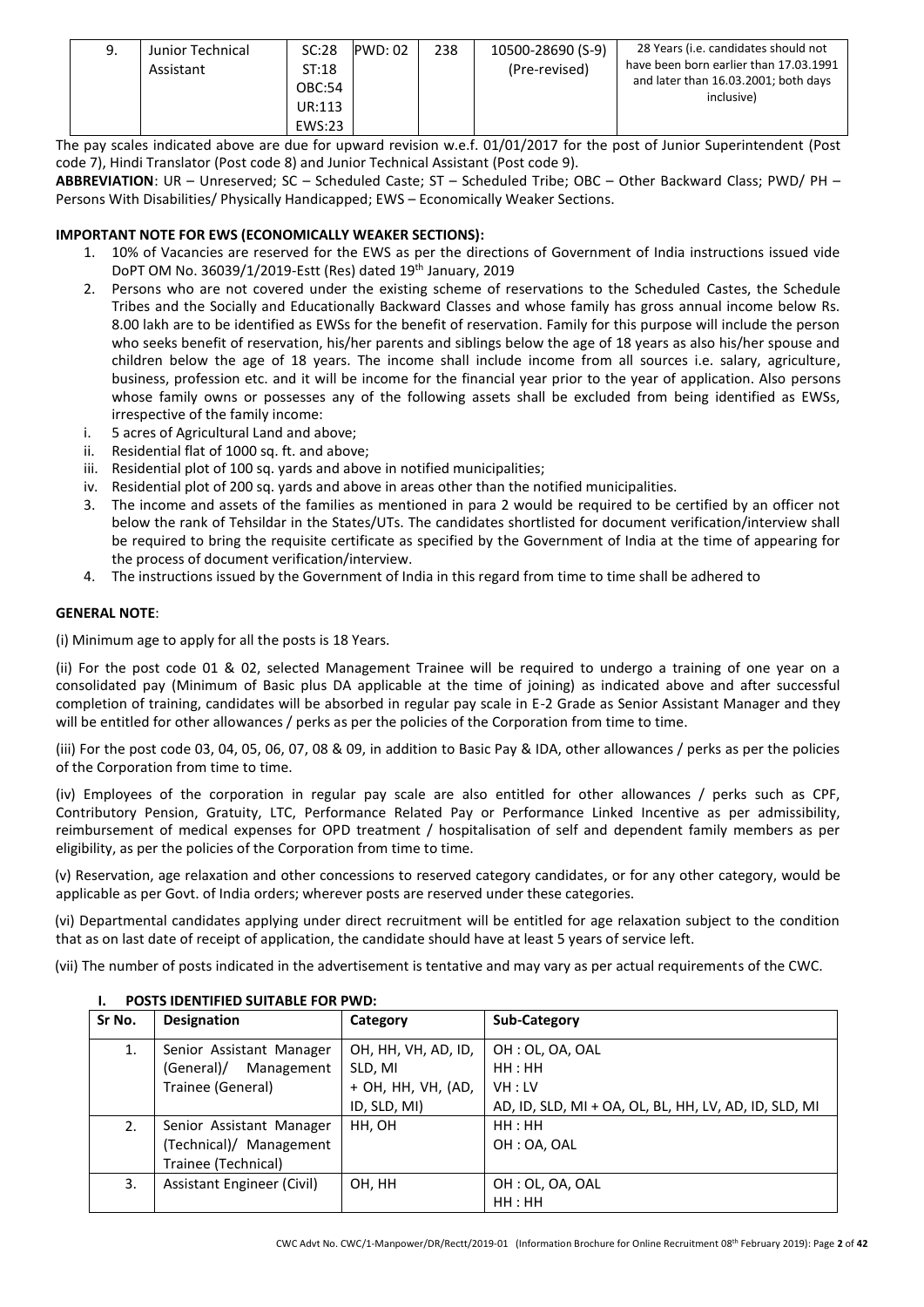| 238<br>10500-28690 (S-9)<br>SC:28<br><b>PWD: 02</b><br>Junior Technical<br>9.<br>(Pre-revised)<br>Assistant<br>ST:18<br><b>OBC:54</b><br>UR:113<br>EWS:23 | 28 Years (i.e. candidates should not<br>have been born earlier than 17.03.1991<br>and later than 16.03.2001; both days<br>inclusive) |
|-----------------------------------------------------------------------------------------------------------------------------------------------------------|--------------------------------------------------------------------------------------------------------------------------------------|
|-----------------------------------------------------------------------------------------------------------------------------------------------------------|--------------------------------------------------------------------------------------------------------------------------------------|

The pay scales indicated above are due for upward revision w.e.f. 01/01/2017 for the post of Junior Superintendent (Post code 7), Hindi Translator (Post code 8) and Junior Technical Assistant (Post code 9).

**ABBREVIATION**: UR – Unreserved; SC – Scheduled Caste; ST – Scheduled Tribe; OBC – Other Backward Class; PWD/ PH – Persons With Disabilities/ Physically Handicapped; EWS – Economically Weaker Sections.

### **IMPORTANT NOTE FOR EWS (ECONOMICALLY WEAKER SECTIONS):**

- 1. 10% of Vacancies are reserved for the EWS as per the directions of Government of India instructions issued vide DoPT OM No. 36039/1/2019-Estt (Res) dated 19th January, 2019
- 2. Persons who are not covered under the existing scheme of reservations to the Scheduled Castes, the Schedule Tribes and the Socially and Educationally Backward Classes and whose family has gross annual income below Rs. 8.00 lakh are to be identified as EWSs for the benefit of reservation. Family for this purpose will include the person who seeks benefit of reservation, his/her parents and siblings below the age of 18 years as also his/her spouse and children below the age of 18 years. The income shall include income from all sources i.e. salary, agriculture, business, profession etc. and it will be income for the financial year prior to the year of application. Also persons whose family owns or possesses any of the following assets shall be excluded from being identified as EWSs, irrespective of the family income:
- i. 5 acres of Agricultural Land and above;
- ii. Residential flat of 1000 sq. ft. and above;
- iii. Residential plot of 100 sq. yards and above in notified municipalities;
- iv. Residential plot of 200 sq. yards and above in areas other than the notified municipalities.
- 3. The income and assets of the families as mentioned in para 2 would be required to be certified by an officer not below the rank of Tehsildar in the States/UTs. The candidates shortlisted for document verification/interview shall be required to bring the requisite certificate as specified by the Government of India at the time of appearing for the process of document verification/interview.
- 4. The instructions issued by the Government of India in this regard from time to time shall be adhered to

#### **GENERAL NOTE**:

(i) Minimum age to apply for all the posts is 18 Years.

(ii) For the post code 01 & 02, selected Management Trainee will be required to undergo a training of one year on a consolidated pay (Minimum of Basic plus DA applicable at the time of joining) as indicated above and after successful completion of training, candidates will be absorbed in regular pay scale in E-2 Grade as Senior Assistant Manager and they will be entitled for other allowances / perks as per the policies of the Corporation from time to time.

(iii) For the post code 03, 04, 05, 06, 07, 08 & 09, in addition to Basic Pay & IDA, other allowances / perks as per the policies of the Corporation from time to time.

(iv) Employees of the corporation in regular pay scale are also entitled for other allowances / perks such as CPF, Contributory Pension, Gratuity, LTC, Performance Related Pay or Performance Linked Incentive as per admissibility, reimbursement of medical expenses for OPD treatment / hospitalisation of self and dependent family members as per eligibility, as per the policies of the Corporation from time to time.

(v) Reservation, age relaxation and other concessions to reserved category candidates, or for any other category, would be applicable as per Govt. of India orders; wherever posts are reserved under these categories.

(vi) Departmental candidates applying under direct recruitment will be entitled for age relaxation subject to the condition that as on last date of receipt of application, the candidate should have at least 5 years of service left.

(vii) The number of posts indicated in the advertisement is tentative and may vary as per actual requirements of the CWC.

| Sr No. | <b>Designation</b>         | Category            | Sub-Category                                          |
|--------|----------------------------|---------------------|-------------------------------------------------------|
| 1.     | Senior Assistant Manager   | OH, HH, VH, AD, ID, | OH : OL, OA, OAL                                      |
|        | (General)/<br>Management   | SLD, MI             | HH : HH                                               |
|        | Trainee (General)          | + OH, HH, VH, (AD,  | VH : LV                                               |
|        |                            | ID, SLD, MI)        | AD, ID, SLD, MI + OA, OL, BL, HH, LV, AD, ID, SLD, MI |
| 2.     | Senior Assistant Manager   | HH, OH              | HH:HH                                                 |
|        | (Technical)/ Management    |                     | OH: OA. OAL                                           |
|        | Trainee (Technical)        |                     |                                                       |
| 3.     | Assistant Engineer (Civil) | OH, HH              | OH: OL, OA, OAL                                       |
|        |                            |                     | HH:HH                                                 |

#### **I. POSTS IDENTIFIED SUITABLE FOR PWD:**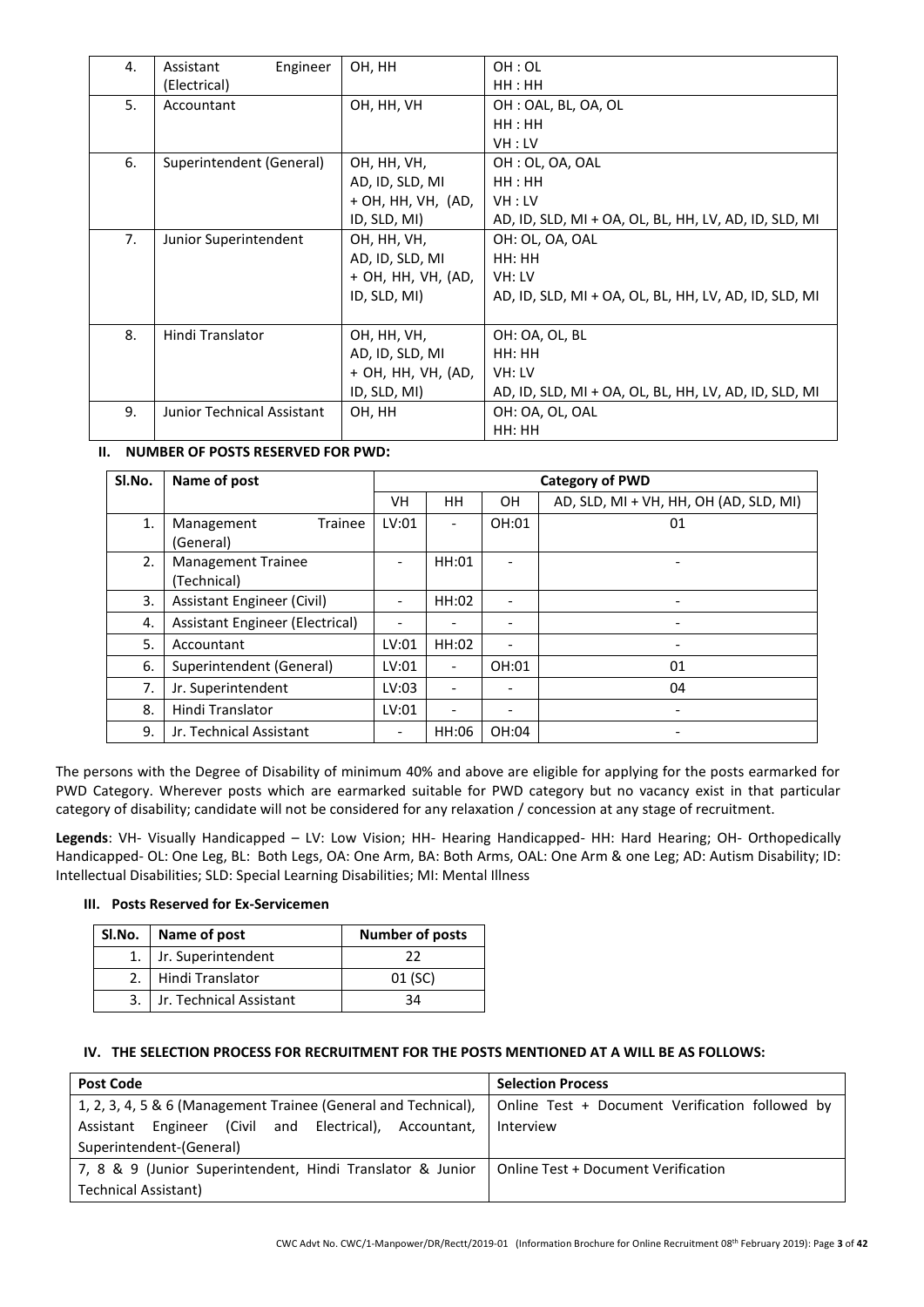| 4. | Engineer<br>Assistant      | OH, HH             | OH:OL                                                 |
|----|----------------------------|--------------------|-------------------------------------------------------|
|    | (Electrical)               |                    | HH : HH                                               |
| 5. | Accountant                 | OH, HH, VH         | OH: OAL, BL, OA, OL                                   |
|    |                            |                    | HH : HH                                               |
|    |                            |                    | VH:LV                                                 |
| 6. | Superintendent (General)   | OH, HH, VH,        | OH: OL, OA, OAL                                       |
|    |                            | AD, ID, SLD, MI    | HH : HH                                               |
|    |                            | + OH, HH, VH, (AD, | VH:LV                                                 |
|    |                            | ID, SLD, MI)       | AD, ID, SLD, MI + OA, OL, BL, HH, LV, AD, ID, SLD, MI |
| 7. | Junior Superintendent      | OH, HH, VH,        | OH: OL, OA, OAL                                       |
|    |                            | AD, ID, SLD, MI    | HH: HH                                                |
|    |                            | + OH, HH, VH, (AD, | VH: LV                                                |
|    |                            | ID, SLD, MI)       | AD, ID, SLD, MI + OA, OL, BL, HH, LV, AD, ID, SLD, MI |
|    |                            |                    |                                                       |
| 8. | Hindi Translator           | OH, HH, VH,        | OH: OA, OL, BL                                        |
|    |                            | AD, ID, SLD, MI    | HH: HH                                                |
|    |                            | + OH, HH, VH, (AD, | VH: LV                                                |
|    |                            | ID, SLD, MI)       | AD, ID, SLD, MI + OA, OL, BL, HH, LV, AD, ID, SLD, MI |
| 9. | Junior Technical Assistant | OH, HH             | OH: OA, OL, OAL                                       |
|    |                            |                    | HH: HH                                                |

## **II. NUMBER OF POSTS RESERVED FOR PWD:**

| Sl.No. | Name of post                             | <b>Category of PWD</b>   |                          |                          |                                        |
|--------|------------------------------------------|--------------------------|--------------------------|--------------------------|----------------------------------------|
|        |                                          | VH                       | HH                       | <b>OH</b>                | AD, SLD, MI + VH, HH, OH (AD, SLD, MI) |
| 1.     | Trainee<br>Management<br>(General)       | LV:01                    | $\overline{\phantom{0}}$ | OH:01                    | 01                                     |
| 2.     | <b>Management Trainee</b><br>(Technical) |                          | HH:01                    | $\overline{\phantom{0}}$ |                                        |
| 3.     | <b>Assistant Engineer (Civil)</b>        | $\overline{\phantom{a}}$ | HH:02                    | $\overline{\phantom{0}}$ |                                        |
| 4.     | Assistant Engineer (Electrical)          |                          |                          |                          |                                        |
| 5.     | Accountant                               | LV:01                    | HH:02                    | $\overline{\phantom{0}}$ |                                        |
| 6.     | Superintendent (General)                 | LV:01                    | $\overline{\phantom{0}}$ | OH:01                    | 01                                     |
| 7.     | Jr. Superintendent                       | LV:03                    | $\overline{\phantom{0}}$ | -                        | 04                                     |
| 8.     | Hindi Translator                         | LV:01                    | $\overline{\phantom{0}}$ | -                        |                                        |
| 9.     | Jr. Technical Assistant                  | $\overline{\phantom{a}}$ | HH:06                    | OH:04                    |                                        |

The persons with the Degree of Disability of minimum 40% and above are eligible for applying for the posts earmarked for PWD Category. Wherever posts which are earmarked suitable for PWD category but no vacancy exist in that particular category of disability; candidate will not be considered for any relaxation / concession at any stage of recruitment.

**Legends**: VH- Visually Handicapped – LV: Low Vision; HH- Hearing Handicapped- HH: Hard Hearing; OH- Orthopedically Handicapped- OL: One Leg, BL: Both Legs, OA: One Arm, BA: Both Arms, OAL: One Arm & one Leg; AD: Autism Disability; ID: Intellectual Disabilities; SLD: Special Learning Disabilities; MI: Mental Illness

## **III. Posts Reserved for Ex-Servicemen**

| SI.No.   Name of post |                         | <b>Number of posts</b> |  |
|-----------------------|-------------------------|------------------------|--|
| 1.                    | Jr. Superintendent      | 22                     |  |
|                       | Hindi Translator        | 01 (SC)                |  |
|                       | Jr. Technical Assistant | 34                     |  |

## **IV. THE SELECTION PROCESS FOR RECRUITMENT FOR THE POSTS MENTIONED AT A WILL BE AS FOLLOWS:**

| <b>Post Code</b>                                               | <b>Selection Process</b>                        |  |  |
|----------------------------------------------------------------|-------------------------------------------------|--|--|
| 1, 2, 3, 4, 5 & 6 (Management Trainee (General and Technical), | Online Test + Document Verification followed by |  |  |
| Assistant Engineer (Civil and Electrical), Accountant,         | Interview                                       |  |  |
| Superintendent-(General)                                       |                                                 |  |  |
| 7, 8 & 9 (Junior Superintendent, Hindi Translator & Junior     | Online Test + Document Verification             |  |  |
| Technical Assistant)                                           |                                                 |  |  |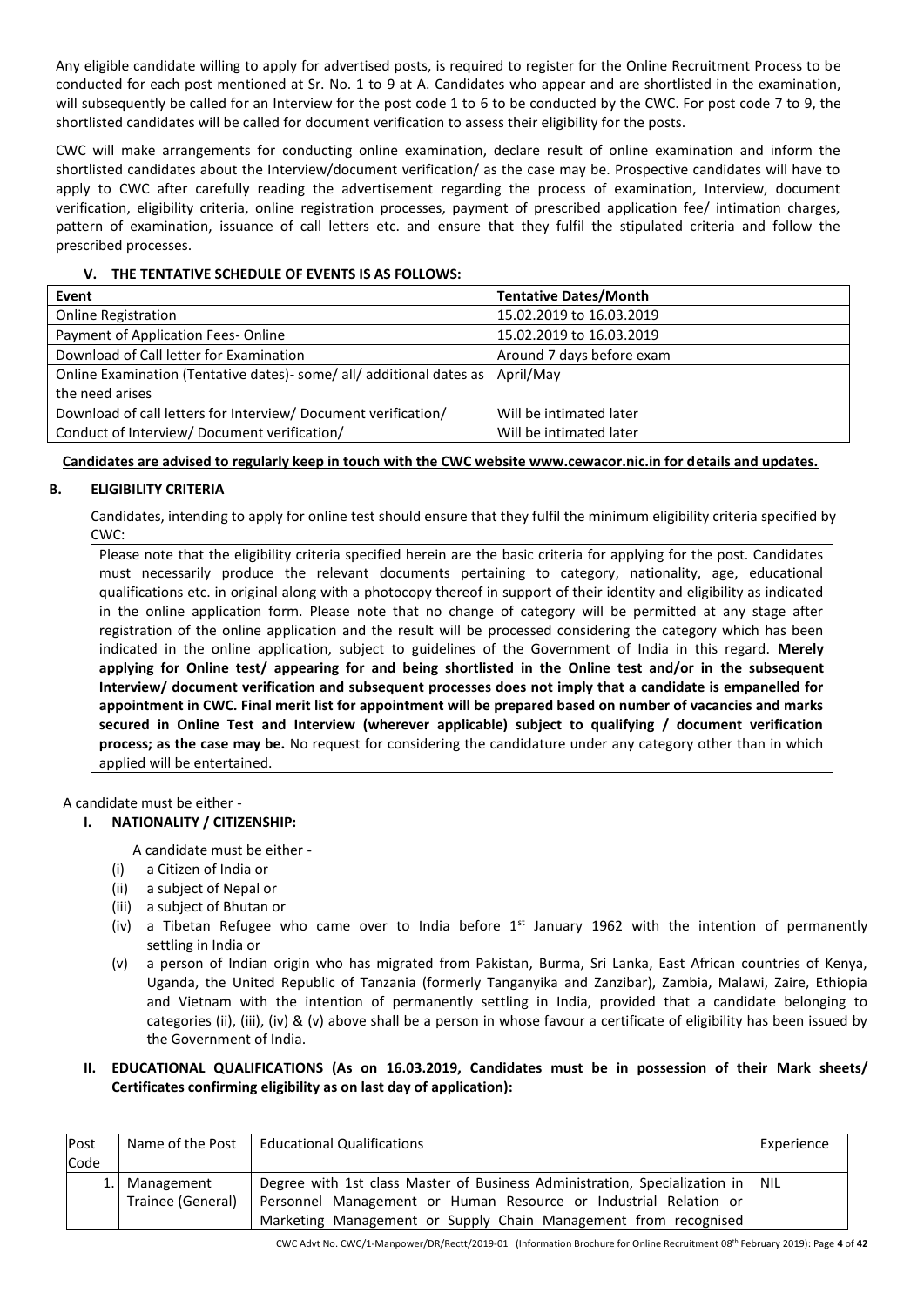Any eligible candidate willing to apply for advertised posts, is required to register for the Online Recruitment Process to be conducted for each post mentioned at Sr. No. 1 to 9 at A. Candidates who appear and are shortlisted in the examination, will subsequently be called for an Interview for the post code 1 to 6 to be conducted by the CWC. For post code 7 to 9, the shortlisted candidates will be called for document verification to assess their eligibility for the posts.

CWC will make arrangements for conducting online examination, declare result of online examination and inform the shortlisted candidates about the Interview/document verification/ as the case may be. Prospective candidates will have to apply to CWC after carefully reading the advertisement regarding the process of examination, Interview, document verification, eligibility criteria, online registration processes, payment of prescribed application fee/ intimation charges, pattern of examination, issuance of call letters etc. and ensure that they fulfil the stipulated criteria and follow the prescribed processes.

| Event                                                                 | <b>Tentative Dates/Month</b> |  |
|-----------------------------------------------------------------------|------------------------------|--|
| <b>Online Registration</b>                                            | 15.02.2019 to 16.03.2019     |  |
| Payment of Application Fees-Online                                    | 15.02.2019 to 16.03.2019     |  |
| Download of Call letter for Examination                               | Around 7 days before exam    |  |
| Online Examination (Tentative dates) - some/ all/ additional dates as | April/May                    |  |
| the need arises                                                       |                              |  |
| Download of call letters for Interview/Document verification/         | Will be intimated later      |  |
| Conduct of Interview/ Document verification/                          | Will be intimated later      |  |

### **V. THE TENTATIVE SCHEDULE OF EVENTS IS AS FOLLOWS:**

**Candidates are advised to regularly keep in touch with the CWC website www.cewacor.nic.in for details and updates.**

### **B. ELIGIBILITY CRITERIA**

Candidates, intending to apply for online test should ensure that they fulfil the minimum eligibility criteria specified by CWC:

Please note that the eligibility criteria specified herein are the basic criteria for applying for the post. Candidates must necessarily produce the relevant documents pertaining to category, nationality, age, educational qualifications etc. in original along with a photocopy thereof in support of their identity and eligibility as indicated in the online application form. Please note that no change of category will be permitted at any stage after registration of the online application and the result will be processed considering the category which has been indicated in the online application, subject to guidelines of the Government of India in this regard. **Merely applying for Online test/ appearing for and being shortlisted in the Online test and/or in the subsequent Interview/ document verification and subsequent processes does not imply that a candidate is empanelled for appointment in CWC. Final merit list for appointment will be prepared based on number of vacancies and marks secured in Online Test and Interview (wherever applicable) subject to qualifying / document verification process; as the case may be.** No request for considering the candidature under any category other than in which applied will be entertained.

A candidate must be either -

#### **I. NATIONALITY / CITIZENSHIP:**

A candidate must be either -

- (i) a Citizen of India or
- (ii) a subject of Nepal or
- (iii) a subject of Bhutan or
- (iv) a Tibetan Refugee who came over to India before  $1<sup>st</sup>$  January 1962 with the intention of permanently settling in India or
- (v) a person of Indian origin who has migrated from Pakistan, Burma, Sri Lanka, East African countries of Kenya, Uganda, the United Republic of Tanzania (formerly Tanganyika and Zanzibar), Zambia, Malawi, Zaire, Ethiopia and Vietnam with the intention of permanently settling in India, provided that a candidate belonging to categories (ii), (iii), (iv) & (v) above shall be a person in whose favour a certificate of eligibility has been issued by the Government of India.
- **II. EDUCATIONAL QUALIFICATIONS (As on 16.03.2019, Candidates must be in possession of their Mark sheets/ Certificates confirming eligibility as on last day of application):**

| Post | Name of the Post  | <b>Educational Qualifications</b>                                                | Experience |
|------|-------------------|----------------------------------------------------------------------------------|------------|
| Code |                   |                                                                                  |            |
| 1.1  | Management        | Degree with 1st class Master of Business Administration, Specialization in   NIL |            |
|      | Trainee (General) | Personnel Management or Human Resource or Industrial Relation or                 |            |
|      |                   | Marketing Management or Supply Chain Management from recognised                  |            |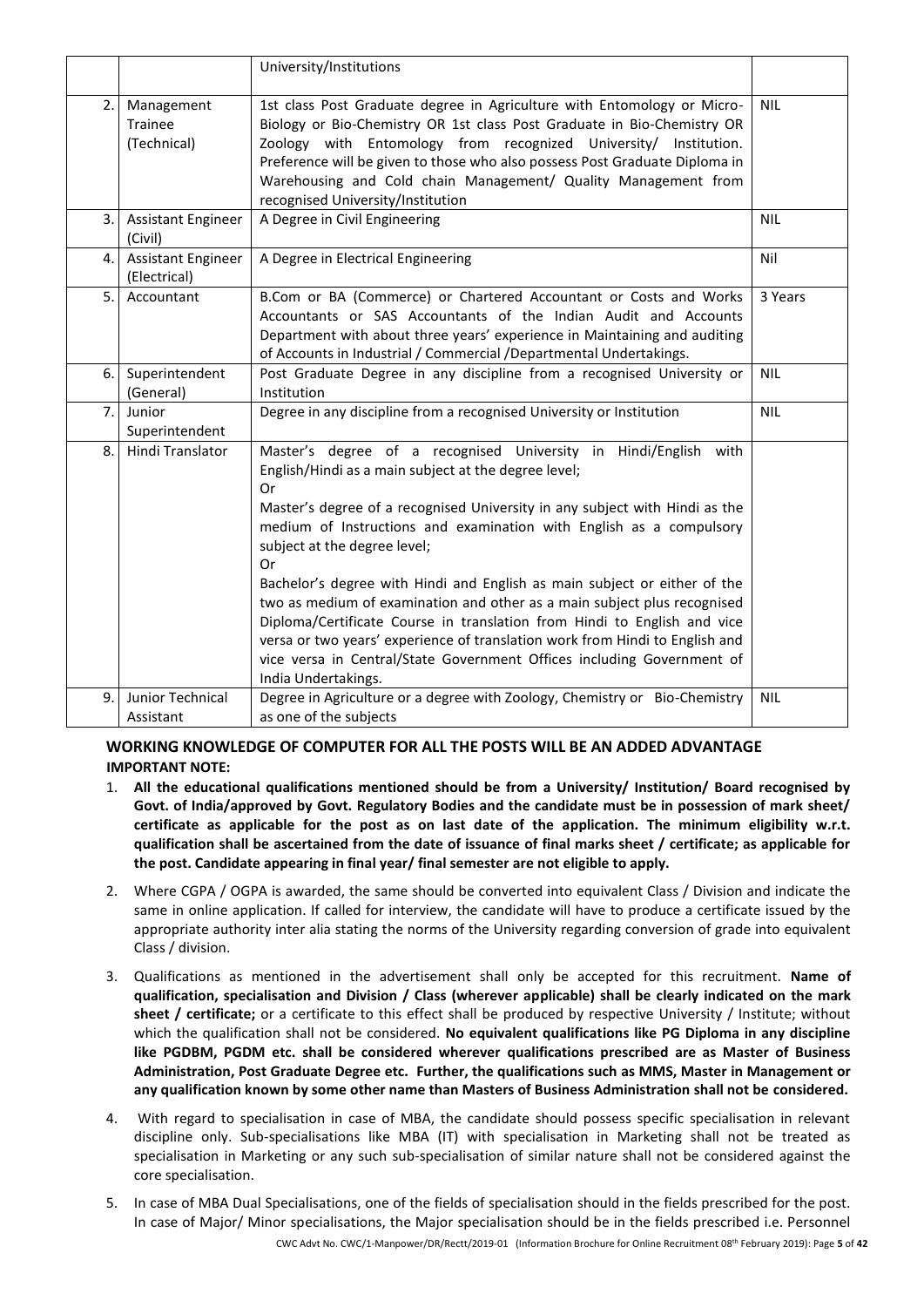|    |                                           | University/Institutions                                                                                                                                                                                                                                                                                                                                                                                                                                                                                                                                                                                                                         |            |
|----|-------------------------------------------|-------------------------------------------------------------------------------------------------------------------------------------------------------------------------------------------------------------------------------------------------------------------------------------------------------------------------------------------------------------------------------------------------------------------------------------------------------------------------------------------------------------------------------------------------------------------------------------------------------------------------------------------------|------------|
| 2. | Management<br>Trainee<br>(Technical)      | 1st class Post Graduate degree in Agriculture with Entomology or Micro-<br>Biology or Bio-Chemistry OR 1st class Post Graduate in Bio-Chemistry OR<br>Zoology with Entomology from recognized University/ Institution.<br>Preference will be given to those who also possess Post Graduate Diploma in<br>Warehousing and Cold chain Management/ Quality Management from<br>recognised University/Institution                                                                                                                                                                                                                                    | <b>NIL</b> |
| 3. | <b>Assistant Engineer</b><br>(Civil)      | A Degree in Civil Engineering                                                                                                                                                                                                                                                                                                                                                                                                                                                                                                                                                                                                                   | <b>NIL</b> |
| 4. | <b>Assistant Engineer</b><br>(Electrical) | A Degree in Electrical Engineering                                                                                                                                                                                                                                                                                                                                                                                                                                                                                                                                                                                                              | Nil        |
| 5. | Accountant                                | B.Com or BA (Commerce) or Chartered Accountant or Costs and Works<br>Accountants or SAS Accountants of the Indian Audit and Accounts<br>Department with about three years' experience in Maintaining and auditing<br>of Accounts in Industrial / Commercial / Departmental Undertakings.                                                                                                                                                                                                                                                                                                                                                        | 3 Years    |
| 6. | Superintendent<br>(General)               | Post Graduate Degree in any discipline from a recognised University or<br>Institution                                                                                                                                                                                                                                                                                                                                                                                                                                                                                                                                                           | <b>NIL</b> |
| 7. | Junior<br>Superintendent                  | Degree in any discipline from a recognised University or Institution                                                                                                                                                                                                                                                                                                                                                                                                                                                                                                                                                                            | <b>NIL</b> |
| 8. | Hindi Translator                          | Master's degree of a recognised University in Hindi/English with<br>English/Hindi as a main subject at the degree level;<br>Or<br>Master's degree of a recognised University in any subject with Hindi as the<br>medium of Instructions and examination with English as a compulsory<br>subject at the degree level;<br>Or<br>Bachelor's degree with Hindi and English as main subject or either of the<br>two as medium of examination and other as a main subject plus recognised<br>Diploma/Certificate Course in translation from Hindi to English and vice<br>versa or two years' experience of translation work from Hindi to English and |            |
|    |                                           | vice versa in Central/State Government Offices including Government of<br>India Undertakings.                                                                                                                                                                                                                                                                                                                                                                                                                                                                                                                                                   |            |
| 9. | Junior Technical<br>Assistant             | Degree in Agriculture or a degree with Zoology, Chemistry or Bio-Chemistry<br>as one of the subjects                                                                                                                                                                                                                                                                                                                                                                                                                                                                                                                                            | <b>NIL</b> |

## **WORKING KNOWLEDGE OF COMPUTER FOR ALL THE POSTS WILL BE AN ADDED ADVANTAGE IMPORTANT NOTE:**

- 1. **All the educational qualifications mentioned should be from a University/ Institution/ Board recognised by Govt. of India/approved by Govt. Regulatory Bodies and the candidate must be in possession of mark sheet/ certificate as applicable for the post as on last date of the application. The minimum eligibility w.r.t. qualification shall be ascertained from the date of issuance of final marks sheet / certificate; as applicable for the post. Candidate appearing in final year/ final semester are not eligible to apply.**
- 2. Where CGPA / OGPA is awarded, the same should be converted into equivalent Class / Division and indicate the same in online application. If called for interview, the candidate will have to produce a certificate issued by the appropriate authority inter alia stating the norms of the University regarding conversion of grade into equivalent Class / division.
- 3. Qualifications as mentioned in the advertisement shall only be accepted for this recruitment. **Name of qualification, specialisation and Division / Class (wherever applicable) shall be clearly indicated on the mark sheet / certificate;** or a certificate to this effect shall be produced by respective University / Institute; without which the qualification shall not be considered. **No equivalent qualifications like PG Diploma in any discipline like PGDBM, PGDM etc. shall be considered wherever qualifications prescribed are as Master of Business Administration, Post Graduate Degree etc. Further, the qualifications such as MMS, Master in Management or any qualification known by some other name than Masters of Business Administration shall not be considered.**
- 4. With regard to specialisation in case of MBA, the candidate should possess specific specialisation in relevant discipline only. Sub-specialisations like MBA (IT) with specialisation in Marketing shall not be treated as specialisation in Marketing or any such sub-specialisation of similar nature shall not be considered against the core specialisation.
- CWC Advt No. CWC/1-Manpower/DR/Rectt/2019-01 (Information Brochure for Online Recruitment 08 th February 2019): Page **5** of **42** 5. In case of MBA Dual Specialisations, one of the fields of specialisation should in the fields prescribed for the post. In case of Major/ Minor specialisations, the Major specialisation should be in the fields prescribed i.e. Personnel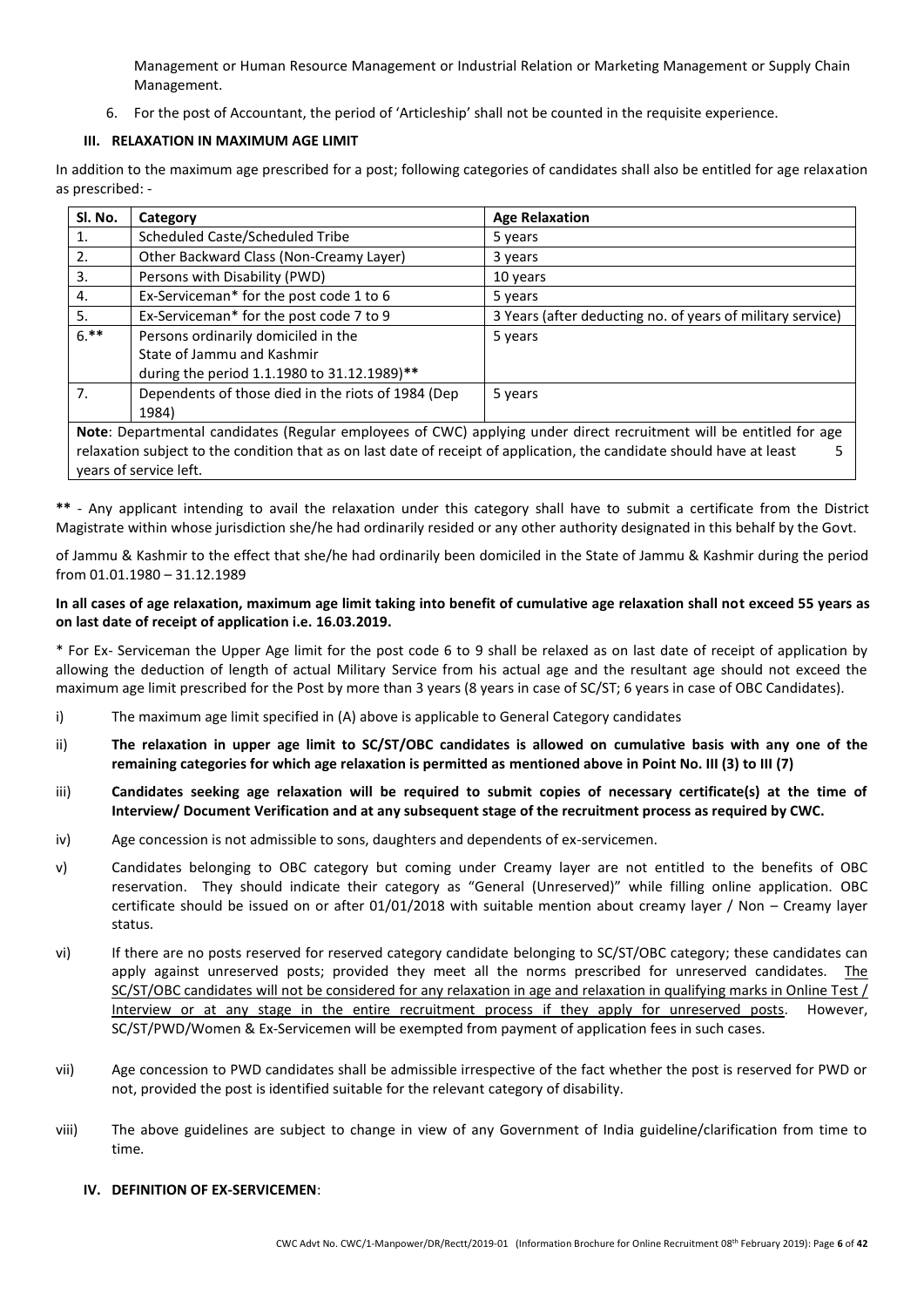Management or Human Resource Management or Industrial Relation or Marketing Management or Supply Chain Management.

6. For the post of Accountant, the period of 'Articleship' shall not be counted in the requisite experience.

### **III. RELAXATION IN MAXIMUM AGE LIMIT**

In addition to the maximum age prescribed for a post; following categories of candidates shall also be entitled for age relaxation as prescribed: -

| SI. No. | Category                                                                                                               | <b>Age Relaxation</b>                                      |  |  |  |
|---------|------------------------------------------------------------------------------------------------------------------------|------------------------------------------------------------|--|--|--|
| 1.      | Scheduled Caste/Scheduled Tribe                                                                                        | 5 years                                                    |  |  |  |
| 2.      | Other Backward Class (Non-Creamy Layer)                                                                                | 3 years                                                    |  |  |  |
| 3.      | Persons with Disability (PWD)                                                                                          | 10 years                                                   |  |  |  |
| 4.      | Ex-Serviceman* for the post code 1 to 6                                                                                | 5 years                                                    |  |  |  |
| 5.      | Ex-Serviceman* for the post code 7 to 9                                                                                | 3 Years (after deducting no. of years of military service) |  |  |  |
| $6.**$  | Persons ordinarily domiciled in the                                                                                    | 5 years                                                    |  |  |  |
|         | State of Jammu and Kashmir                                                                                             |                                                            |  |  |  |
|         | during the period 1.1.1980 to 31.12.1989)**                                                                            |                                                            |  |  |  |
| 7.      | Dependents of those died in the riots of 1984 (Dep                                                                     | 5 years                                                    |  |  |  |
|         | 1984)                                                                                                                  |                                                            |  |  |  |
|         | Note: Departmental candidates (Regular employees of CWC) applying under direct recruitment will be entitled for age    |                                                            |  |  |  |
|         | relaxation subject to the condition that as on last date of receipt of application, the candidate should have at least |                                                            |  |  |  |
|         | years of service left.                                                                                                 |                                                            |  |  |  |

**\*\*** - Any applicant intending to avail the relaxation under this category shall have to submit a certificate from the District Magistrate within whose jurisdiction she/he had ordinarily resided or any other authority designated in this behalf by the Govt.

of Jammu & Kashmir to the effect that she/he had ordinarily been domiciled in the State of Jammu & Kashmir during the period from 01.01.1980 – 31.12.1989

#### **In all cases of age relaxation, maximum age limit taking into benefit of cumulative age relaxation shall not exceed 55 years as on last date of receipt of application i.e. 16.03.2019.**

\* For Ex- Serviceman the Upper Age limit for the post code 6 to 9 shall be relaxed as on last date of receipt of application by allowing the deduction of length of actual Military Service from his actual age and the resultant age should not exceed the maximum age limit prescribed for the Post by more than 3 years (8 years in case of SC/ST; 6 years in case of OBC Candidates).

- i) The maximum age limit specified in (A) above is applicable to General Category candidates
- ii) **The relaxation in upper age limit to SC/ST/OBC candidates is allowed on cumulative basis with any one of the remaining categories for which age relaxation is permitted as mentioned above in Point No. III (3) to III (7)**
- iii) **Candidates seeking age relaxation will be required to submit copies of necessary certificate(s) at the time of Interview/ Document Verification and at any subsequent stage of the recruitment process as required by CWC.**
- iv) Age concession is not admissible to sons, daughters and dependents of ex-servicemen.
- v) Candidates belonging to OBC category but coming under Creamy layer are not entitled to the benefits of OBC reservation. They should indicate their category as "General (Unreserved)" while filling online application. OBC certificate should be issued on or after 01/01/2018 with suitable mention about creamy layer / Non – Creamy layer status.
- vi) If there are no posts reserved for reserved category candidate belonging to SC/ST/OBC category; these candidates can apply against unreserved posts; provided they meet all the norms prescribed for unreserved candidates. The SC/ST/OBC candidates will not be considered for any relaxation in age and relaxation in qualifying marks in Online Test / Interview or at any stage in the entire recruitment process if they apply for unreserved posts. However, SC/ST/PWD/Women & Ex-Servicemen will be exempted from payment of application fees in such cases.
- vii) Age concession to PWD candidates shall be admissible irrespective of the fact whether the post is reserved for PWD or not, provided the post is identified suitable for the relevant category of disability.
- viii) The above guidelines are subject to change in view of any Government of India guideline/clarification from time to time.

#### **IV. DEFINITION OF EX-SERVICEMEN**: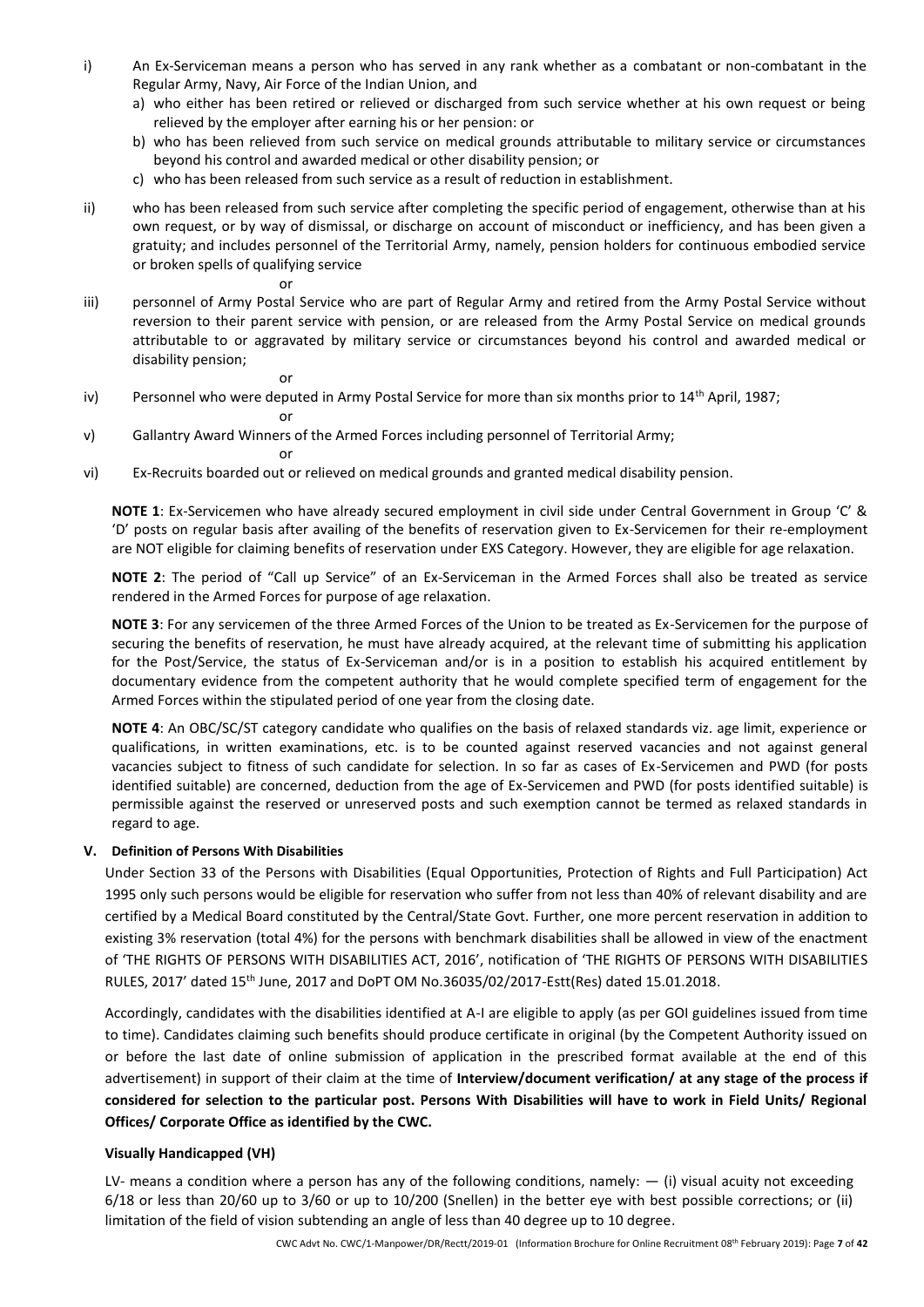- i) An Ex-Serviceman means a person who has served in any rank whether as a combatant or non-combatant in the Regular Army, Navy, Air Force of the Indian Union, and
	- a) who either has been retired or relieved or discharged from such service whether at his own request or being relieved by the employer after earning his or her pension: or
	- b) who has been relieved from such service on medical grounds attributable to military service or circumstances beyond his control and awarded medical or other disability pension; or
	- c) who has been released from such service as a result of reduction in establishment.
- ii) who has been released from such service after completing the specific period of engagement, otherwise than at his own request, or by way of dismissal, or discharge on account of misconduct or inefficiency, and has been given a gratuity; and includes personnel of the Territorial Army, namely, pension holders for continuous embodied service or broken spells of qualifying service
- iii) personnel of Army Postal Service who are part of Regular Army and retired from the Army Postal Service without reversion to their parent service with pension, or are released from the Army Postal Service on medical grounds attributable to or aggravated by military service or circumstances beyond his control and awarded medical or disability pension;
	- or

or

iv) Personnel who were deputed in Army Postal Service for more than six months prior to 14<sup>th</sup> April, 1987;

or

v) Gallantry Award Winners of the Armed Forces including personnel of Territorial Army;

or

vi) Ex-Recruits boarded out or relieved on medical grounds and granted medical disability pension.

**NOTE 1**: Ex-Servicemen who have already secured employment in civil side under Central Government in Group 'C' & 'D' posts on regular basis after availing of the benefits of reservation given to Ex-Servicemen for their re-employment are NOT eligible for claiming benefits of reservation under EXS Category. However, they are eligible for age relaxation.

**NOTE 2**: The period of "Call up Service" of an Ex-Serviceman in the Armed Forces shall also be treated as service rendered in the Armed Forces for purpose of age relaxation.

**NOTE 3**: For any servicemen of the three Armed Forces of the Union to be treated as Ex-Servicemen for the purpose of securing the benefits of reservation, he must have already acquired, at the relevant time of submitting his application for the Post/Service, the status of Ex-Serviceman and/or is in a position to establish his acquired entitlement by documentary evidence from the competent authority that he would complete specified term of engagement for the Armed Forces within the stipulated period of one year from the closing date.

**NOTE 4**: An OBC/SC/ST category candidate who qualifies on the basis of relaxed standards viz. age limit, experience or qualifications, in written examinations, etc. is to be counted against reserved vacancies and not against general vacancies subject to fitness of such candidate for selection. In so far as cases of Ex-Servicemen and PWD (for posts identified suitable) are concerned, deduction from the age of Ex-Servicemen and PWD (for posts identified suitable) is permissible against the reserved or unreserved posts and such exemption cannot be termed as relaxed standards in regard to age.

#### **V. Definition of Persons With Disabilities**

Under Section 33 of the Persons with Disabilities (Equal Opportunities, Protection of Rights and Full Participation) Act 1995 only such persons would be eligible for reservation who suffer from not less than 40% of relevant disability and are certified by a Medical Board constituted by the Central/State Govt. Further, one more percent reservation in addition to existing 3% reservation (total 4%) for the persons with benchmark disabilities shall be allowed in view of the enactment of 'THE RIGHTS OF PERSONS WITH DISABILITIES ACT, 2016', notification of 'THE RIGHTS OF PERSONS WITH DISABILITIES RULES, 2017' dated 15th June, 2017 and DoPT OM No.36035/02/2017-Estt(Res) dated 15.01.2018.

Accordingly, candidates with the disabilities identified at A-I are eligible to apply (as per GOI guidelines issued from time to time). Candidates claiming such benefits should produce certificate in original (by the Competent Authority issued on or before the last date of online submission of application in the prescribed format available at the end of this advertisement) in support of their claim at the time of **Interview/document verification/ at any stage of the process if considered for selection to the particular post. Persons With Disabilities will have to work in Field Units/ Regional Offices/ Corporate Office as identified by the CWC.**

#### **Visually Handicapped (VH)**

LV- means a condition where a person has any of the following conditions, namely:  $-$  (i) visual acuity not exceeding 6/18 or less than 20/60 up to 3/60 or up to 10/200 (Snellen) in the better eye with best possible corrections; or (ii) limitation of the field of vision subtending an angle of less than 40 degree up to 10 degree.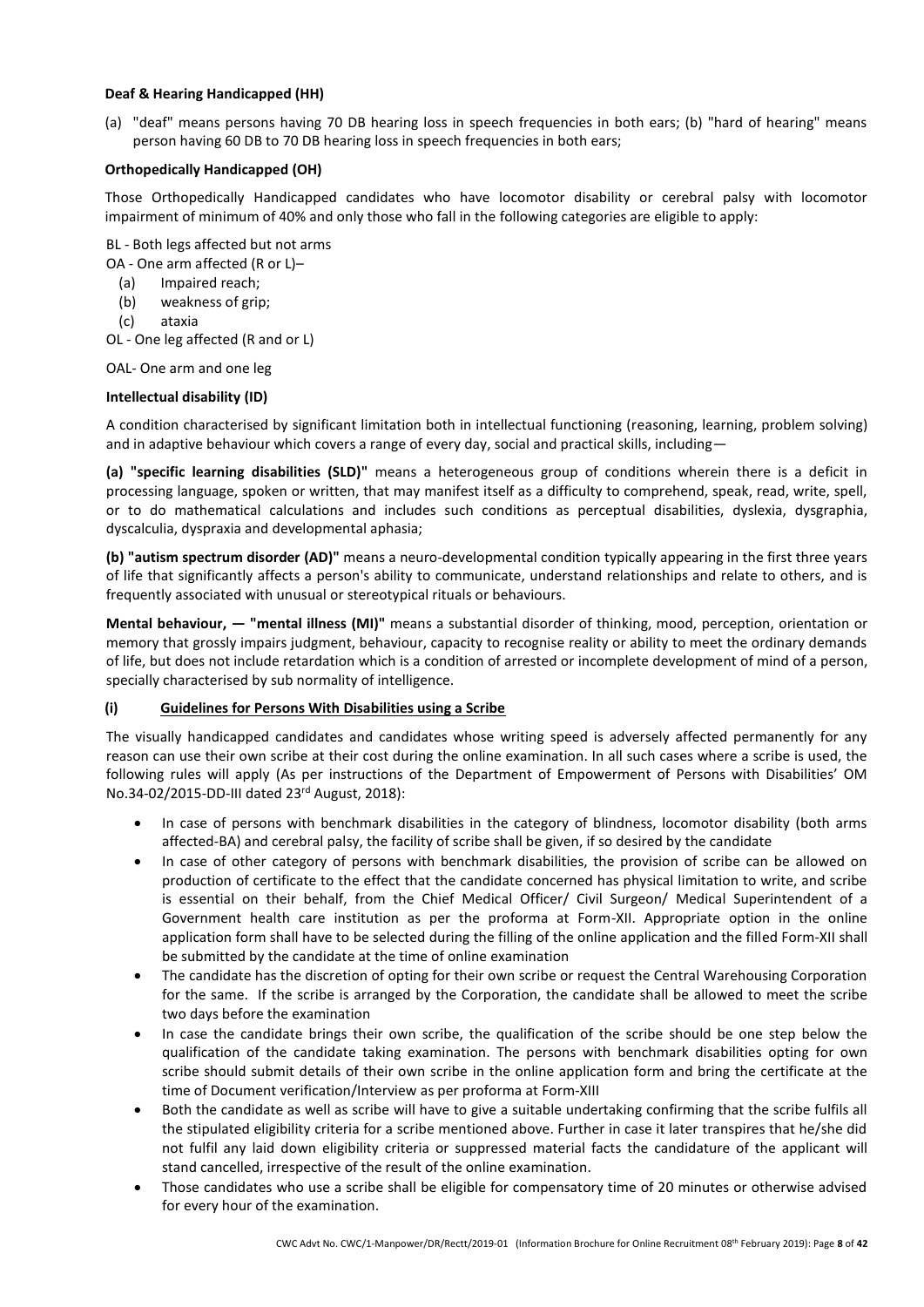#### **Deaf & Hearing Handicapped (HH)**

(a) "deaf" means persons having 70 DB hearing loss in speech frequencies in both ears; (b) "hard of hearing" means person having 60 DB to 70 DB hearing loss in speech frequencies in both ears;

#### **Orthopedically Handicapped (OH)**

Those Orthopedically Handicapped candidates who have locomotor disability or cerebral palsy with locomotor impairment of minimum of 40% and only those who fall in the following categories are eligible to apply:

BL - Both legs affected but not arms

- OA One arm affected (R or L)–
	- (a) Impaired reach;
	- (b) weakness of grip;
	- (c) ataxia

OL - One leg affected (R and or L)

OAL- One arm and one leg

#### **Intellectual disability (ID)**

A condition characterised by significant limitation both in intellectual functioning (reasoning, learning, problem solving) and in adaptive behaviour which covers a range of every day, social and practical skills, including—

**(a) "specific learning disabilities (SLD)"** means a heterogeneous group of conditions wherein there is a deficit in processing language, spoken or written, that may manifest itself as a difficulty to comprehend, speak, read, write, spell, or to do mathematical calculations and includes such conditions as perceptual disabilities, dyslexia, dysgraphia, dyscalculia, dyspraxia and developmental aphasia;

**(b) "autism spectrum disorder (AD)"** means a neuro-developmental condition typically appearing in the first three years of life that significantly affects a person's ability to communicate, understand relationships and relate to others, and is frequently associated with unusual or stereotypical rituals or behaviours.

**Mental behaviour, — "mental illness (MI)"** means a substantial disorder of thinking, mood, perception, orientation or memory that grossly impairs judgment, behaviour, capacity to recognise reality or ability to meet the ordinary demands of life, but does not include retardation which is a condition of arrested or incomplete development of mind of a person, specially characterised by sub normality of intelligence.

#### **(i) Guidelines for Persons With Disabilities using a Scribe**

The visually handicapped candidates and candidates whose writing speed is adversely affected permanently for any reason can use their own scribe at their cost during the online examination. In all such cases where a scribe is used, the following rules will apply (As per instructions of the Department of Empowerment of Persons with Disabilities' OM No.34-02/2015-DD-III dated 23rd August, 2018):

- In case of persons with benchmark disabilities in the category of blindness, locomotor disability (both arms affected-BA) and cerebral palsy, the facility of scribe shall be given, if so desired by the candidate
- In case of other category of persons with benchmark disabilities, the provision of scribe can be allowed on production of certificate to the effect that the candidate concerned has physical limitation to write, and scribe is essential on their behalf, from the Chief Medical Officer/ Civil Surgeon/ Medical Superintendent of a Government health care institution as per the proforma at Form-XII. Appropriate option in the online application form shall have to be selected during the filling of the online application and the filled Form-XII shall be submitted by the candidate at the time of online examination
- The candidate has the discretion of opting for their own scribe or request the Central Warehousing Corporation for the same. If the scribe is arranged by the Corporation, the candidate shall be allowed to meet the scribe two days before the examination
- In case the candidate brings their own scribe, the qualification of the scribe should be one step below the qualification of the candidate taking examination. The persons with benchmark disabilities opting for own scribe should submit details of their own scribe in the online application form and bring the certificate at the time of Document verification/Interview as per proforma at Form-XIII
- Both the candidate as well as scribe will have to give a suitable undertaking confirming that the scribe fulfils all the stipulated eligibility criteria for a scribe mentioned above. Further in case it later transpires that he/she did not fulfil any laid down eligibility criteria or suppressed material facts the candidature of the applicant will stand cancelled, irrespective of the result of the online examination.
- Those candidates who use a scribe shall be eligible for compensatory time of 20 minutes or otherwise advised for every hour of the examination.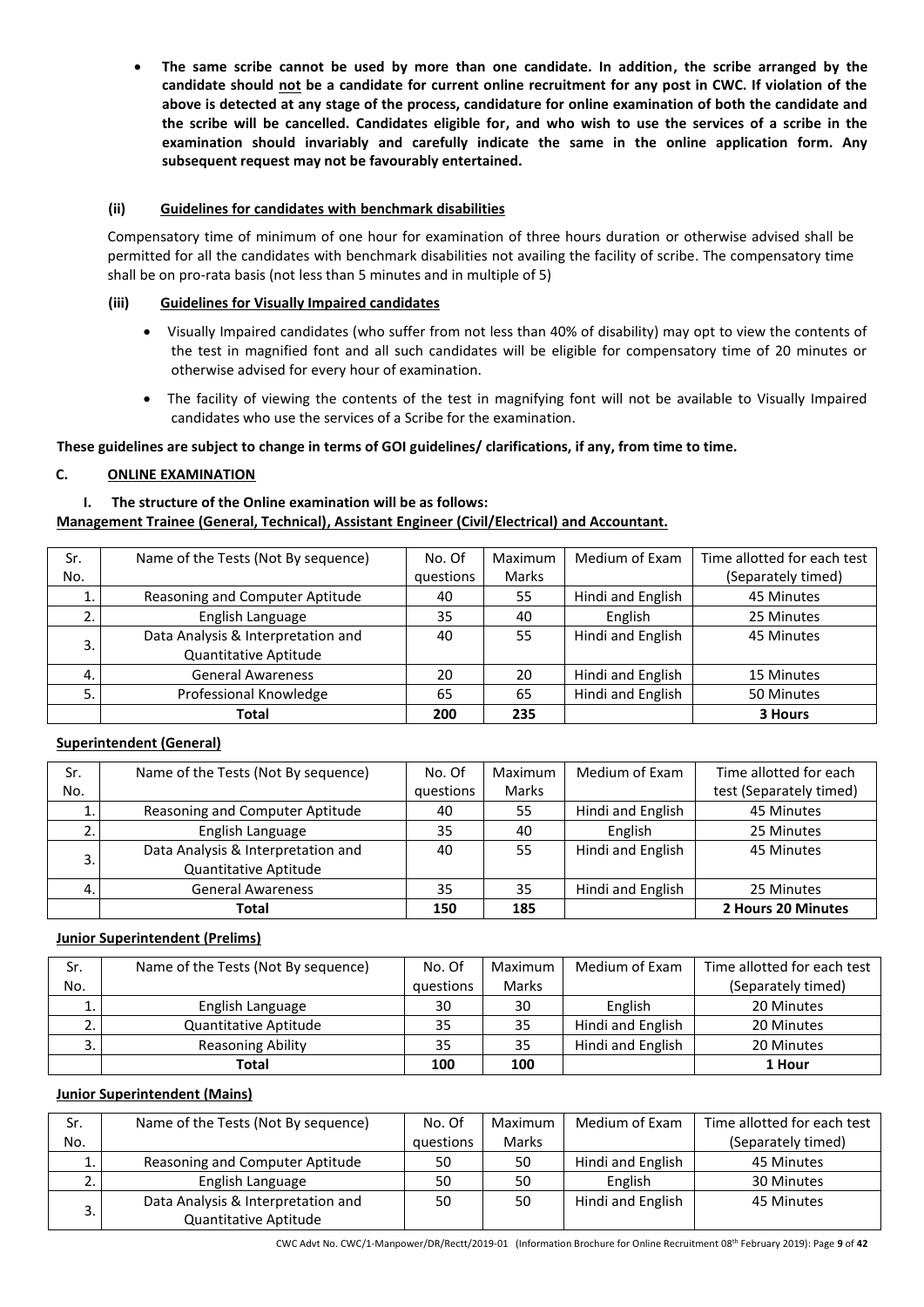• **The same scribe cannot be used by more than one candidate. In addition, the scribe arranged by the candidate should not be a candidate for current online recruitment for any post in CWC. If violation of the above is detected at any stage of the process, candidature for online examination of both the candidate and the scribe will be cancelled. Candidates eligible for, and who wish to use the services of a scribe in the examination should invariably and carefully indicate the same in the online application form. Any subsequent request may not be favourably entertained.**

#### **(ii) Guidelines for candidates with benchmark disabilities**

Compensatory time of minimum of one hour for examination of three hours duration or otherwise advised shall be permitted for all the candidates with benchmark disabilities not availing the facility of scribe. The compensatory time shall be on pro-rata basis (not less than 5 minutes and in multiple of 5)

#### **(iii) Guidelines for Visually Impaired candidates**

- Visually Impaired candidates (who suffer from not less than 40% of disability) may opt to view the contents of the test in magnified font and all such candidates will be eligible for compensatory time of 20 minutes or otherwise advised for every hour of examination.
- The facility of viewing the contents of the test in magnifying font will not be available to Visually Impaired candidates who use the services of a Scribe for the examination.

**These guidelines are subject to change in terms of GOI guidelines/ clarifications, if any, from time to time.**

### **C. ONLINE EXAMINATION**

### **I. The structure of the Online examination will be as follows:**

### **Management Trainee (General, Technical), Assistant Engineer (Civil/Electrical) and Accountant.**

| Sr. | Name of the Tests (Not By sequence) | No. Of    | Maximum | Medium of Exam    | Time allotted for each test |
|-----|-------------------------------------|-----------|---------|-------------------|-----------------------------|
| No. |                                     | questions | Marks   |                   | (Separately timed)          |
|     | Reasoning and Computer Aptitude     | 40        | 55      | Hindi and English | 45 Minutes                  |
|     | English Language                    | 35        | 40      | English           | 25 Minutes                  |
| 3.  | Data Analysis & Interpretation and  | 40        | 55      | Hindi and English | 45 Minutes                  |
|     | Quantitative Aptitude               |           |         |                   |                             |
| 4.  | <b>General Awareness</b>            | 20        | 20      | Hindi and English | 15 Minutes                  |
|     | Professional Knowledge              | 65        | 65      | Hindi and English | 50 Minutes                  |
|     | Total                               | 200       | 235     |                   | 3 Hours                     |

#### **Superintendent (General)**

| Sr. | Name of the Tests (Not By sequence) | No. Of | Maximum | Medium of Exam    | Time allotted for each  |
|-----|-------------------------------------|--------|---------|-------------------|-------------------------|
| No. | questions                           |        | Marks   |                   | test (Separately timed) |
|     | Reasoning and Computer Aptitude     | 40     | 55      | Hindi and English | 45 Minutes              |
|     | English Language                    | 35     | 40      | English           | 25 Minutes              |
| C.  | Data Analysis & Interpretation and  | 40     | 55      | Hindi and English | 45 Minutes              |
|     | Quantitative Aptitude               |        |         |                   |                         |
|     | <b>General Awareness</b>            |        | 35      | Hindi and English | 25 Minutes              |
|     | Total                               | 150    | 185     |                   | 2 Hours 20 Minutes      |

#### **Junior Superintendent (Prelims)**

| Sr. | Name of the Tests (Not By sequence) | No. Of    | Maximum | Medium of Exam    | Time allotted for each test |
|-----|-------------------------------------|-----------|---------|-------------------|-----------------------------|
| No. |                                     | questions | Marks   |                   | (Separately timed)          |
|     | English Language                    | 30        | 30      | English           | 20 Minutes                  |
|     | Quantitative Aptitude               | 35        | 35      | Hindi and English | 20 Minutes                  |
| . ب | <b>Reasoning Ability</b>            | 35        | 35      | Hindi and English | 20 Minutes                  |
|     | <b>Total</b>                        | 100       | 100     |                   | 1 Hour                      |

#### **Junior Superintendent (Mains)**

| Sr. | Name of the Tests (Not By sequence) | No. Of    | Maximum      | Medium of Exam    | Time allotted for each test |
|-----|-------------------------------------|-----------|--------------|-------------------|-----------------------------|
| No. |                                     | questions | <b>Marks</b> |                   | (Separately timed)          |
|     | Reasoning and Computer Aptitude     | 50        | 50           | Hindi and English | 45 Minutes                  |
|     | English Language                    | 50        | 50           | English           | 30 Minutes                  |
|     | Data Analysis & Interpretation and  | 50        | 50           | Hindi and English | 45 Minutes                  |
|     | Quantitative Aptitude               |           |              |                   |                             |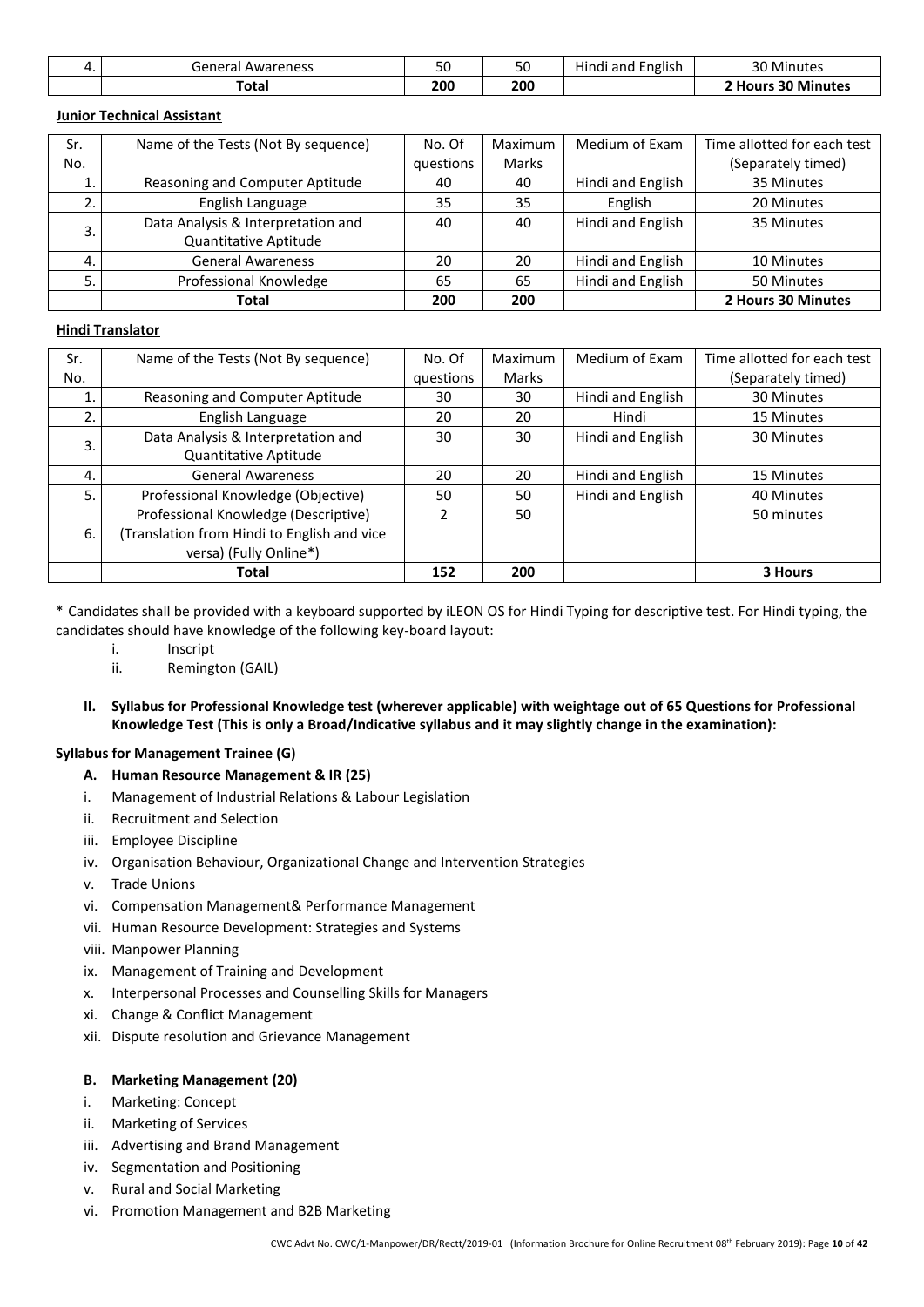| General Awareness | υU  | 50  | .<br>English<br>Hindi and E | 30<br>Minutes              |
|-------------------|-----|-----|-----------------------------|----------------------------|
| Total             | 200 | 200 |                             | 30 Minutes<br><b>Hours</b> |

### **Junior Technical Assistant**

| Sr. | Name of the Tests (Not By sequence) | No. Of | Maximum | Medium of Exam    | Time allotted for each test |
|-----|-------------------------------------|--------|---------|-------------------|-----------------------------|
| No. | questions                           |        | Marks   |                   | (Separately timed)          |
|     | Reasoning and Computer Aptitude     |        | 40      | Hindi and English | 35 Minutes                  |
|     | English Language                    |        | 35      | English           | 20 Minutes                  |
|     | Data Analysis & Interpretation and  | 40     | 40      | Hindi and English | 35 Minutes                  |
|     | Quantitative Aptitude               |        |         |                   |                             |
| 4.  | <b>General Awareness</b>            | 20     | 20      | Hindi and English | 10 Minutes                  |
|     | Professional Knowledge              |        | 65      | Hindi and English | 50 Minutes                  |
|     | Total                               | 200    | 200     |                   | 2 Hours 30 Minutes          |

#### **Hindi Translator**

| Sr. | Name of the Tests (Not By sequence)        | No. Of | Maximum | Medium of Exam    | Time allotted for each test |
|-----|--------------------------------------------|--------|---------|-------------------|-----------------------------|
| No. | questions                                  |        | Marks   |                   | (Separately timed)          |
|     | Reasoning and Computer Aptitude            | 30     | 30      | Hindi and English | 30 Minutes                  |
|     | English Language                           | 20     | 20      | Hindi             | 15 Minutes                  |
| 3.  | Data Analysis & Interpretation and         | 30     | 30      | Hindi and English | 30 Minutes                  |
|     | Quantitative Aptitude                      |        |         |                   |                             |
| 4.  | <b>General Awareness</b>                   | 20     | 20      | Hindi and English | 15 Minutes                  |
| .5  | Professional Knowledge (Objective)         | 50     | 50      | Hindi and English | 40 Minutes                  |
|     | Professional Knowledge (Descriptive)       | 2      | 50      |                   | 50 minutes                  |
| 6.  | Translation from Hindi to English and vice |        |         |                   |                             |
|     | versa) (Fully Online*)                     |        |         |                   |                             |
|     | Total                                      | 152    | 200     |                   | 3 Hours                     |

\* Candidates shall be provided with a keyboard supported by iLEON OS for Hindi Typing for descriptive test. For Hindi typing, the candidates should have knowledge of the following key-board layout:

- i. Inscript
- ii. Remington (GAIL)
- **II. Syllabus for Professional Knowledge test (wherever applicable) with weightage out of 65 Questions for Professional Knowledge Test (This is only a Broad/Indicative syllabus and it may slightly change in the examination):**

### **Syllabus for Management Trainee (G)**

- **A. Human Resource Management & IR (25)**
- i. Management of Industrial Relations & Labour Legislation
- ii. Recruitment and Selection
- iii. Employee Discipline
- iv. Organisation Behaviour, Organizational Change and Intervention Strategies
- v. Trade Unions
- vi. Compensation Management& Performance Management
- vii. Human Resource Development: Strategies and Systems
- viii. Manpower Planning
- ix. Management of Training and Development
- x. Interpersonal Processes and Counselling Skills for Managers
- xi. Change & Conflict Management
- xii. Dispute resolution and Grievance Management

#### **B. Marketing Management (20)**

- i. Marketing: Concept
- ii. Marketing of Services
- iii. Advertising and Brand Management
- iv. Segmentation and Positioning
- v. Rural and Social Marketing
- vi. Promotion Management and B2B Marketing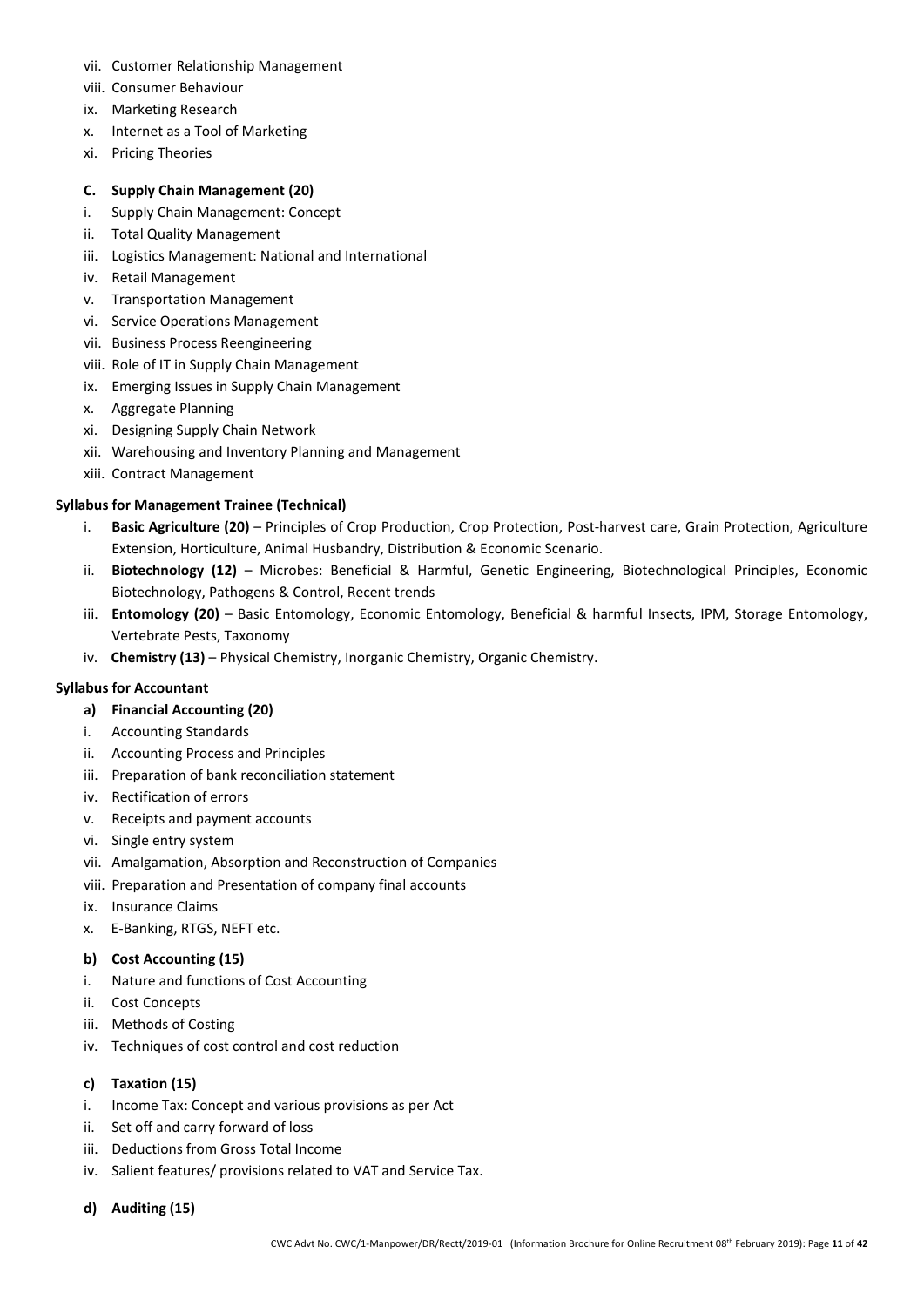- vii. Customer Relationship Management
- viii. Consumer Behaviour
- ix. Marketing Research
- x. Internet as a Tool of Marketing
- xi. Pricing Theories

### **C. Supply Chain Management (20)**

- i. Supply Chain Management: Concept
- ii. Total Quality Management
- iii. Logistics Management: National and International
- iv. Retail Management
- v. Transportation Management
- vi. Service Operations Management
- vii. Business Process Reengineering
- viii. Role of IT in Supply Chain Management
- ix. Emerging Issues in Supply Chain Management
- x. Aggregate Planning
- xi. Designing Supply Chain Network
- xii. Warehousing and Inventory Planning and Management
- xiii. Contract Management

### **Syllabus for Management Trainee (Technical)**

- i. **Basic Agriculture (20)** Principles of Crop Production, Crop Protection, Post-harvest care, Grain Protection, Agriculture Extension, Horticulture, Animal Husbandry, Distribution & Economic Scenario.
- ii. **Biotechnology (12)** Microbes: Beneficial & Harmful, Genetic Engineering, Biotechnological Principles, Economic Biotechnology, Pathogens & Control, Recent trends
- iii. **Entomology (20)** Basic Entomology, Economic Entomology, Beneficial & harmful Insects, IPM, Storage Entomology, Vertebrate Pests, Taxonomy
- iv. **Chemistry (13)** Physical Chemistry, Inorganic Chemistry, Organic Chemistry.

#### **Syllabus for Accountant**

- **a) Financial Accounting (20)**
- i. Accounting Standards
- ii. Accounting Process and Principles
- iii. Preparation of bank reconciliation statement
- iv. Rectification of errors
- v. Receipts and payment accounts
- vi. Single entry system
- vii. Amalgamation, Absorption and Reconstruction of Companies
- viii. Preparation and Presentation of company final accounts
- ix. Insurance Claims
- x. E-Banking, RTGS, NEFT etc.

#### **b) Cost Accounting (15)**

- i. Nature and functions of Cost Accounting
- ii. Cost Concepts
- iii. Methods of Costing
- iv. Techniques of cost control and cost reduction

#### **c) Taxation (15)**

- i. Income Tax: Concept and various provisions as per Act
- ii. Set off and carry forward of loss
- iii. Deductions from Gross Total Income
- iv. Salient features/ provisions related to VAT and Service Tax.
- **d) Auditing (15)**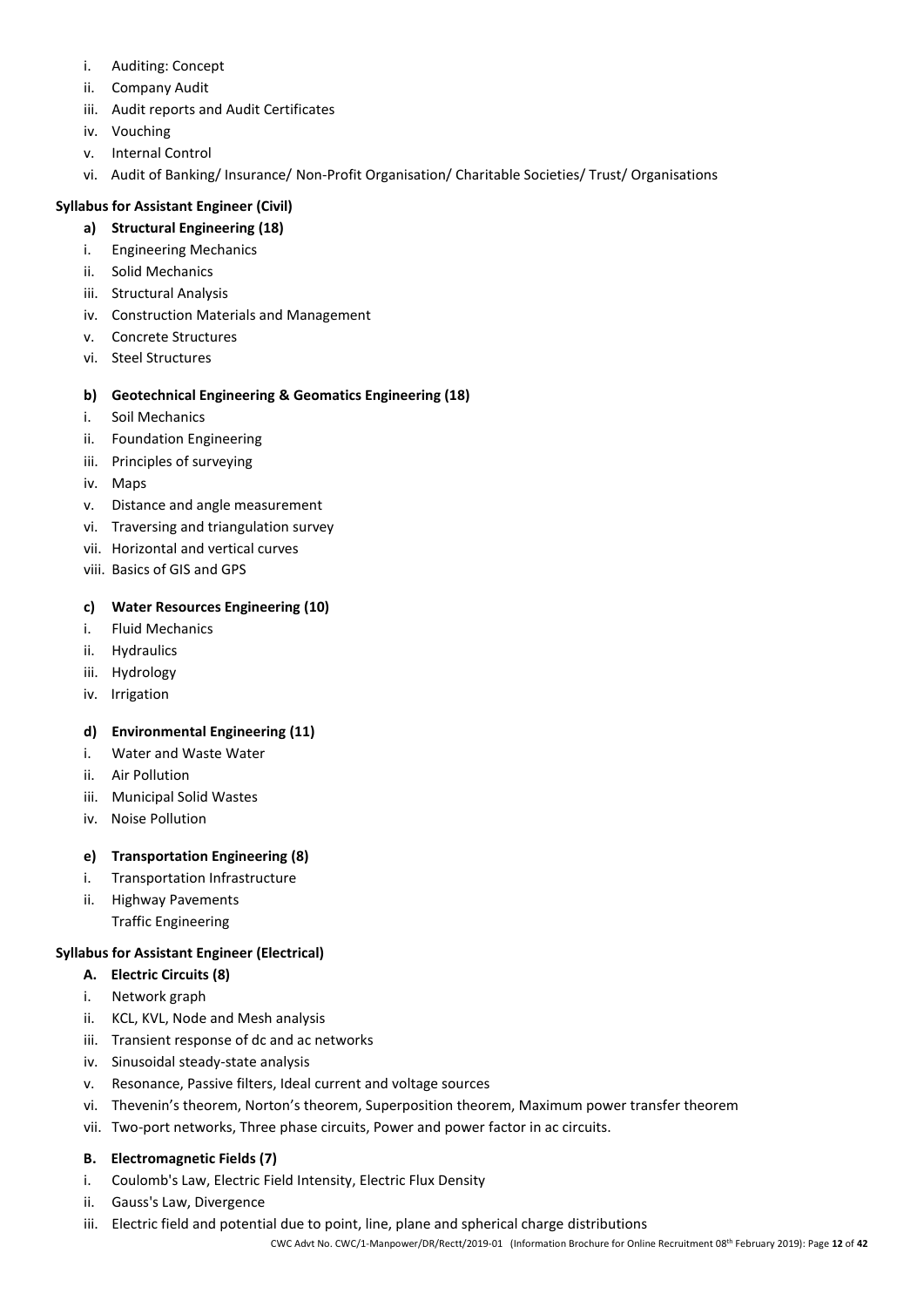- i. Auditing: Concept
- ii. Company Audit
- iii. Audit reports and Audit Certificates
- iv. Vouching
- v. Internal Control
- vi. Audit of Banking/ Insurance/ Non-Profit Organisation/ Charitable Societies/ Trust/ Organisations

## **Syllabus for Assistant Engineer (Civil)**

- **a) Structural Engineering (18)**
- i. Engineering Mechanics
- ii. Solid Mechanics
- iii. Structural Analysis
- iv. Construction Materials and Management
- v. Concrete Structures
- vi. Steel Structures

## **b) Geotechnical Engineering & Geomatics Engineering (18)**

- i. Soil Mechanics
- ii. Foundation Engineering
- iii. Principles of surveying
- iv. Maps
- v. Distance and angle measurement
- vi. Traversing and triangulation survey
- vii. Horizontal and vertical curves
- viii. Basics of GIS and GPS

## **c) Water Resources Engineering (10)**

- i. Fluid Mechanics
- ii. Hydraulics
- iii. Hydrology
- iv. Irrigation

## **d) Environmental Engineering (11)**

- i. Water and Waste Water
- ii. Air Pollution
- iii. Municipal Solid Wastes
- iv. Noise Pollution

## **e) Transportation Engineering (8)**

- i. Transportation Infrastructure
- ii. Highway Pavements Traffic Engineering

## **Syllabus for Assistant Engineer (Electrical)**

- **A. Electric Circuits (8)**
- i. Network graph
- ii. KCL, KVL, Node and Mesh analysis
- iii. Transient response of dc and ac networks
- iv. Sinusoidal steady‐state analysis
- v. Resonance, Passive filters, Ideal current and voltage sources
- vi. Thevenin's theorem, Norton's theorem, Superposition theorem, Maximum power transfer theorem
- vii. Two-port networks, Three phase circuits, Power and power factor in ac circuits.

## **B. Electromagnetic Fields (7)**

- i. Coulomb's Law, Electric Field Intensity, Electric Flux Density
- ii. Gauss's Law, Divergence
- iii. Electric field and potential due to point, line, plane and spherical charge distributions

CWC Advt No. CWC/1-Manpower/DR/Rectt/2019-01 (Information Brochure for Online Recruitment 08 th February 2019): Page **12** of **42**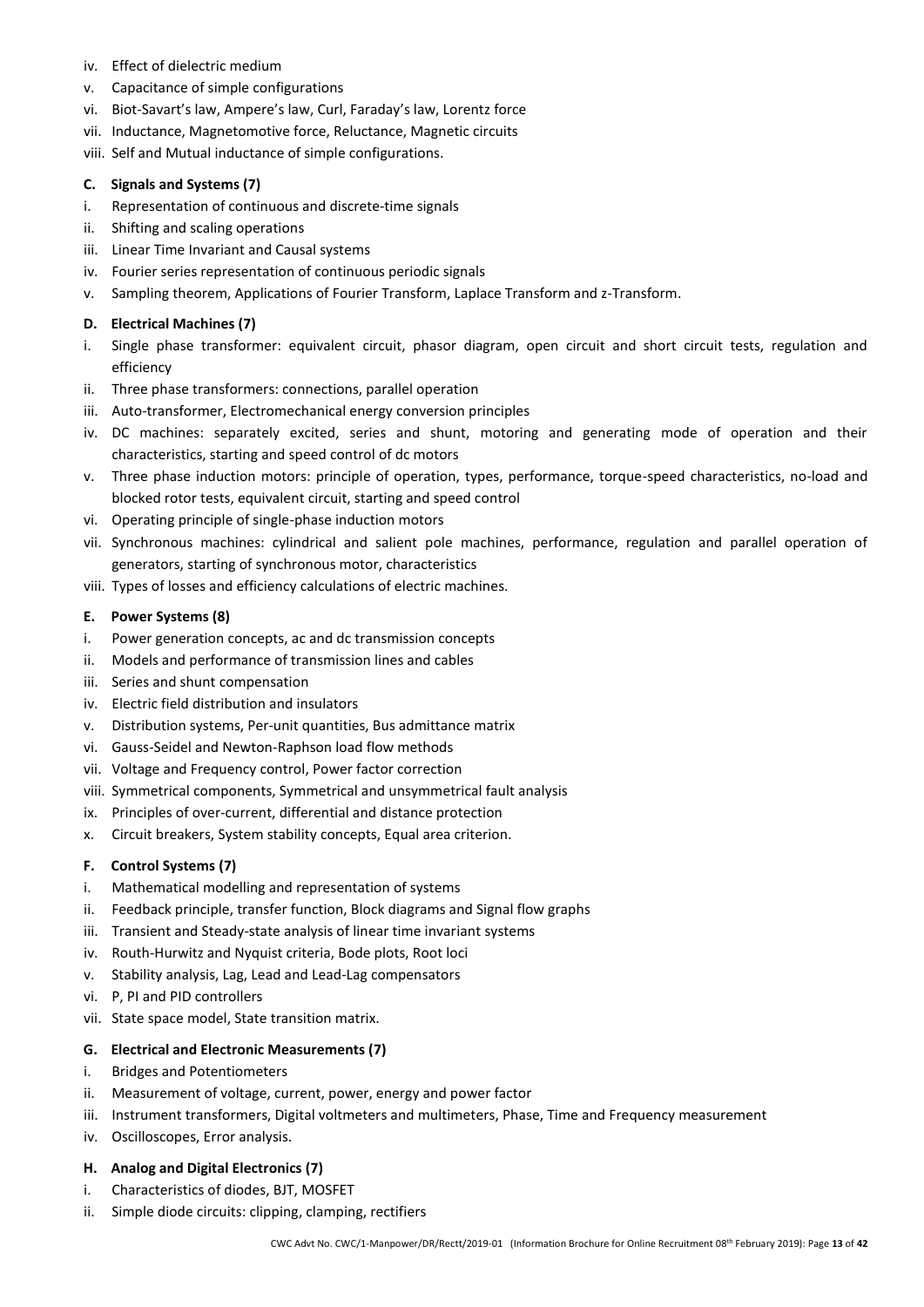- iv. Effect of dielectric medium
- v. Capacitance of simple configurations
- vi. Biot‐Savart's law, Ampere's law, Curl, Faraday's law, Lorentz force
- vii. Inductance, Magnetomotive force, Reluctance, Magnetic circuits

viii. Self and Mutual inductance of simple configurations.

### **C. Signals and Systems (7)**

- i. Representation of continuous and discrete-time signals
- ii. Shifting and scaling operations
- iii. Linear Time Invariant and Causal systems
- iv. Fourier series representation of continuous periodic signals
- v. Sampling theorem, Applications of Fourier Transform, Laplace Transform and z-Transform.

### **D. Electrical Machines (7)**

- i. Single phase transformer: equivalent circuit, phasor diagram, open circuit and short circuit tests, regulation and efficiency
- ii. Three phase transformers: connections, parallel operation
- iii. Auto-transformer, Electromechanical energy conversion principles
- iv. DC machines: separately excited, series and shunt, motoring and generating mode of operation and their characteristics, starting and speed control of dc motors
- v. Three phase induction motors: principle of operation, types, performance, torque-speed characteristics, no-load and blocked rotor tests, equivalent circuit, starting and speed control
- vi. Operating principle of single-phase induction motors
- vii. Synchronous machines: cylindrical and salient pole machines, performance, regulation and parallel operation of generators, starting of synchronous motor, characteristics
- viii. Types of losses and efficiency calculations of electric machines.

### **E. Power Systems (8)**

- i. Power generation concepts, ac and dc transmission concepts
- ii. Models and performance of transmission lines and cables
- iii. Series and shunt compensation
- iv. Electric field distribution and insulators
- v. Distribution systems, Per‐unit quantities, Bus admittance matrix
- vi. Gauss-Seidel and Newton-Raphson load flow methods
- vii. Voltage and Frequency control, Power factor correction
- viii. Symmetrical components, Symmetrical and unsymmetrical fault analysis
- ix. Principles of over‐current, differential and distance protection
- x. Circuit breakers, System stability concepts, Equal area criterion.

## **F. Control Systems (7)**

- i. Mathematical modelling and representation of systems
- ii. Feedback principle, transfer function, Block diagrams and Signal flow graphs
- iii. Transient and Steady-state analysis of linear time invariant systems
- iv. Routh-Hurwitz and Nyquist criteria, Bode plots, Root loci
- v. Stability analysis, Lag, Lead and Lead‐Lag compensators
- vi. P, PI and PID controllers
- vii. State space model, State transition matrix.

## **G. Electrical and Electronic Measurements (7)**

- i. Bridges and Potentiometers
- ii. Measurement of voltage, current, power, energy and power factor
- iii. Instrument transformers, Digital voltmeters and multimeters, Phase, Time and Frequency measurement
- iv. Oscilloscopes, Error analysis.

#### **H. Analog and Digital Electronics (7)**

- i. Characteristics of diodes, BJT, MOSFET
- ii. Simple diode circuits: clipping, clamping, rectifiers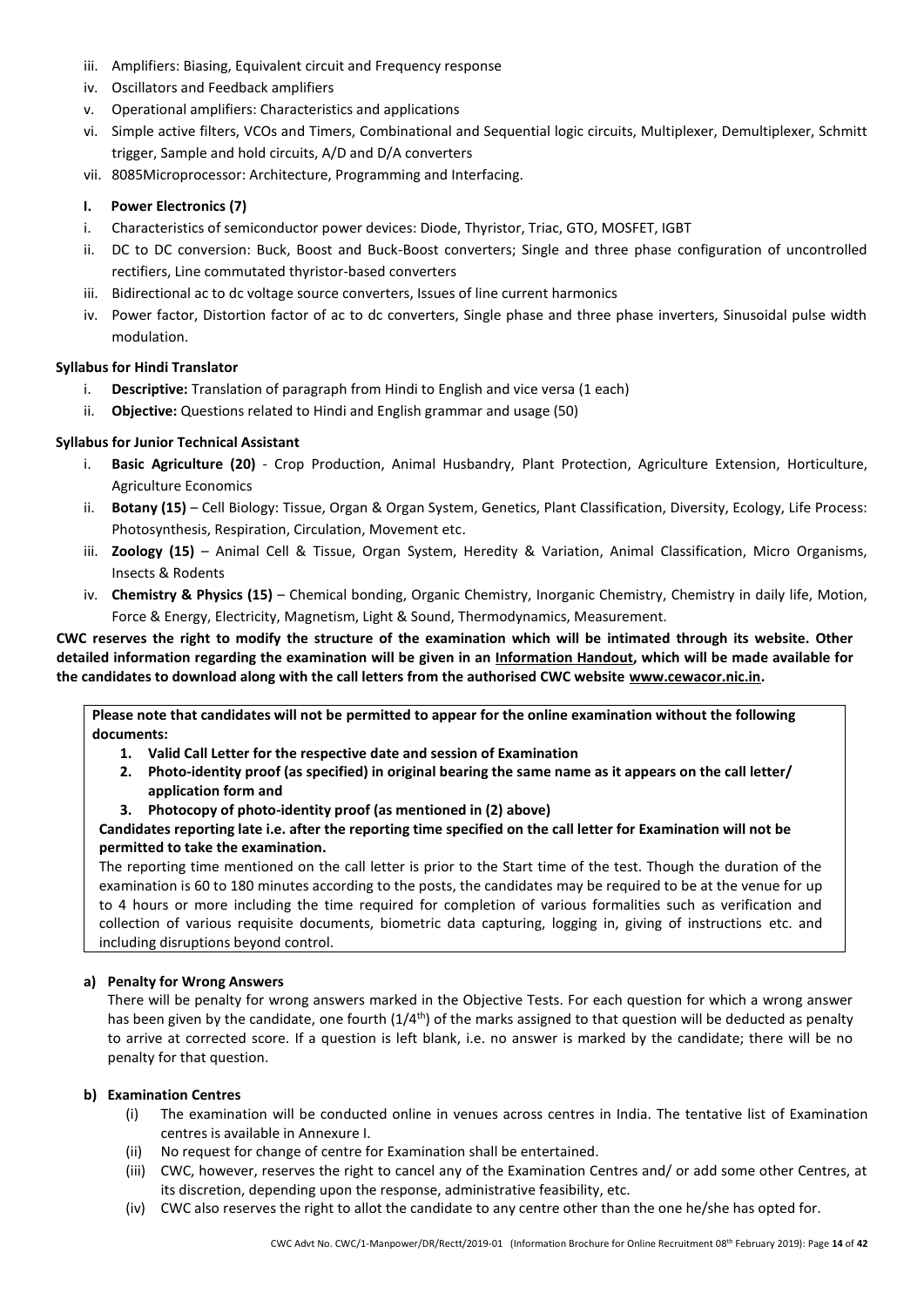- iii. Amplifiers: Biasing, Equivalent circuit and Frequency response
- iv. Oscillators and Feedback amplifiers
- v. Operational amplifiers: Characteristics and applications
- vi. Simple active filters, VCOs and Timers, Combinational and Sequential logic circuits, Multiplexer, Demultiplexer, Schmitt trigger, Sample and hold circuits, A/D and D/A converters
- vii. 8085Microprocessor: Architecture, Programming and Interfacing.

#### **I. Power Electronics (7)**

- i. Characteristics of semiconductor power devices: Diode, Thyristor, Triac, GTO, MOSFET, IGBT
- ii. DC to DC conversion: Buck, Boost and Buck-Boost converters; Single and three phase configuration of uncontrolled rectifiers, Line commutated thyristor-based converters
- iii. Bidirectional ac to dc voltage source converters, Issues of line current harmonics
- iv. Power factor, Distortion factor of ac to dc converters, Single phase and three phase inverters, Sinusoidal pulse width modulation.

### **Syllabus for Hindi Translator**

- i. **Descriptive:** Translation of paragraph from Hindi to English and vice versa (1 each)
- ii. **Objective:** Questions related to Hindi and English grammar and usage (50)

#### **Syllabus for Junior Technical Assistant**

- i. **Basic Agriculture (20)** Crop Production, Animal Husbandry, Plant Protection, Agriculture Extension, Horticulture, Agriculture Economics
- ii. **Botany (15)** Cell Biology: Tissue, Organ & Organ System, Genetics, Plant Classification, Diversity, Ecology, Life Process: Photosynthesis, Respiration, Circulation, Movement etc.
- iii. **Zoology (15)** Animal Cell & Tissue, Organ System, Heredity & Variation, Animal Classification, Micro Organisms, Insects & Rodents
- iv. **Chemistry & Physics (15)** Chemical bonding, Organic Chemistry, Inorganic Chemistry, Chemistry in daily life, Motion, Force & Energy, Electricity, Magnetism, Light & Sound, Thermodynamics, Measurement.

### **CWC reserves the right to modify the structure of the examination which will be intimated through its website. Other detailed information regarding the examination will be given in an Information Handout, which will be made available for the candidates to download along with the call letters from the authorised CWC website [www.cewacor.nic.in.](http://www.cewacor.nic.in/)**

**Please note that candidates will not be permitted to appear for the online examination without the following documents:**

- **1. Valid Call Letter for the respective date and session of Examination**
- **2. Photo-identity proof (as specified) in original bearing the same name as it appears on the call letter/ application form and**
- **3. Photocopy of photo-identity proof (as mentioned in (2) above)**

#### **Candidates reporting late i.e. after the reporting time specified on the call letter for Examination will not be permitted to take the examination.**

The reporting time mentioned on the call letter is prior to the Start time of the test. Though the duration of the examination is 60 to 180 minutes according to the posts, the candidates may be required to be at the venue for up to 4 hours or more including the time required for completion of various formalities such as verification and collection of various requisite documents, biometric data capturing, logging in, giving of instructions etc. and including disruptions beyond control.

#### **a) Penalty for Wrong Answers**

There will be penalty for wrong answers marked in the Objective Tests. For each question for which a wrong answer has been given by the candidate, one fourth  $(1/4^{th})$  of the marks assigned to that question will be deducted as penalty to arrive at corrected score. If a question is left blank, i.e. no answer is marked by the candidate; there will be no penalty for that question.

#### **b) Examination Centres**

- (i) The examination will be conducted online in venues across centres in India. The tentative list of Examination centres is available in Annexure I.
- (ii) No request for change of centre for Examination shall be entertained.
- (iii) CWC, however, reserves the right to cancel any of the Examination Centres and/ or add some other Centres, at its discretion, depending upon the response, administrative feasibility, etc.
- (iv) CWC also reserves the right to allot the candidate to any centre other than the one he/she has opted for.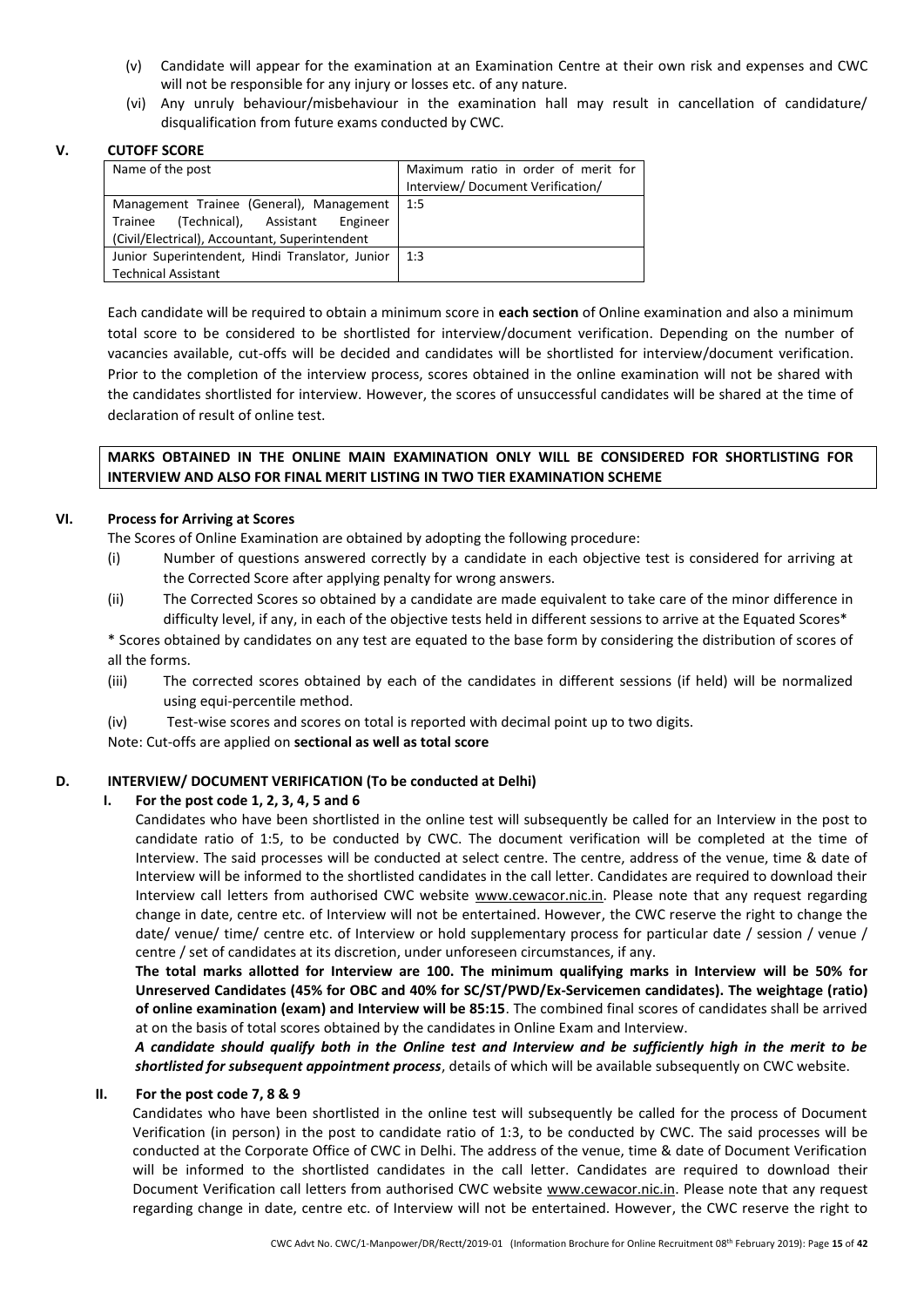- (v) Candidate will appear for the examination at an Examination Centre at their own risk and expenses and CWC will not be responsible for any injury or losses etc. of any nature.
- (vi) Any unruly behaviour/misbehaviour in the examination hall may result in cancellation of candidature/ disqualification from future exams conducted by CWC.

#### **V. CUTOFF SCORE**

| Name of the post                                | Maximum ratio in order of merit for |
|-------------------------------------------------|-------------------------------------|
|                                                 | Interview/Document Verification/    |
| Management Trainee (General), Management        | 1:5                                 |
| Trainee (Technical), Assistant Engineer         |                                     |
| (Civil/Electrical), Accountant, Superintendent  |                                     |
| Junior Superintendent, Hindi Translator, Junior | 1:3                                 |
| <b>Technical Assistant</b>                      |                                     |

Each candidate will be required to obtain a minimum score in **each section** of Online examination and also a minimum total score to be considered to be shortlisted for interview/document verification. Depending on the number of vacancies available, cut-offs will be decided and candidates will be shortlisted for interview/document verification. Prior to the completion of the interview process, scores obtained in the online examination will not be shared with the candidates shortlisted for interview. However, the scores of unsuccessful candidates will be shared at the time of declaration of result of online test.

### **MARKS OBTAINED IN THE ONLINE MAIN EXAMINATION ONLY WILL BE CONSIDERED FOR SHORTLISTING FOR INTERVIEW AND ALSO FOR FINAL MERIT LISTING IN TWO TIER EXAMINATION SCHEME**

### **VI. Process for Arriving at Scores**

The Scores of Online Examination are obtained by adopting the following procedure:

- (i) Number of questions answered correctly by a candidate in each objective test is considered for arriving at the Corrected Score after applying penalty for wrong answers.
- (ii) The Corrected Scores so obtained by a candidate are made equivalent to take care of the minor difference in difficulty level, if any, in each of the objective tests held in different sessions to arrive at the Equated Scores\*

\* Scores obtained by candidates on any test are equated to the base form by considering the distribution of scores of all the forms.

- (iii) The corrected scores obtained by each of the candidates in different sessions (if held) will be normalized using equi-percentile method.
- (iv) Test-wise scores and scores on total is reported with decimal point up to two digits.

Note: Cut-offs are applied on **sectional as well as total score**

## **D. INTERVIEW/ DOCUMENT VERIFICATION (To be conducted at Delhi)**

#### **I. For the post code 1, 2, 3, 4, 5 and 6**

Candidates who have been shortlisted in the online test will subsequently be called for an Interview in the post to candidate ratio of 1:5, to be conducted by CWC. The document verification will be completed at the time of Interview. The said processes will be conducted at select centre. The centre, address of the venue, time & date of Interview will be informed to the shortlisted candidates in the call letter. Candidates are required to download their Interview call letters from authorised CWC website www.cewacor.nic.in. Please note that any request regarding change in date, centre etc. of Interview will not be entertained. However, the CWC reserve the right to change the date/ venue/ time/ centre etc. of Interview or hold supplementary process for particular date / session / venue / centre / set of candidates at its discretion, under unforeseen circumstances, if any.

**The total marks allotted for Interview are 100. The minimum qualifying marks in Interview will be 50% for Unreserved Candidates (45% for OBC and 40% for SC/ST/PWD/Ex-Servicemen candidates). The weightage (ratio) of online examination (exam) and Interview will be 85:15**. The combined final scores of candidates shall be arrived at on the basis of total scores obtained by the candidates in Online Exam and Interview.

*A candidate should qualify both in the Online test and Interview and be sufficiently high in the merit to be shortlisted for subsequent appointment process*, details of which will be available subsequently on CWC website.

#### **II. For the post code 7, 8 & 9**

Candidates who have been shortlisted in the online test will subsequently be called for the process of Document Verification (in person) in the post to candidate ratio of 1:3, to be conducted by CWC. The said processes will be conducted at the Corporate Office of CWC in Delhi. The address of the venue, time & date of Document Verification will be informed to the shortlisted candidates in the call letter. Candidates are required to download their Document Verification call letters from authorised CWC website www.cewacor.nic.in. Please note that any request regarding change in date, centre etc. of Interview will not be entertained. However, the CWC reserve the right to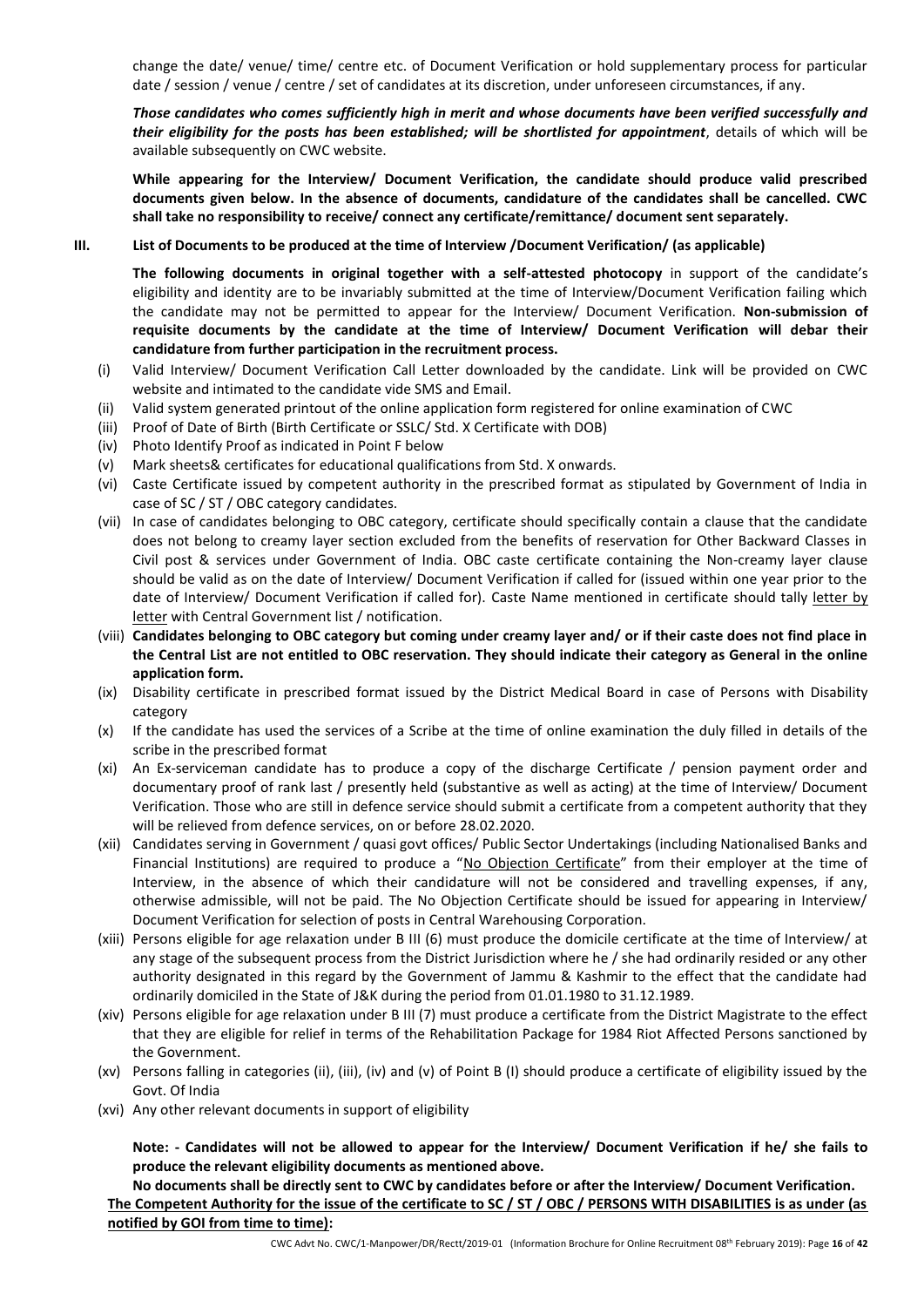change the date/ venue/ time/ centre etc. of Document Verification or hold supplementary process for particular date / session / venue / centre / set of candidates at its discretion, under unforeseen circumstances, if any.

*Those candidates who comes sufficiently high in merit and whose documents have been verified successfully and their eligibility for the posts has been established; will be shortlisted for appointment*, details of which will be available subsequently on CWC website.

**While appearing for the Interview/ Document Verification, the candidate should produce valid prescribed documents given below. In the absence of documents, candidature of the candidates shall be cancelled. CWC shall take no responsibility to receive/ connect any certificate/remittance/ document sent separately.**

#### **III. List of Documents to be produced at the time of Interview /Document Verification/ (as applicable)**

**The following documents in original together with a self-attested photocopy** in support of the candidate's eligibility and identity are to be invariably submitted at the time of Interview/Document Verification failing which the candidate may not be permitted to appear for the Interview/ Document Verification. **Non-submission of requisite documents by the candidate at the time of Interview/ Document Verification will debar their candidature from further participation in the recruitment process.**

- (i) Valid Interview/ Document Verification Call Letter downloaded by the candidate. Link will be provided on CWC website and intimated to the candidate vide SMS and Email.
- (ii) Valid system generated printout of the online application form registered for online examination of CWC
- (iii) Proof of Date of Birth (Birth Certificate or SSLC/ Std. X Certificate with DOB)
- (iv) Photo Identify Proof as indicated in Point F below
- (v) Mark sheets& certificates for educational qualifications from Std. X onwards.
- (vi) Caste Certificate issued by competent authority in the prescribed format as stipulated by Government of India in case of SC / ST / OBC category candidates.
- (vii) In case of candidates belonging to OBC category, certificate should specifically contain a clause that the candidate does not belong to creamy layer section excluded from the benefits of reservation for Other Backward Classes in Civil post & services under Government of India. OBC caste certificate containing the Non-creamy layer clause should be valid as on the date of Interview/ Document Verification if called for (issued within one year prior to the date of Interview/ Document Verification if called for). Caste Name mentioned in certificate should tally letter by letter with Central Government list / notification.
- (viii) **Candidates belonging to OBC category but coming under creamy layer and/ or if their caste does not find place in the Central List are not entitled to OBC reservation. They should indicate their category as General in the online application form.**
- (ix) Disability certificate in prescribed format issued by the District Medical Board in case of Persons with Disability category
- (x) If the candidate has used the services of a Scribe at the time of online examination the duly filled in details of the scribe in the prescribed format
- (xi) An Ex-serviceman candidate has to produce a copy of the discharge Certificate / pension payment order and documentary proof of rank last / presently held (substantive as well as acting) at the time of Interview/ Document Verification. Those who are still in defence service should submit a certificate from a competent authority that they will be relieved from defence services, on or before 28.02.2020.
- (xii) Candidates serving in Government / quasi govt offices/ Public Sector Undertakings (including Nationalised Banks and Financial Institutions) are required to produce a "No Objection Certificate" from their employer at the time of Interview, in the absence of which their candidature will not be considered and travelling expenses, if any, otherwise admissible, will not be paid. The No Objection Certificate should be issued for appearing in Interview/ Document Verification for selection of posts in Central Warehousing Corporation.
- (xiii) Persons eligible for age relaxation under B III (6) must produce the domicile certificate at the time of Interview/ at any stage of the subsequent process from the District Jurisdiction where he / she had ordinarily resided or any other authority designated in this regard by the Government of Jammu & Kashmir to the effect that the candidate had ordinarily domiciled in the State of J&K during the period from 01.01.1980 to 31.12.1989.
- (xiv) Persons eligible for age relaxation under B III (7) must produce a certificate from the District Magistrate to the effect that they are eligible for relief in terms of the Rehabilitation Package for 1984 Riot Affected Persons sanctioned by the Government.
- (xv) Persons falling in categories (ii), (iii), (iv) and (v) of Point B (I) should produce a certificate of eligibility issued by the Govt. Of India
- (xvi) Any other relevant documents in support of eligibility

**Note: - Candidates will not be allowed to appear for the Interview/ Document Verification if he/ she fails to produce the relevant eligibility documents as mentioned above.**

**No documents shall be directly sent to CWC by candidates before or after the Interview/ Document Verification. The Competent Authority for the issue of the certificate to SC / ST / OBC / PERSONS WITH DISABILITIES is as under (as notified by GOI from time to time):**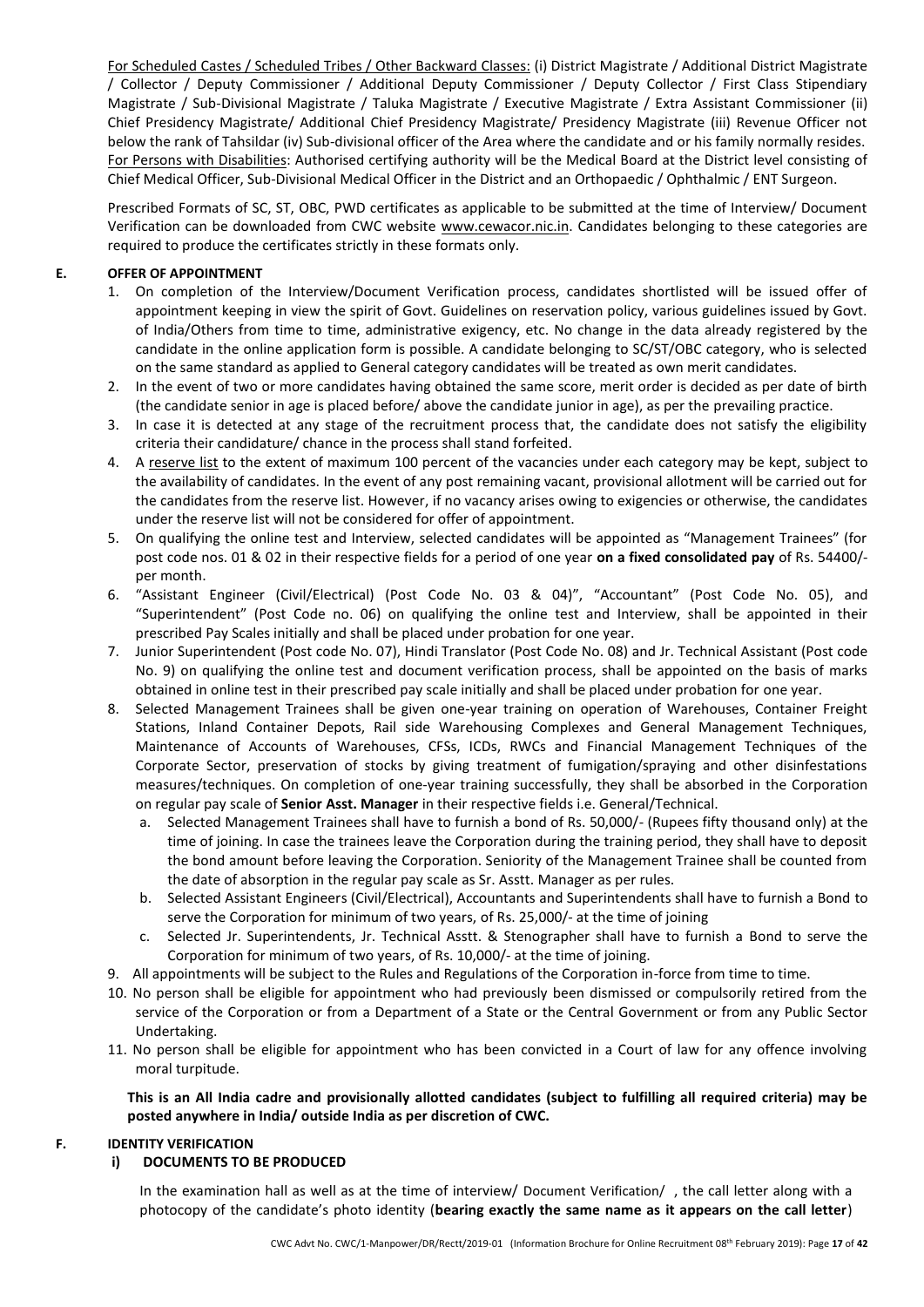For Scheduled Castes / Scheduled Tribes / Other Backward Classes: (i) District Magistrate / Additional District Magistrate / Collector / Deputy Commissioner / Additional Deputy Commissioner / Deputy Collector / First Class Stipendiary Magistrate / Sub-Divisional Magistrate / Taluka Magistrate / Executive Magistrate / Extra Assistant Commissioner (ii) Chief Presidency Magistrate/ Additional Chief Presidency Magistrate/ Presidency Magistrate (iii) Revenue Officer not below the rank of Tahsildar (iv) Sub-divisional officer of the Area where the candidate and or his family normally resides. For Persons with Disabilities: Authorised certifying authority will be the Medical Board at the District level consisting of Chief Medical Officer, Sub-Divisional Medical Officer in the District and an Orthopaedic / Ophthalmic / ENT Surgeon.

Prescribed Formats of SC, ST, OBC, PWD certificates as applicable to be submitted at the time of Interview/ Document Verification can be downloaded from CWC website www.cewacor.nic.in. Candidates belonging to these categories are required to produce the certificates strictly in these formats only.

### **E. OFFER OF APPOINTMENT**

- 1. On completion of the Interview/Document Verification process, candidates shortlisted will be issued offer of appointment keeping in view the spirit of Govt. Guidelines on reservation policy, various guidelines issued by Govt. of India/Others from time to time, administrative exigency, etc. No change in the data already registered by the candidate in the online application form is possible. A candidate belonging to SC/ST/OBC category, who is selected on the same standard as applied to General category candidates will be treated as own merit candidates.
- 2. In the event of two or more candidates having obtained the same score, merit order is decided as per date of birth (the candidate senior in age is placed before/ above the candidate junior in age), as per the prevailing practice.
- 3. In case it is detected at any stage of the recruitment process that, the candidate does not satisfy the eligibility criteria their candidature/ chance in the process shall stand forfeited.
- 4. A reserve list to the extent of maximum 100 percent of the vacancies under each category may be kept, subject to the availability of candidates. In the event of any post remaining vacant, provisional allotment will be carried out for the candidates from the reserve list. However, if no vacancy arises owing to exigencies or otherwise, the candidates under the reserve list will not be considered for offer of appointment.
- 5. On qualifying the online test and Interview, selected candidates will be appointed as "Management Trainees" (for post code nos. 01 & 02 in their respective fields for a period of one year **on a fixed consolidated pay** of Rs. 54400/ per month.
- 6. "Assistant Engineer (Civil/Electrical) (Post Code No. 03 & 04)", "Accountant" (Post Code No. 05), and "Superintendent" (Post Code no. 06) on qualifying the online test and Interview, shall be appointed in their prescribed Pay Scales initially and shall be placed under probation for one year.
- 7. Junior Superintendent (Post code No. 07), Hindi Translator (Post Code No. 08) and Jr. Technical Assistant (Post code No. 9) on qualifying the online test and document verification process, shall be appointed on the basis of marks obtained in online test in their prescribed pay scale initially and shall be placed under probation for one year.
- 8. Selected Management Trainees shall be given one-year training on operation of Warehouses, Container Freight Stations, Inland Container Depots, Rail side Warehousing Complexes and General Management Techniques, Maintenance of Accounts of Warehouses, CFSs, ICDs, RWCs and Financial Management Techniques of the Corporate Sector, preservation of stocks by giving treatment of fumigation/spraying and other disinfestations measures/techniques. On completion of one-year training successfully, they shall be absorbed in the Corporation on regular pay scale of **Senior Asst. Manager** in their respective fields i.e. General/Technical.
	- a. Selected Management Trainees shall have to furnish a bond of Rs. 50,000/- (Rupees fifty thousand only) at the time of joining. In case the trainees leave the Corporation during the training period, they shall have to deposit the bond amount before leaving the Corporation. Seniority of the Management Trainee shall be counted from the date of absorption in the regular pay scale as Sr. Asstt. Manager as per rules.
	- b. Selected Assistant Engineers (Civil/Electrical), Accountants and Superintendents shall have to furnish a Bond to serve the Corporation for minimum of two years, of Rs. 25,000/- at the time of joining
	- c. Selected Jr. Superintendents, Jr. Technical Asstt. & Stenographer shall have to furnish a Bond to serve the Corporation for minimum of two years, of Rs. 10,000/- at the time of joining.
- 9. All appointments will be subject to the Rules and Regulations of the Corporation in-force from time to time.
- 10. No person shall be eligible for appointment who had previously been dismissed or compulsorily retired from the service of the Corporation or from a Department of a State or the Central Government or from any Public Sector Undertaking.
- 11. No person shall be eligible for appointment who has been convicted in a Court of law for any offence involving moral turpitude.

**This is an All India cadre and provisionally allotted candidates (subject to fulfilling all required criteria) may be posted anywhere in India/ outside India as per discretion of CWC.**

## **F. IDENTITY VERIFICATION**

## **i) DOCUMENTS TO BE PRODUCED**

In the examination hall as well as at the time of interview/ Document Verification/ , the call letter along with a photocopy of the candidate's photo identity (**bearing exactly the same name as it appears on the call letter**)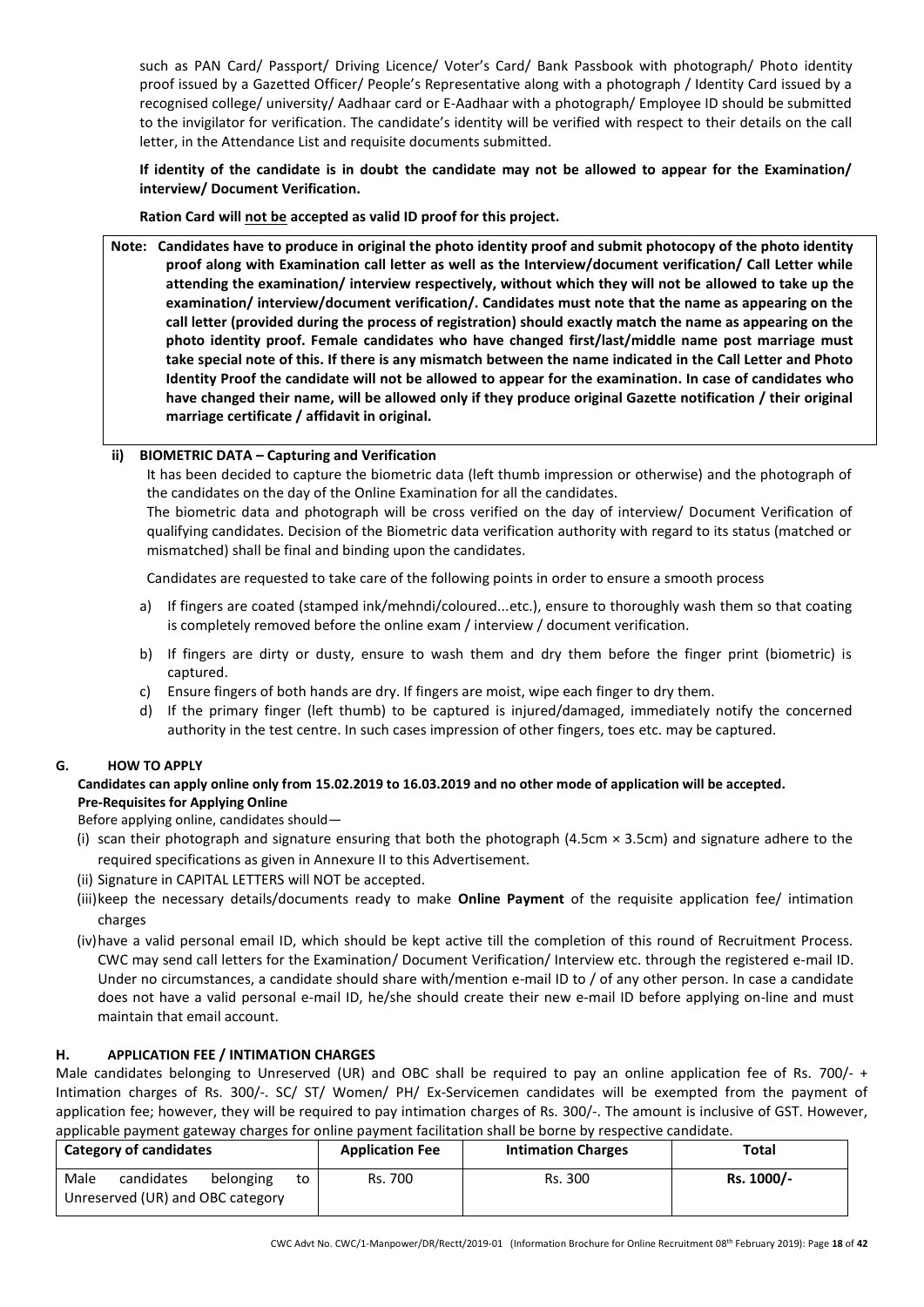such as PAN Card/ Passport/ Driving Licence/ Voter's Card/ Bank Passbook with photograph/ Photo identity proof issued by a Gazetted Officer/ People's Representative along with a photograph / Identity Card issued by a recognised college/ university/ Aadhaar card or E-Aadhaar with a photograph/ Employee ID should be submitted to the invigilator for verification. The candidate's identity will be verified with respect to their details on the call letter, in the Attendance List and requisite documents submitted.

**If identity of the candidate is in doubt the candidate may not be allowed to appear for the Examination/ interview/ Document Verification.**

**Ration Card will not be accepted as valid ID proof for this project.**

**Note: Candidates have to produce in original the photo identity proof and submit photocopy of the photo identity proof along with Examination call letter as well as the Interview/document verification/ Call Letter while attending the examination/ interview respectively, without which they will not be allowed to take up the examination/ interview/document verification/. Candidates must note that the name as appearing on the call letter (provided during the process of registration) should exactly match the name as appearing on the photo identity proof. Female candidates who have changed first/last/middle name post marriage must take special note of this. If there is any mismatch between the name indicated in the Call Letter and Photo Identity Proof the candidate will not be allowed to appear for the examination. In case of candidates who have changed their name, will be allowed only if they produce original Gazette notification / their original marriage certificate / affidavit in original.**

## **ii) BIOMETRIC DATA – Capturing and Verification**

It has been decided to capture the biometric data (left thumb impression or otherwise) and the photograph of the candidates on the day of the Online Examination for all the candidates.

The biometric data and photograph will be cross verified on the day of interview/ Document Verification of qualifying candidates. Decision of the Biometric data verification authority with regard to its status (matched or mismatched) shall be final and binding upon the candidates.

Candidates are requested to take care of the following points in order to ensure a smooth process

- a) If fingers are coated (stamped ink/mehndi/coloured...etc.), ensure to thoroughly wash them so that coating is completely removed before the online exam / interview / document verification.
- b) If fingers are dirty or dusty, ensure to wash them and dry them before the finger print (biometric) is captured.
- c) Ensure fingers of both hands are dry. If fingers are moist, wipe each finger to dry them.
- d) If the primary finger (left thumb) to be captured is injured/damaged, immediately notify the concerned authority in the test centre. In such cases impression of other fingers, toes etc. may be captured.

#### **G. HOW TO APPLY**

### **Candidates can apply online only from 15.02.2019 to 16.03.2019 and no other mode of application will be accepted. Pre-Requisites for Applying Online**

Before applying online, candidates should—

- (i) scan their photograph and signature ensuring that both the photograph (4.5cm  $\times$  3.5cm) and signature adhere to the required specifications as given in Annexure II to this Advertisement.
- (ii) Signature in CAPITAL LETTERS will NOT be accepted.
- (iii)keep the necessary details/documents ready to make **Online Payment** of the requisite application fee/ intimation charges
- (iv)have a valid personal email ID, which should be kept active till the completion of this round of Recruitment Process. CWC may send call letters for the Examination/ Document Verification/ Interview etc. through the registered e-mail ID. Under no circumstances, a candidate should share with/mention e-mail ID to / of any other person. In case a candidate does not have a valid personal e-mail ID, he/she should create their new e-mail ID before applying on-line and must maintain that email account.

#### **H. APPLICATION FEE / INTIMATION CHARGES**

Male candidates belonging to Unreserved (UR) and OBC shall be required to pay an online application fee of Rs. 700/- + Intimation charges of Rs. 300/-. SC/ ST/ Women/ PH/ Ex-Servicemen candidates will be exempted from the payment of application fee; however, they will be required to pay intimation charges of Rs. 300/-. The amount is inclusive of GST. However, applicable payment gateway charges for online payment facilitation shall be borne by respective candidate.

| Category of candidates                                 |           |    | <b>Application Fee</b> | <b>Intimation Charges</b> | Total      |
|--------------------------------------------------------|-----------|----|------------------------|---------------------------|------------|
| Male<br>candidates<br>Unreserved (UR) and OBC category | belonging | to | Rs. 700                | Rs. 300                   | Rs. 1000/- |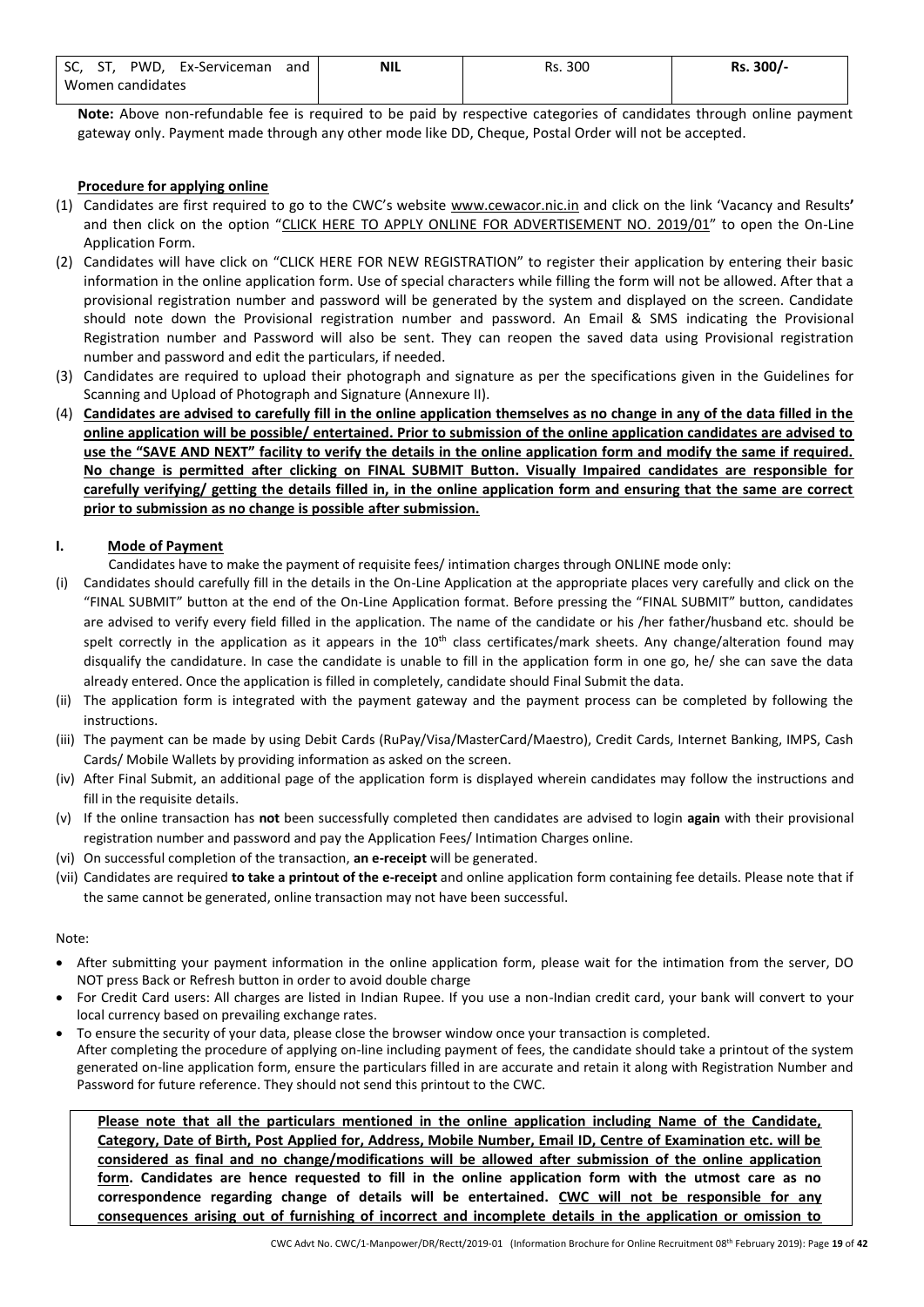| SC. | PWD.             | Ex-Serviceman | and | <b>NIL</b> | Rs. 300 | 300/<br>Rs. |
|-----|------------------|---------------|-----|------------|---------|-------------|
|     | Women candidates |               |     |            |         |             |

**Note:** Above non-refundable fee is required to be paid by respective categories of candidates through online payment gateway only. Payment made through any other mode like DD, Cheque, Postal Order will not be accepted.

### **Procedure for applying online**

- (1) Candidates are first required to go to the CWC's website [www.cewacor.nic.in](http://www.cewacor.nic.in/) and click on the link 'Vacancy and Results**'** and then click on the option "CLICK HERE TO APPLY ONLINE FOR ADVERTISEMENT NO. 2019/01" to open the On-Line Application Form.
- (2) Candidates will have click on "CLICK HERE FOR NEW REGISTRATION" to register their application by entering their basic information in the online application form. Use of special characters while filling the form will not be allowed. After that a provisional registration number and password will be generated by the system and displayed on the screen. Candidate should note down the Provisional registration number and password. An Email & SMS indicating the Provisional Registration number and Password will also be sent. They can reopen the saved data using Provisional registration number and password and edit the particulars, if needed.
- (3) Candidates are required to upload their photograph and signature as per the specifications given in the Guidelines for Scanning and Upload of Photograph and Signature (Annexure II).
- (4) **Candidates are advised to carefully fill in the online application themselves as no change in any of the data filled in the online application will be possible/ entertained. Prior to submission of the online application candidates are advised to use the "SAVE AND NEXT" facility to verify the details in the online application form and modify the same if required. No change is permitted after clicking on FINAL SUBMIT Button. Visually Impaired candidates are responsible for carefully verifying/ getting the details filled in, in the online application form and ensuring that the same are correct prior to submission as no change is possible after submission.**

#### **I. Mode of Payment**

Candidates have to make the payment of requisite fees/ intimation charges through ONLINE mode only:

- (i) Candidates should carefully fill in the details in the On-Line Application at the appropriate places very carefully and click on the "FINAL SUBMIT" button at the end of the On-Line Application format. Before pressing the "FINAL SUBMIT" button, candidates are advised to verify every field filled in the application. The name of the candidate or his /her father/husband etc. should be spelt correctly in the application as it appears in the 10<sup>th</sup> class certificates/mark sheets. Any change/alteration found may disqualify the candidature. In case the candidate is unable to fill in the application form in one go, he/ she can save the data already entered. Once the application is filled in completely, candidate should Final Submit the data.
- (ii) The application form is integrated with the payment gateway and the payment process can be completed by following the instructions.
- (iii) The payment can be made by using Debit Cards (RuPay/Visa/MasterCard/Maestro), Credit Cards, Internet Banking, IMPS, Cash Cards/ Mobile Wallets by providing information as asked on the screen.
- (iv) After Final Submit, an additional page of the application form is displayed wherein candidates may follow the instructions and fill in the requisite details.
- (v) If the online transaction has **not** been successfully completed then candidates are advised to login **again** with their provisional registration number and password and pay the Application Fees/ Intimation Charges online.
- (vi) On successful completion of the transaction, **an e-receipt** will be generated.
- (vii) Candidates are required **to take a printout of the e-receipt** and online application form containing fee details. Please note that if the same cannot be generated, online transaction may not have been successful.

#### Note:

- After submitting your payment information in the online application form, please wait for the intimation from the server, DO NOT press Back or Refresh button in order to avoid double charge
- For Credit Card users: All charges are listed in Indian Rupee. If you use a non-Indian credit card, your bank will convert to your local currency based on prevailing exchange rates.
- To ensure the security of your data, please close the browser window once your transaction is completed. After completing the procedure of applying on-line including payment of fees, the candidate should take a printout of the system generated on-line application form, ensure the particulars filled in are accurate and retain it along with Registration Number and Password for future reference. They should not send this printout to the CWC.

**Please note that all the particulars mentioned in the online application including Name of the Candidate, Category, Date of Birth, Post Applied for, Address, Mobile Number, Email ID, Centre of Examination etc. will be considered as final and no change/modifications will be allowed after submission of the online application form. Candidates are hence requested to fill in the online application form with the utmost care as no correspondence regarding change of details will be entertained. CWC will not be responsible for any consequences arising out of furnishing of incorrect and incomplete details in the application or omission to**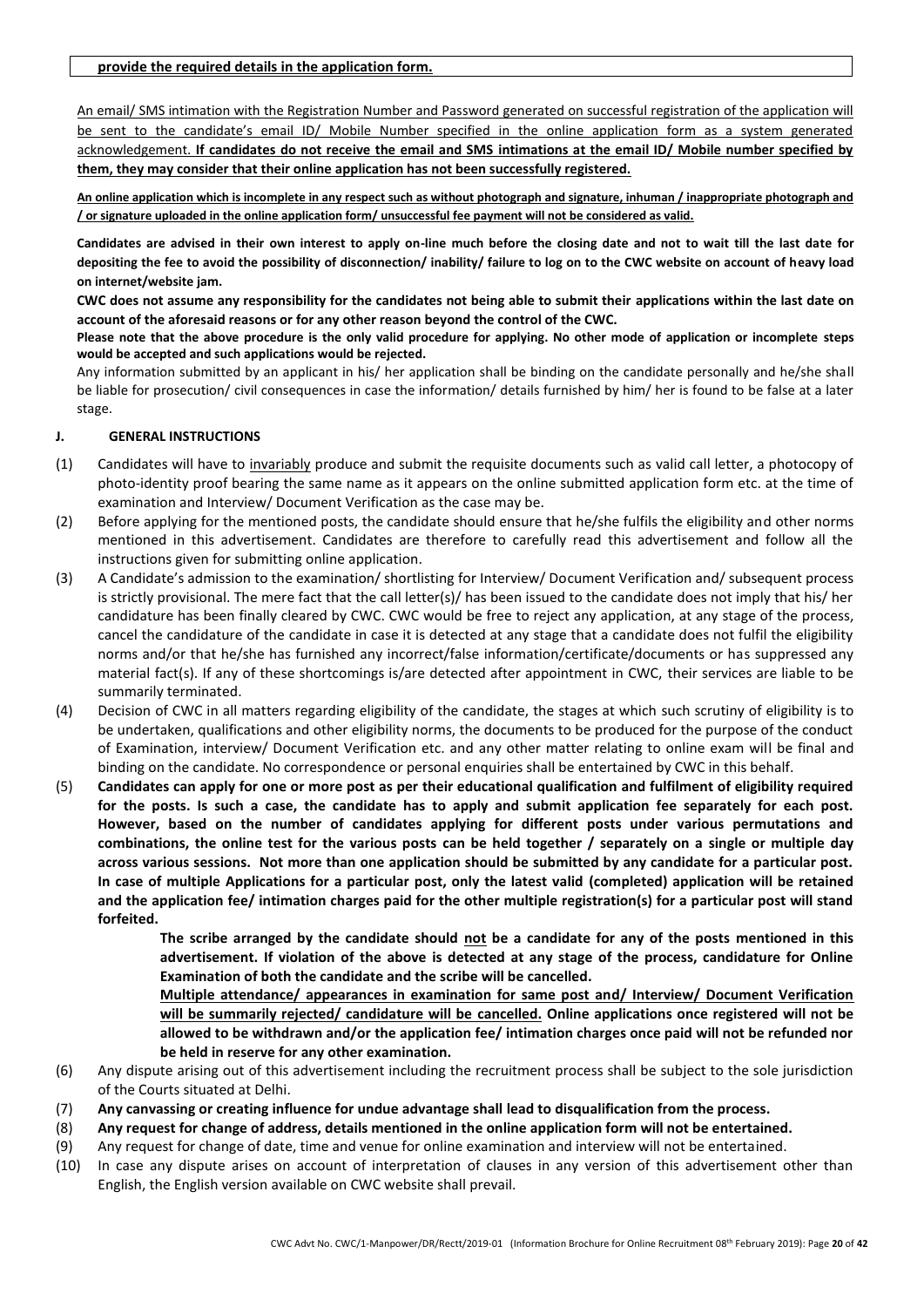An email/ SMS intimation with the Registration Number and Password generated on successful registration of the application will be sent to the candidate's email ID/ Mobile Number specified in the online application form as a system generated acknowledgement. **If candidates do not receive the email and SMS intimations at the email ID/ Mobile number specified by them, they may consider that their online application has not been successfully registered.**

**An online application which is incomplete in any respect such as without photograph and signature, inhuman / inappropriate photograph and / or signature uploaded in the online application form/ unsuccessful fee payment will not be considered as valid.**

**Candidates are advised in their own interest to apply on-line much before the closing date and not to wait till the last date for depositing the fee to avoid the possibility of disconnection/ inability/ failure to log on to the CWC website on account of heavy load on internet/website jam.**

**CWC does not assume any responsibility for the candidates not being able to submit their applications within the last date on account of the aforesaid reasons or for any other reason beyond the control of the CWC.**

**Please note that the above procedure is the only valid procedure for applying. No other mode of application or incomplete steps would be accepted and such applications would be rejected.**

Any information submitted by an applicant in his/ her application shall be binding on the candidate personally and he/she shall be liable for prosecution/ civil consequences in case the information/ details furnished by him/ her is found to be false at a later stage.

### **J. GENERAL INSTRUCTIONS**

- (1) Candidates will have to invariably produce and submit the requisite documents such as valid call letter, a photocopy of photo-identity proof bearing the same name as it appears on the online submitted application form etc. at the time of examination and Interview/ Document Verification as the case may be.
- (2) Before applying for the mentioned posts, the candidate should ensure that he/she fulfils the eligibility and other norms mentioned in this advertisement. Candidates are therefore to carefully read this advertisement and follow all the instructions given for submitting online application.
- (3) A Candidate's admission to the examination/ shortlisting for Interview/ Document Verification and/ subsequent process is strictly provisional. The mere fact that the call letter(s)/ has been issued to the candidate does not imply that his/ her candidature has been finally cleared by CWC. CWC would be free to reject any application, at any stage of the process, cancel the candidature of the candidate in case it is detected at any stage that a candidate does not fulfil the eligibility norms and/or that he/she has furnished any incorrect/false information/certificate/documents or has suppressed any material fact(s). If any of these shortcomings is/are detected after appointment in CWC, their services are liable to be summarily terminated.
- (4) Decision of CWC in all matters regarding eligibility of the candidate, the stages at which such scrutiny of eligibility is to be undertaken, qualifications and other eligibility norms, the documents to be produced for the purpose of the conduct of Examination, interview/ Document Verification etc. and any other matter relating to online exam will be final and binding on the candidate. No correspondence or personal enquiries shall be entertained by CWC in this behalf.
- (5) **Candidates can apply for one or more post as per their educational qualification and fulfilment of eligibility required**  for the posts. Is such a case, the candidate has to apply and submit application fee separately for each post. **However, based on the number of candidates applying for different posts under various permutations and combinations, the online test for the various posts can be held together / separately on a single or multiple day across various sessions. Not more than one application should be submitted by any candidate for a particular post. In case of multiple Applications for a particular post, only the latest valid (completed) application will be retained and the application fee/ intimation charges paid for the other multiple registration(s) for a particular post will stand forfeited.**

**The scribe arranged by the candidate should not be a candidate for any of the posts mentioned in this advertisement. If violation of the above is detected at any stage of the process, candidature for Online Examination of both the candidate and the scribe will be cancelled.**

**Multiple attendance/ appearances in examination for same post and/ Interview/ Document Verification will be summarily rejected/ candidature will be cancelled. Online applications once registered will not be allowed to be withdrawn and/or the application fee/ intimation charges once paid will not be refunded nor be held in reserve for any other examination.**

- (6) Any dispute arising out of this advertisement including the recruitment process shall be subject to the sole jurisdiction of the Courts situated at Delhi.
- (7) **Any canvassing or creating influence for undue advantage shall lead to disqualification from the process.**
- (8) **Any request for change of address, details mentioned in the online application form will not be entertained.**
- (9) Any request for change of date, time and venue for online examination and interview will not be entertained.
- (10) In case any dispute arises on account of interpretation of clauses in any version of this advertisement other than English, the English version available on CWC website shall prevail.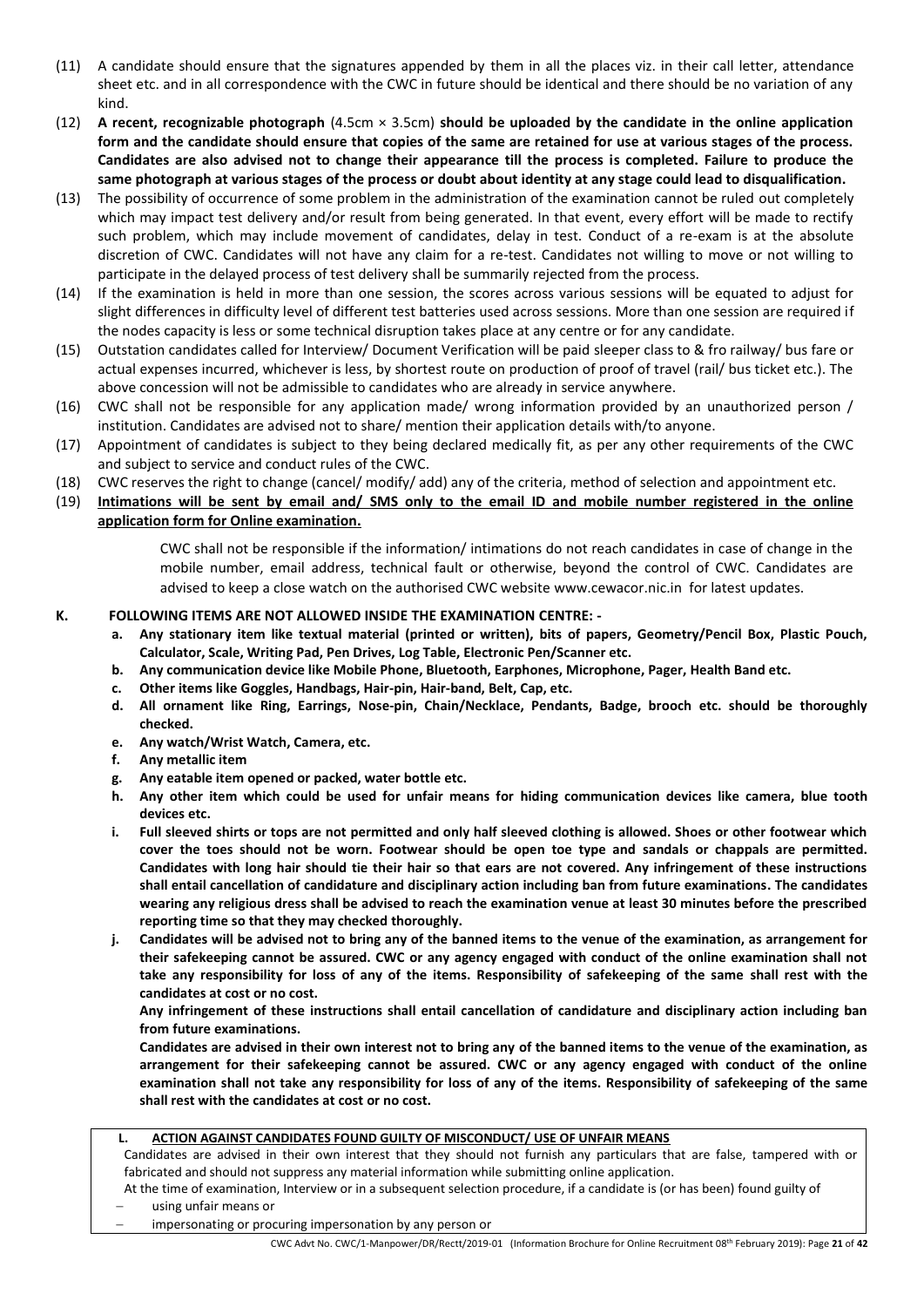- (11) A candidate should ensure that the signatures appended by them in all the places viz. in their call letter, attendance sheet etc. and in all correspondence with the CWC in future should be identical and there should be no variation of any kind.
- (12) **A recent, recognizable photograph** (4.5cm × 3.5cm) **should be uploaded by the candidate in the online application form and the candidate should ensure that copies of the same are retained for use at various stages of the process. Candidates are also advised not to change their appearance till the process is completed. Failure to produce the same photograph at various stages of the process or doubt about identity at any stage could lead to disqualification.**
- (13) The possibility of occurrence of some problem in the administration of the examination cannot be ruled out completely which may impact test delivery and/or result from being generated. In that event, every effort will be made to rectify such problem, which may include movement of candidates, delay in test. Conduct of a re-exam is at the absolute discretion of CWC. Candidates will not have any claim for a re-test. Candidates not willing to move or not willing to participate in the delayed process of test delivery shall be summarily rejected from the process.
- (14) If the examination is held in more than one session, the scores across various sessions will be equated to adjust for slight differences in difficulty level of different test batteries used across sessions. More than one session are required if the nodes capacity is less or some technical disruption takes place at any centre or for any candidate.
- (15) Outstation candidates called for Interview/ Document Verification will be paid sleeper class to & fro railway/ bus fare or actual expenses incurred, whichever is less, by shortest route on production of proof of travel (rail/ bus ticket etc.). The above concession will not be admissible to candidates who are already in service anywhere.
- (16) CWC shall not be responsible for any application made/ wrong information provided by an unauthorized person / institution. Candidates are advised not to share/ mention their application details with/to anyone.
- (17) Appointment of candidates is subject to they being declared medically fit, as per any other requirements of the CWC and subject to service and conduct rules of the CWC.
- (18) CWC reserves the right to change (cancel/ modify/ add) any of the criteria, method of selection and appointment etc.
- (19) **Intimations will be sent by email and/ SMS only to the email ID and mobile number registered in the online application form for Online examination.**

CWC shall not be responsible if the information/ intimations do not reach candidates in case of change in the mobile number, email address, technical fault or otherwise, beyond the control of CWC. Candidates are advised to keep a close watch on the authorised CWC website [www.cewacor.nic.in](http://www.cewacor.nic.in/) for latest updates.

### **K. FOLLOWING ITEMS ARE NOT ALLOWED INSIDE THE EXAMINATION CENTRE: -**

- **a. Any stationary item like textual material (printed or written), bits of papers, Geometry/Pencil Box, Plastic Pouch, Calculator, Scale, Writing Pad, Pen Drives, Log Table, Electronic Pen/Scanner etc.**
- **b. Any communication device like Mobile Phone, Bluetooth, Earphones, Microphone, Pager, Health Band etc.**
- **c. Other items like Goggles, Handbags, Hair-pin, Hair-band, Belt, Cap, etc.**
- **d. All ornament like Ring, Earrings, Nose-pin, Chain/Necklace, Pendants, Badge, brooch etc. should be thoroughly checked.**
- **e. Any watch/Wrist Watch, Camera, etc.**
- **f. Any metallic item**
- **g. Any eatable item opened or packed, water bottle etc.**
- **h. Any other item which could be used for unfair means for hiding communication devices like camera, blue tooth devices etc.**
- **i. Full sleeved shirts or tops are not permitted and only half sleeved clothing is allowed. Shoes or other footwear which cover the toes should not be worn. Footwear should be open toe type and sandals or chappals are permitted. Candidates with long hair should tie their hair so that ears are not covered. Any infringement of these instructions shall entail cancellation of candidature and disciplinary action including ban from future examinations. The candidates wearing any religious dress shall be advised to reach the examination venue at least 30 minutes before the prescribed reporting time so that they may checked thoroughly.**
- **j. Candidates will be advised not to bring any of the banned items to the venue of the examination, as arrangement for their safekeeping cannot be assured. CWC or any agency engaged with conduct of the online examination shall not take any responsibility for loss of any of the items. Responsibility of safekeeping of the same shall rest with the candidates at cost or no cost.**

**Any infringement of these instructions shall entail cancellation of candidature and disciplinary action including ban from future examinations.**

**Candidates are advised in their own interest not to bring any of the banned items to the venue of the examination, as arrangement for their safekeeping cannot be assured. CWC or any agency engaged with conduct of the online examination shall not take any responsibility for loss of any of the items. Responsibility of safekeeping of the same shall rest with the candidates at cost or no cost.**

**L. ACTION AGAINST CANDIDATES FOUND GUILTY OF MISCONDUCT/ USE OF UNFAIR MEANS** Candidates are advised in their own interest that they should not furnish any particulars that are false, tampered with or fabricated and should not suppress any material information while submitting online application. At the time of examination, Interview or in a subsequent selection procedure, if a candidate is (or has been) found guilty of

using unfair means or

impersonating or procuring impersonation by any person or

CWC Advt No. CWC/1-Manpower/DR/Rectt/2019-01 (Information Brochure for Online Recruitment 08 th February 2019): Page **21** of **42**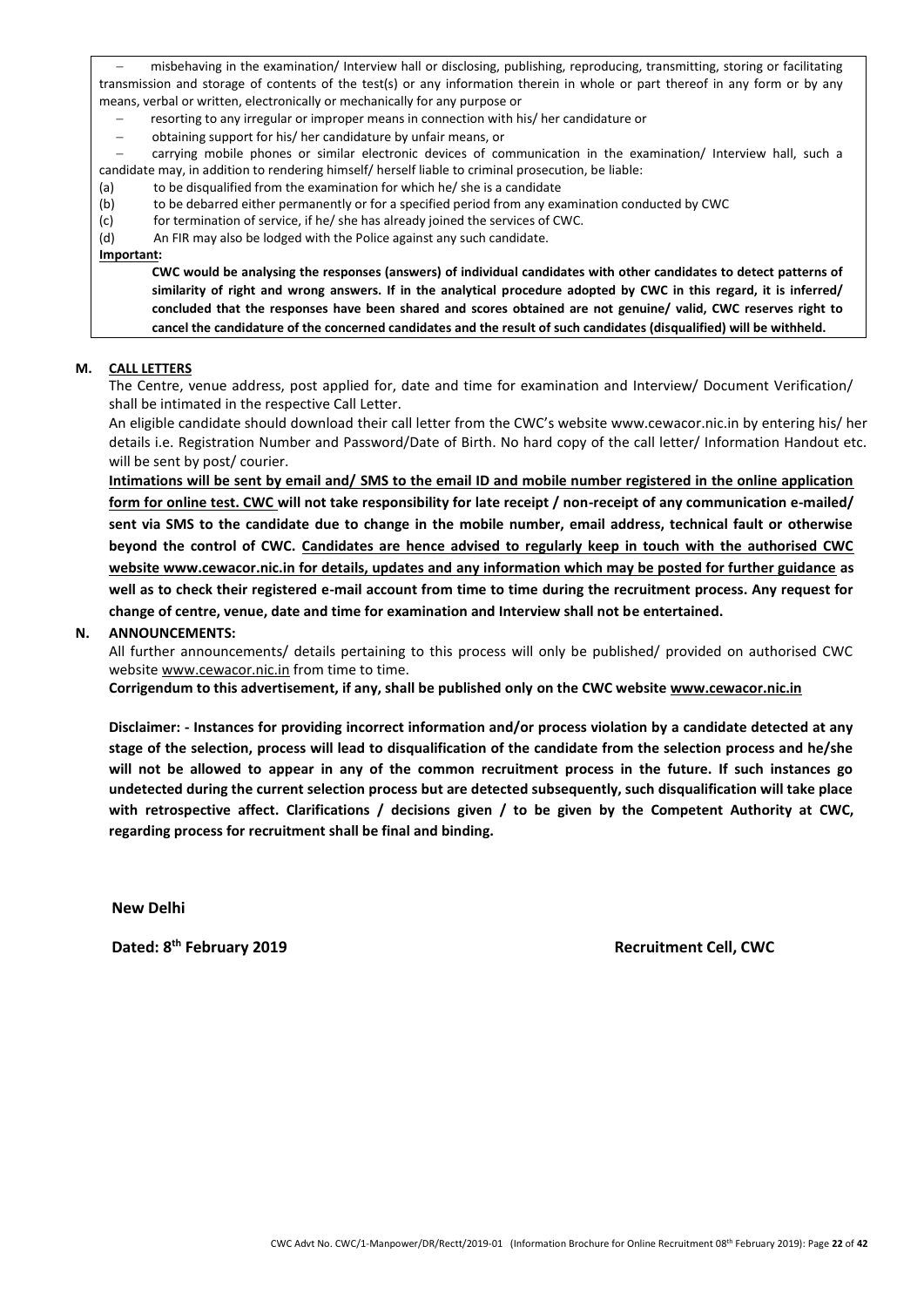misbehaving in the examination/ Interview hall or disclosing, publishing, reproducing, transmitting, storing or facilitating transmission and storage of contents of the test(s) or any information therein in whole or part thereof in any form or by any means, verbal or written, electronically or mechanically for any purpose or

- resorting to any irregular or improper means in connection with his/ her candidature or
- − obtaining support for his/ her candidature by unfair means, or
- − carrying mobile phones or similar electronic devices of communication in the examination/ Interview hall, such a candidate may, in addition to rendering himself/ herself liable to criminal prosecution, be liable:
- (a) to be disqualified from the examination for which he/ she is a candidate
- (b) to be debarred either permanently or for a specified period from any examination conducted by CWC
- (c) for termination of service, if he/ she has already joined the services of CWC.
- (d) An FIR may also be lodged with the Police against any such candidate.

#### **Important:**

**CWC would be analysing the responses (answers) of individual candidates with other candidates to detect patterns of similarity of right and wrong answers. If in the analytical procedure adopted by CWC in this regard, it is inferred/ concluded that the responses have been shared and scores obtained are not genuine/ valid, CWC reserves right to cancel the candidature of the concerned candidates and the result of such candidates (disqualified) will be withheld.**

#### **M. CALL LETTERS**

The Centre, venue address, post applied for, date and time for examination and Interview/ Document Verification/ shall be intimated in the respective Call Letter.

An eligible candidate should download their call letter from the CWC's website www.cewacor.nic.in by entering his/ her details i.e. Registration Number and Password/Date of Birth. No hard copy of the call letter/ Information Handout etc. will be sent by post/ courier.

**Intimations will be sent by email and/ SMS to the email ID and mobile number registered in the online application form for online test. CWC will not take responsibility for late receipt / non-receipt of any communication e-mailed/ sent via SMS to the candidate due to change in the mobile number, email address, technical fault or otherwise beyond the control of CWC. Candidates are hence advised to regularly keep in touch with the authorised CWC website www.cewacor.nic.in for details, updates and any information which may be posted for further guidance as well as to check their registered e-mail account from time to time during the recruitment process. Any request for change of centre, venue, date and time for examination and Interview shall not be entertained.**

#### **N. ANNOUNCEMENTS:**

All further announcements/ details pertaining to this process will only be published/ provided on authorised CWC website www.cewacor.nic.in from time to time.

**Corrigendum to this advertisement, if any, shall be published only on the CWC website [www.cewacor.nic.in](http://www.cewacor.nic.in/)**

**Disclaimer: - Instances for providing incorrect information and/or process violation by a candidate detected at any stage of the selection, process will lead to disqualification of the candidate from the selection process and he/she will not be allowed to appear in any of the common recruitment process in the future. If such instances go undetected during the current selection process but are detected subsequently, such disqualification will take place with retrospective affect. Clarifications / decisions given / to be given by the Competent Authority at CWC, regarding process for recruitment shall be final and binding.**

**New Delhi** 

**Dated: 8**

**Recruitment Cell, CWC**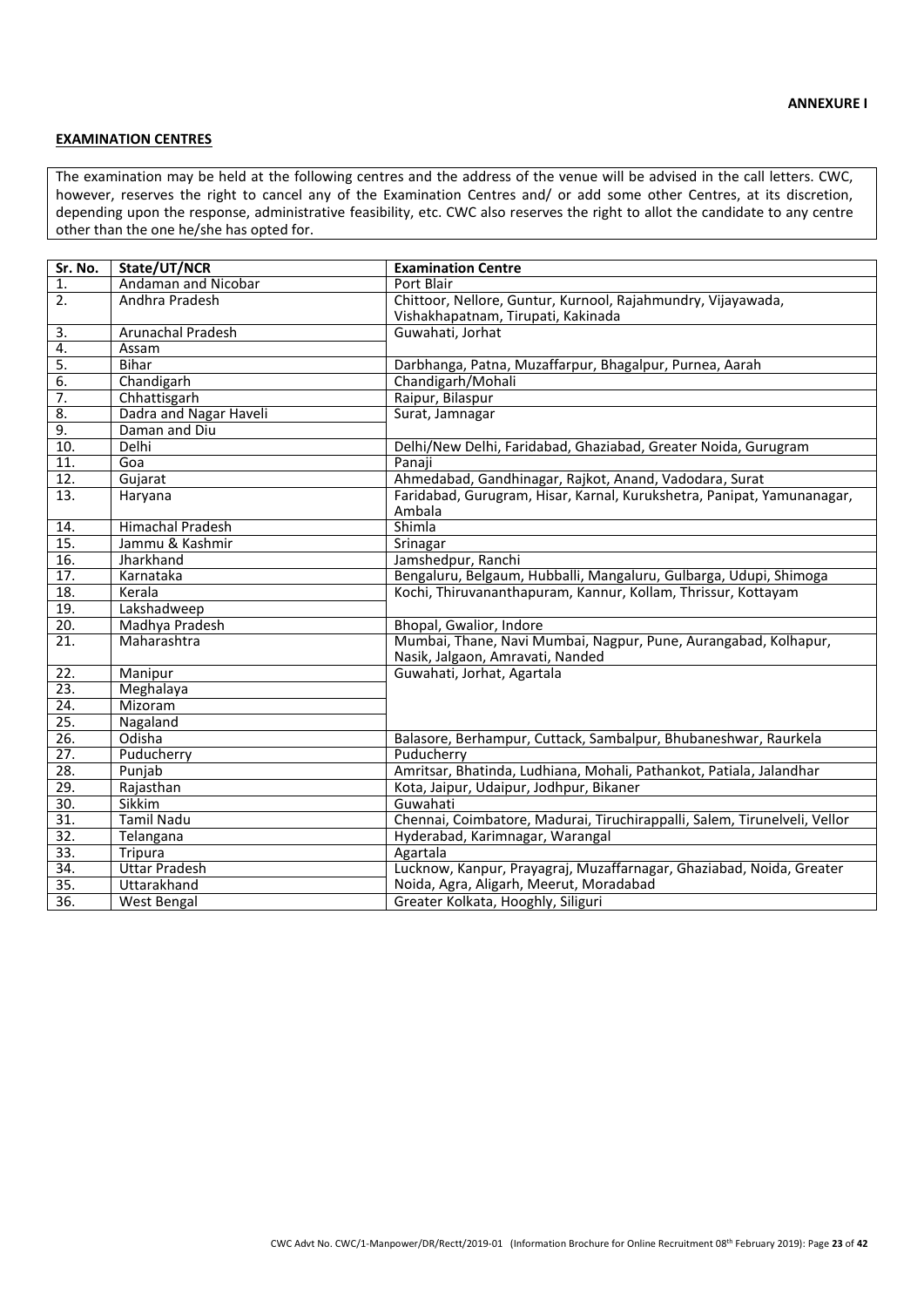#### **EXAMINATION CENTRES**

The examination may be held at the following centres and the address of the venue will be advised in the call letters. CWC, however, reserves the right to cancel any of the Examination Centres and/ or add some other Centres, at its discretion, depending upon the response, administrative feasibility, etc. CWC also reserves the right to allot the candidate to any centre other than the one he/she has opted for.

| Sr. No.           | State/UT/NCR            | <b>Examination Centre</b>                                                 |
|-------------------|-------------------------|---------------------------------------------------------------------------|
| 1.                | Andaman and Nicobar     | Port Blair                                                                |
| 2.                | Andhra Pradesh          | Chittoor, Nellore, Guntur, Kurnool, Rajahmundry, Vijayawada,              |
|                   |                         | Vishakhapatnam, Tirupati, Kakinada                                        |
| 3.                | Arunachal Pradesh       | Guwahati, Jorhat                                                          |
| 4.                | Assam                   |                                                                           |
| $\overline{5}$ .  | <b>Bihar</b>            | Darbhanga, Patna, Muzaffarpur, Bhagalpur, Purnea, Aarah                   |
| 6.                | Chandigarh              | Chandigarh/Mohali                                                         |
| $\overline{7}$ .  | Chhattisgarh            | Raipur, Bilaspur                                                          |
| $\overline{8}$ .  | Dadra and Nagar Haveli  | Surat, Jamnagar                                                           |
| 9.                | Daman and Diu           |                                                                           |
| 10.               | Delhi                   | Delhi/New Delhi, Faridabad, Ghaziabad, Greater Noida, Gurugram            |
| $\overline{11}$ . | Goa                     | Panaji                                                                    |
| 12.               | Gujarat                 | Ahmedabad, Gandhinagar, Rajkot, Anand, Vadodara, Surat                    |
| 13.               | Haryana                 | Faridabad, Gurugram, Hisar, Karnal, Kurukshetra, Panipat, Yamunanagar,    |
|                   |                         | Ambala                                                                    |
| 14.               | <b>Himachal Pradesh</b> | Shimla                                                                    |
| 15.               | Jammu & Kashmir         | Srinagar                                                                  |
| 16.               | Jharkhand               | Jamshedpur, Ranchi                                                        |
| 17.               | Karnataka               | Bengaluru, Belgaum, Hubballi, Mangaluru, Gulbarga, Udupi, Shimoga         |
| $\overline{18}$ . | Kerala                  | Kochi, Thiruvananthapuram, Kannur, Kollam, Thrissur, Kottayam             |
| 19.               | Lakshadweep             |                                                                           |
| $\overline{20}$ . | Madhya Pradesh          | Bhopal, Gwalior, Indore                                                   |
| 21.               | Maharashtra             | Mumbai, Thane, Navi Mumbai, Nagpur, Pune, Aurangabad, Kolhapur,           |
|                   |                         | Nasik, Jalgaon, Amravati, Nanded                                          |
| $\overline{22}$ . | Manipur                 | Guwahati, Jorhat, Agartala                                                |
| 23.               | Meghalaya               |                                                                           |
| 24.               | Mizoram                 |                                                                           |
| 25.               | Nagaland                |                                                                           |
| 26.               | Odisha                  | Balasore, Berhampur, Cuttack, Sambalpur, Bhubaneshwar, Raurkela           |
| 27.               | Puducherry              | Puducherry                                                                |
| 28.               | Punjab                  | Amritsar, Bhatinda, Ludhiana, Mohali, Pathankot, Patiala, Jalandhar       |
| 29.               | Rajasthan               | Kota, Jaipur, Udaipur, Jodhpur, Bikaner                                   |
| 30.               | Sikkim                  | Guwahati                                                                  |
| 31.               | <b>Tamil Nadu</b>       | Chennai, Coimbatore, Madurai, Tiruchirappalli, Salem, Tirunelveli, Vellor |
| $\overline{32}$ . | Telangana               | Hyderabad, Karimnagar, Warangal                                           |
| 33.               | Tripura                 | Agartala                                                                  |
| 34.               | <b>Uttar Pradesh</b>    | Lucknow, Kanpur, Prayagraj, Muzaffarnagar, Ghaziabad, Noida, Greater      |
| $\overline{35}$ . | Uttarakhand             | Noida, Agra, Aligarh, Meerut, Moradabad                                   |
| 36.               | West Bengal             | Greater Kolkata, Hooghly, Siliguri                                        |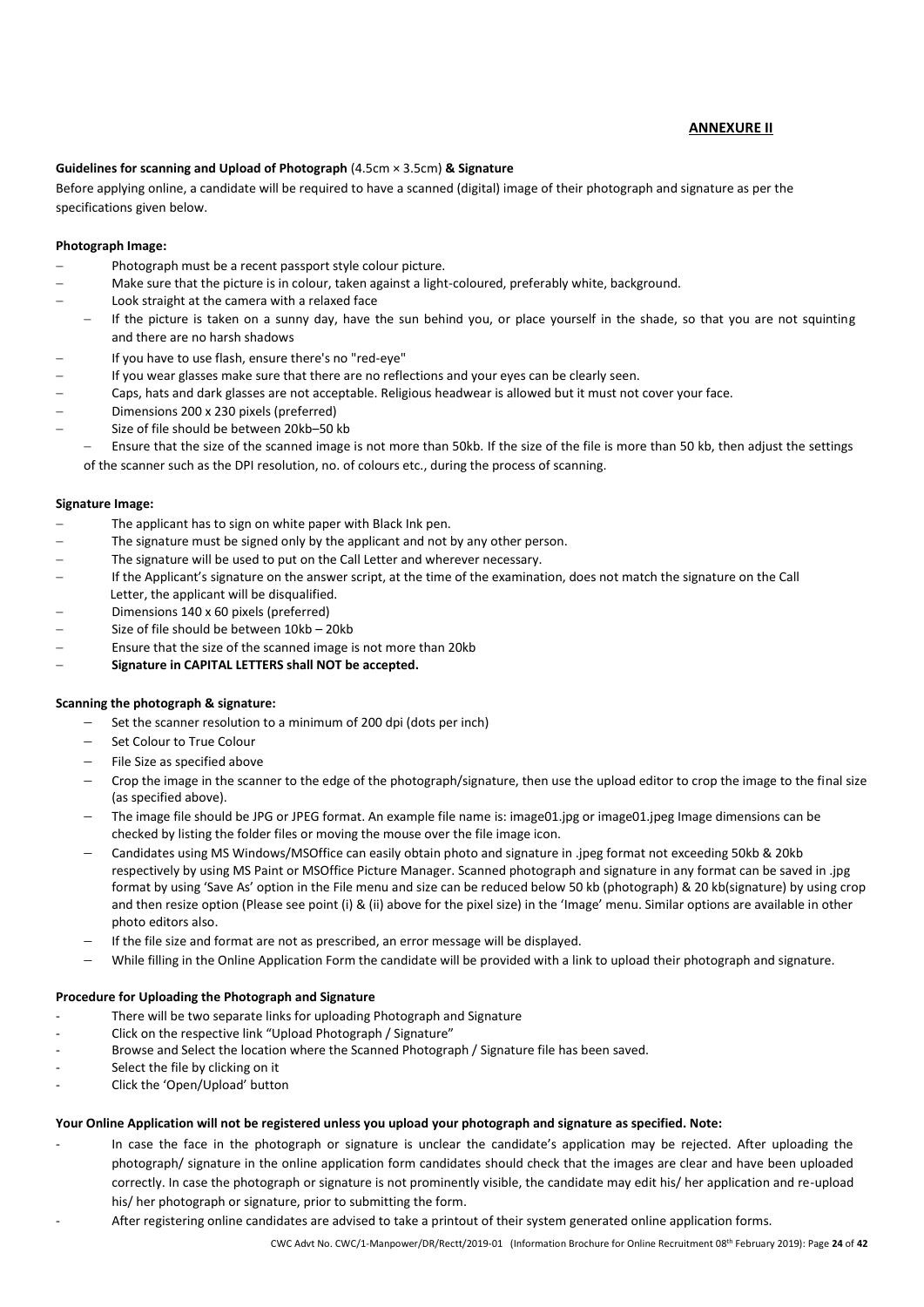#### **ANNEXURE II**

#### **Guidelines for scanning and Upload of Photograph** (4.5cm × 3.5cm) **& Signature**

Before applying online, a candidate will be required to have a scanned (digital) image of their photograph and signature as per the specifications given below.

#### **Photograph Image:**

- Photograph must be a recent passport style colour picture.
- − Make sure that the picture is in colour, taken against a light-coloured, preferably white, background.
- Look straight at the camera with a relaxed face
- − If the picture is taken on a sunny day, have the sun behind you, or place yourself in the shade, so that you are not squinting and there are no harsh shadows
- − If you have to use flash, ensure there's no "red-eye"
- If you wear glasses make sure that there are no reflections and your eyes can be clearly seen.
- − Caps, hats and dark glasses are not acceptable. Religious headwear is allowed but it must not cover your face.
- − Dimensions 200 x 230 pixels (preferred)
- − Size of file should be between 20kb–50 kb

Ensure that the size of the scanned image is not more than 50kb. If the size of the file is more than 50 kb, then adjust the settings of the scanner such as the DPI resolution, no. of colours etc., during the process of scanning.

#### **Signature Image:**

- The applicant has to sign on white paper with Black Ink pen.
- The signature must be signed only by the applicant and not by any other person.
- The signature will be used to put on the Call Letter and wherever necessary.
- − If the Applicant's signature on the answer script, at the time of the examination, does not match the signature on the Call Letter, the applicant will be disqualified.
- Dimensions 140 x 60 pixels (preferred)
- − Size of file should be between 10kb 20kb
- Ensure that the size of the scanned image is not more than 20kb
- − **Signature in CAPITAL LETTERS shall NOT be accepted.**

#### **Scanning the photograph & signature:**

- Set the scanner resolution to a minimum of 200 dpi (dots per inch)
- − Set Colour to True Colour
- − File Size as specified above
- − Crop the image in the scanner to the edge of the photograph/signature, then use the upload editor to crop the image to the final size (as specified above).
- − The image file should be JPG or JPEG format. An example file name is: image01.jpg or image01.jpeg Image dimensions can be checked by listing the folder files or moving the mouse over the file image icon.
- − Candidates using MS Windows/MSOffice can easily obtain photo and signature in .jpeg format not exceeding 50kb & 20kb respectively by using MS Paint or MSOffice Picture Manager. Scanned photograph and signature in any format can be saved in .jpg format by using 'Save As' option in the File menu and size can be reduced below 50 kb (photograph) & 20 kb(signature) by using crop and then resize option (Please see point (i) & (ii) above for the pixel size) in the 'Image' menu. Similar options are available in other photo editors also.
- − If the file size and format are not as prescribed, an error message will be displayed.
- − While filling in the Online Application Form the candidate will be provided with a link to upload their photograph and signature.

#### **Procedure for Uploading the Photograph and Signature**

- There will be two separate links for uploading Photograph and Signature
- Click on the respective link "Upload Photograph / Signature"
- Browse and Select the location where the Scanned Photograph / Signature file has been saved.
- Select the file by clicking on it
- Click the 'Open/Upload' button

#### **Your Online Application will not be registered unless you upload your photograph and signature as specified. Note:**

- In case the face in the photograph or signature is unclear the candidate's application may be rejected. After uploading the photograph/ signature in the online application form candidates should check that the images are clear and have been uploaded correctly. In case the photograph or signature is not prominently visible, the candidate may edit his/ her application and re-upload his/ her photograph or signature, prior to submitting the form.
- After registering online candidates are advised to take a printout of their system generated online application forms.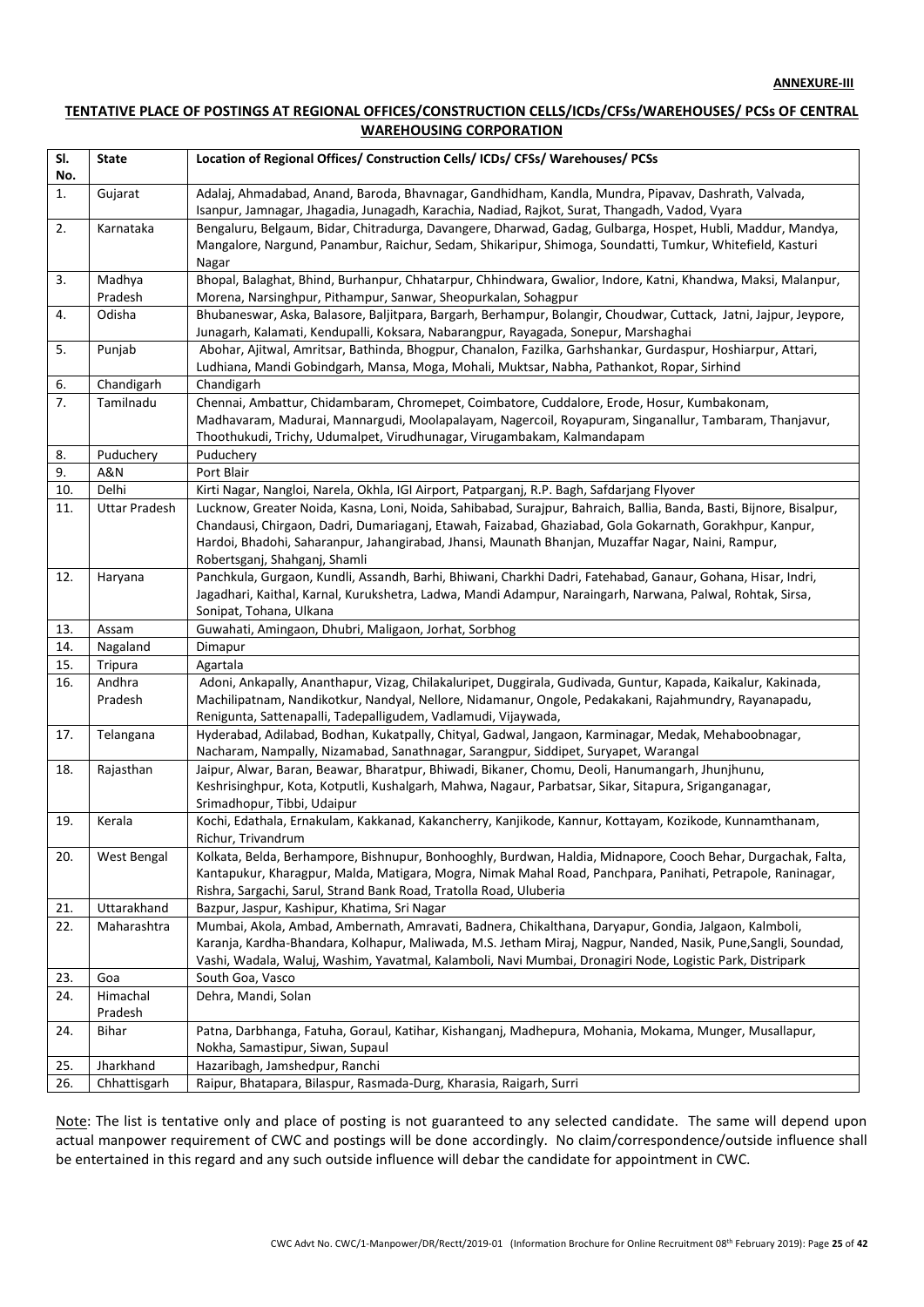#### **TENTATIVE PLACE OF POSTINGS AT REGIONAL OFFICES/CONSTRUCTION CELLS/ICDs/CFSs/WAREHOUSES/ PCSs OF CENTRAL WAREHOUSING CORPORATION**

| SI. | <b>State</b>         | Location of Regional Offices/ Construction Cells/ ICDs/ CFSs/ Warehouses/ PCSs                                                                                                                                                    |
|-----|----------------------|-----------------------------------------------------------------------------------------------------------------------------------------------------------------------------------------------------------------------------------|
| No. |                      |                                                                                                                                                                                                                                   |
| 1.  | Gujarat              | Adalaj, Ahmadabad, Anand, Baroda, Bhavnagar, Gandhidham, Kandla, Mundra, Pipavav, Dashrath, Valvada,<br>Isanpur, Jamnagar, Jhagadia, Junagadh, Karachia, Nadiad, Rajkot, Surat, Thangadh, Vadod, Vyara                            |
| 2.  | Karnataka            | Bengaluru, Belgaum, Bidar, Chitradurga, Davangere, Dharwad, Gadag, Gulbarga, Hospet, Hubli, Maddur, Mandya,<br>Mangalore, Nargund, Panambur, Raichur, Sedam, Shikaripur, Shimoga, Soundatti, Tumkur, Whitefield, Kasturi<br>Nagar |
| 3.  | Madhya               | Bhopal, Balaghat, Bhind, Burhanpur, Chhatarpur, Chhindwara, Gwalior, Indore, Katni, Khandwa, Maksi, Malanpur,                                                                                                                     |
|     | Pradesh              | Morena, Narsinghpur, Pithampur, Sanwar, Sheopurkalan, Sohagpur                                                                                                                                                                    |
| 4.  | Odisha               | Bhubaneswar, Aska, Balasore, Baljitpara, Bargarh, Berhampur, Bolangir, Choudwar, Cuttack, Jatni, Jajpur, Jeypore,<br>Junagarh, Kalamati, Kendupalli, Koksara, Nabarangpur, Rayagada, Sonepur, Marshaghai                          |
| 5.  | Punjab               | Abohar, Ajitwal, Amritsar, Bathinda, Bhogpur, Chanalon, Fazilka, Garhshankar, Gurdaspur, Hoshiarpur, Attari,                                                                                                                      |
|     |                      | Ludhiana, Mandi Gobindgarh, Mansa, Moga, Mohali, Muktsar, Nabha, Pathankot, Ropar, Sirhind                                                                                                                                        |
| 6.  | Chandigarh           | Chandigarh                                                                                                                                                                                                                        |
| 7.  | Tamilnadu            | Chennai, Ambattur, Chidambaram, Chromepet, Coimbatore, Cuddalore, Erode, Hosur, Kumbakonam,                                                                                                                                       |
|     |                      | Madhavaram, Madurai, Mannargudi, Moolapalayam, Nagercoil, Royapuram, Singanallur, Tambaram, Thanjavur,                                                                                                                            |
|     |                      | Thoothukudi, Trichy, Udumalpet, Virudhunagar, Virugambakam, Kalmandapam                                                                                                                                                           |
| 8.  | Puduchery            | Puduchery                                                                                                                                                                                                                         |
| 9.  | A&N                  | Port Blair                                                                                                                                                                                                                        |
| 10. | Delhi                | Kirti Nagar, Nangloi, Narela, Okhla, IGI Airport, Patparganj, R.P. Bagh, Safdarjang Flyover                                                                                                                                       |
| 11. | <b>Uttar Pradesh</b> | Lucknow, Greater Noida, Kasna, Loni, Noida, Sahibabad, Surajpur, Bahraich, Ballia, Banda, Basti, Bijnore, Bisalpur,                                                                                                               |
|     |                      | Chandausi, Chirgaon, Dadri, Dumariaganj, Etawah, Faizabad, Ghaziabad, Gola Gokarnath, Gorakhpur, Kanpur,                                                                                                                          |
|     |                      | Hardoi, Bhadohi, Saharanpur, Jahangirabad, Jhansi, Maunath Bhanjan, Muzaffar Nagar, Naini, Rampur,                                                                                                                                |
|     |                      | Robertsganj, Shahganj, Shamli                                                                                                                                                                                                     |
| 12. | Haryana              | Panchkula, Gurgaon, Kundli, Assandh, Barhi, Bhiwani, Charkhi Dadri, Fatehabad, Ganaur, Gohana, Hisar, Indri,                                                                                                                      |
|     |                      | Jagadhari, Kaithal, Karnal, Kurukshetra, Ladwa, Mandi Adampur, Naraingarh, Narwana, Palwal, Rohtak, Sirsa,                                                                                                                        |
|     |                      | Sonipat, Tohana, Ulkana                                                                                                                                                                                                           |
| 13. | Assam                | Guwahati, Amingaon, Dhubri, Maligaon, Jorhat, Sorbhog                                                                                                                                                                             |
| 14. | Nagaland             | Dimapur                                                                                                                                                                                                                           |
| 15. | Tripura              | Agartala                                                                                                                                                                                                                          |
| 16. | Andhra               | Adoni, Ankapally, Ananthapur, Vizag, Chilakaluripet, Duggirala, Gudivada, Guntur, Kapada, Kaikalur, Kakinada,                                                                                                                     |
|     | Pradesh              | Machilipatnam, Nandikotkur, Nandyal, Nellore, Nidamanur, Ongole, Pedakakani, Rajahmundry, Rayanapadu,                                                                                                                             |
|     |                      | Renigunta, Sattenapalli, Tadepalligudem, Vadlamudi, Vijaywada,                                                                                                                                                                    |
| 17. | Telangana            | Hyderabad, Adilabad, Bodhan, Kukatpally, Chityal, Gadwal, Jangaon, Karminagar, Medak, Mehaboobnagar,<br>Nacharam, Nampally, Nizamabad, Sanathnagar, Sarangpur, Siddipet, Suryapet, Warangal                                       |
| 18. | Rajasthan            | Jaipur, Alwar, Baran, Beawar, Bharatpur, Bhiwadi, Bikaner, Chomu, Deoli, Hanumangarh, Jhunjhunu,                                                                                                                                  |
|     |                      | Keshrisinghpur, Kota, Kotputli, Kushalgarh, Mahwa, Nagaur, Parbatsar, Sikar, Sitapura, Sriganganagar,                                                                                                                             |
|     |                      | Srimadhopur, Tibbi, Udaipur                                                                                                                                                                                                       |
| 19. | Kerala               | Kochi, Edathala, Ernakulam, Kakkanad, Kakancherry, Kanjikode, Kannur, Kottayam, Kozikode, Kunnamthanam,                                                                                                                           |
|     |                      | Richur, Trivandrum                                                                                                                                                                                                                |
| 20. | West Bengal          | Kolkata, Belda, Berhampore, Bishnupur, Bonhooghly, Burdwan, Haldia, Midnapore, Cooch Behar, Durgachak, Falta,                                                                                                                     |
|     |                      | Kantapukur, Kharagpur, Malda, Matigara, Mogra, Nimak Mahal Road, Panchpara, Panihati, Petrapole, Raninagar,                                                                                                                       |
|     |                      | Rishra, Sargachi, Sarul, Strand Bank Road, Tratolla Road, Uluberia                                                                                                                                                                |
| 21. | Uttarakhand          | Bazpur, Jaspur, Kashipur, Khatima, Sri Nagar                                                                                                                                                                                      |
| 22. | Maharashtra          | Mumbai, Akola, Ambad, Ambernath, Amravati, Badnera, Chikalthana, Daryapur, Gondia, Jalgaon, Kalmboli,                                                                                                                             |
|     |                      | Karanja, Kardha-Bhandara, Kolhapur, Maliwada, M.S. Jetham Miraj, Nagpur, Nanded, Nasik, Pune,Sangli, Soundad,                                                                                                                     |
|     |                      | Vashi, Wadala, Waluj, Washim, Yavatmal, Kalamboli, Navi Mumbai, Dronagiri Node, Logistic Park, Distripark                                                                                                                         |
| 23. | Goa                  | South Goa, Vasco                                                                                                                                                                                                                  |
| 24. | Himachal             | Dehra, Mandi, Solan                                                                                                                                                                                                               |
|     | Pradesh              |                                                                                                                                                                                                                                   |
| 24. | Bihar                | Patna, Darbhanga, Fatuha, Goraul, Katihar, Kishanganj, Madhepura, Mohania, Mokama, Munger, Musallapur,                                                                                                                            |
|     |                      | Nokha, Samastipur, Siwan, Supaul                                                                                                                                                                                                  |
| 25. | Jharkhand            | Hazaribagh, Jamshedpur, Ranchi                                                                                                                                                                                                    |
| 26. | Chhattisgarh         | Raipur, Bhatapara, Bilaspur, Rasmada-Durg, Kharasia, Raigarh, Surri                                                                                                                                                               |

Note: The list is tentative only and place of posting is not guaranteed to any selected candidate. The same will depend upon actual manpower requirement of CWC and postings will be done accordingly. No claim/correspondence/outside influence shall be entertained in this regard and any such outside influence will debar the candidate for appointment in CWC.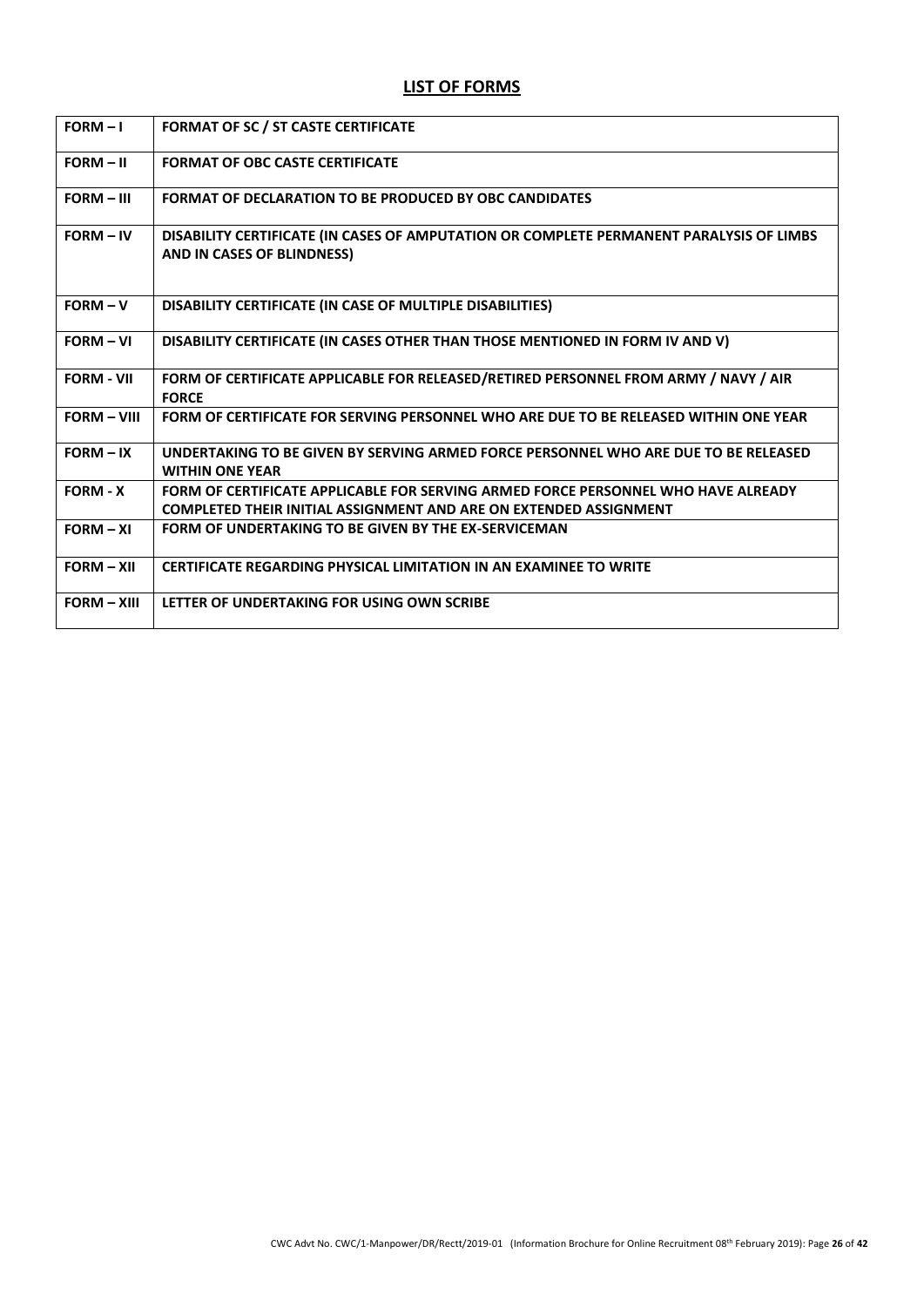# **LIST OF FORMS**

| $FORM - I$         | <b>FORMAT OF SC / ST CASTE CERTIFICATE</b>                                                                                                                    |
|--------------------|---------------------------------------------------------------------------------------------------------------------------------------------------------------|
| $FORM - II$        | <b>FORMAT OF OBC CASTE CERTIFICATE</b>                                                                                                                        |
| $FORM - III$       | <b>FORMAT OF DECLARATION TO BE PRODUCED BY OBC CANDIDATES</b>                                                                                                 |
| $FORM - IV$        | DISABILITY CERTIFICATE (IN CASES OF AMPUTATION OR COMPLETE PERMANENT PARALYSIS OF LIMBS<br>AND IN CASES OF BLINDNESS)                                         |
| $FORM - V$         | DISABILITY CERTIFICATE (IN CASE OF MULTIPLE DISABILITIES)                                                                                                     |
| $FORM - VI$        | DISABILITY CERTIFICATE (IN CASES OTHER THAN THOSE MENTIONED IN FORM IV AND V)                                                                                 |
| <b>FORM - VII</b>  | FORM OF CERTIFICATE APPLICABLE FOR RELEASED/RETIRED PERSONNEL FROM ARMY / NAVY / AIR<br><b>FORCE</b>                                                          |
| <b>FORM - VIII</b> | FORM OF CERTIFICATE FOR SERVING PERSONNEL WHO ARE DUE TO BE RELEASED WITHIN ONE YEAR                                                                          |
| $FORM - IX$        | UNDERTAKING TO BE GIVEN BY SERVING ARMED FORCE PERSONNEL WHO ARE DUE TO BE RELEASED<br><b>WITHIN ONE YEAR</b>                                                 |
| <b>FORM - X</b>    | FORM OF CERTIFICATE APPLICABLE FOR SERVING ARMED FORCE PERSONNEL WHO HAVE ALREADY<br><b>COMPLETED THEIR INITIAL ASSIGNMENT AND ARE ON EXTENDED ASSIGNMENT</b> |
| $FORM - XI$        | <b>FORM OF UNDERTAKING TO BE GIVEN BY THE EX-SERVICEMAN</b>                                                                                                   |
| $FORM - XII$       | <b>CERTIFICATE REGARDING PHYSICAL LIMITATION IN AN EXAMINEE TO WRITE</b>                                                                                      |
| $FORM - XIII$      | LETTER OF UNDERTAKING FOR USING OWN SCRIBE                                                                                                                    |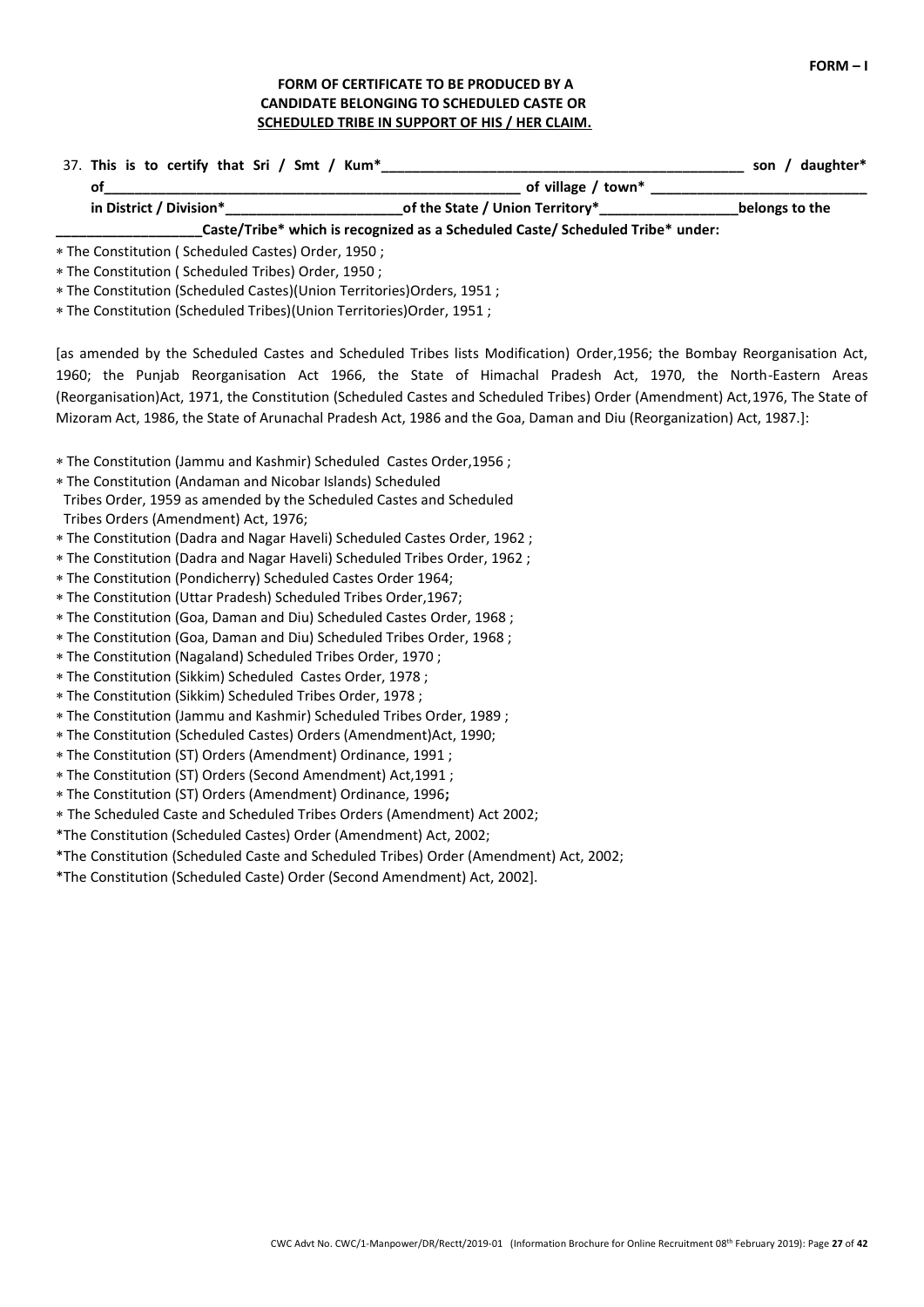### **FORM OF CERTIFICATE TO BE PRODUCED BY A CANDIDATE BELONGING TO SCHEDULED CASTE OR SCHEDULED TRIBE IN SUPPORT OF HIS / HER CLAIM.**

| 37. This is to certify that Sri / Smt / Kum* |                                                                                | daughter*<br>son |
|----------------------------------------------|--------------------------------------------------------------------------------|------------------|
| οt                                           | of village / town*                                                             |                  |
| in District / Division*                      | _of the State / Union Territory*____________                                   | belongs to the   |
|                                              | Caste/Tribe* which is recognized as a Scheduled Caste/ Scheduled Tribe* under: |                  |

The Constitution ( Scheduled Castes) Order, 1950 ;

The Constitution ( Scheduled Tribes) Order, 1950 ;

The Constitution (Scheduled Castes)(Union Territories)Orders, 1951 ;

The Constitution (Scheduled Tribes)(Union Territories)Order, 1951 ;

[as amended by the Scheduled Castes and Scheduled Tribes lists Modification) Order,1956; the Bombay Reorganisation Act, 1960; the Punjab Reorganisation Act 1966, the State of Himachal Pradesh Act, 1970, the North-Eastern Areas (Reorganisation)Act, 1971, the Constitution (Scheduled Castes and Scheduled Tribes) Order (Amendment) Act,1976, The State of Mizoram Act, 1986, the State of Arunachal Pradesh Act, 1986 and the Goa, Daman and Diu (Reorganization) Act, 1987.]:

The Constitution (Jammu and Kashmir) Scheduled Castes Order,1956 ;

The Constitution (Andaman and Nicobar Islands) Scheduled

- Tribes Order, 1959 as amended by the Scheduled Castes and Scheduled Tribes Orders (Amendment) Act, 1976;
- The Constitution (Dadra and Nagar Haveli) Scheduled Castes Order, 1962 ;
- The Constitution (Dadra and Nagar Haveli) Scheduled Tribes Order, 1962 ;
- The Constitution (Pondicherry) Scheduled Castes Order 1964;
- The Constitution (Uttar Pradesh) Scheduled Tribes Order,1967;
- The Constitution (Goa, Daman and Diu) Scheduled Castes Order, 1968 ;
- The Constitution (Goa, Daman and Diu) Scheduled Tribes Order, 1968 ;
- The Constitution (Nagaland) Scheduled Tribes Order, 1970 ;
- The Constitution (Sikkim) Scheduled Castes Order, 1978 ;
- The Constitution (Sikkim) Scheduled Tribes Order, 1978 ;
- The Constitution (Jammu and Kashmir) Scheduled Tribes Order, 1989 ;
- The Constitution (Scheduled Castes) Orders (Amendment)Act, 1990;
- The Constitution (ST) Orders (Amendment) Ordinance, 1991 ;
- The Constitution (ST) Orders (Second Amendment) Act,1991 ;
- The Constitution (ST) Orders (Amendment) Ordinance, 1996**;**
- The Scheduled Caste and Scheduled Tribes Orders (Amendment) Act 2002;
- \*The Constitution (Scheduled Castes) Order (Amendment) Act, 2002;
- \*The Constitution (Scheduled Caste and Scheduled Tribes) Order (Amendment) Act, 2002;

\*The Constitution (Scheduled Caste) Order (Second Amendment) Act, 2002].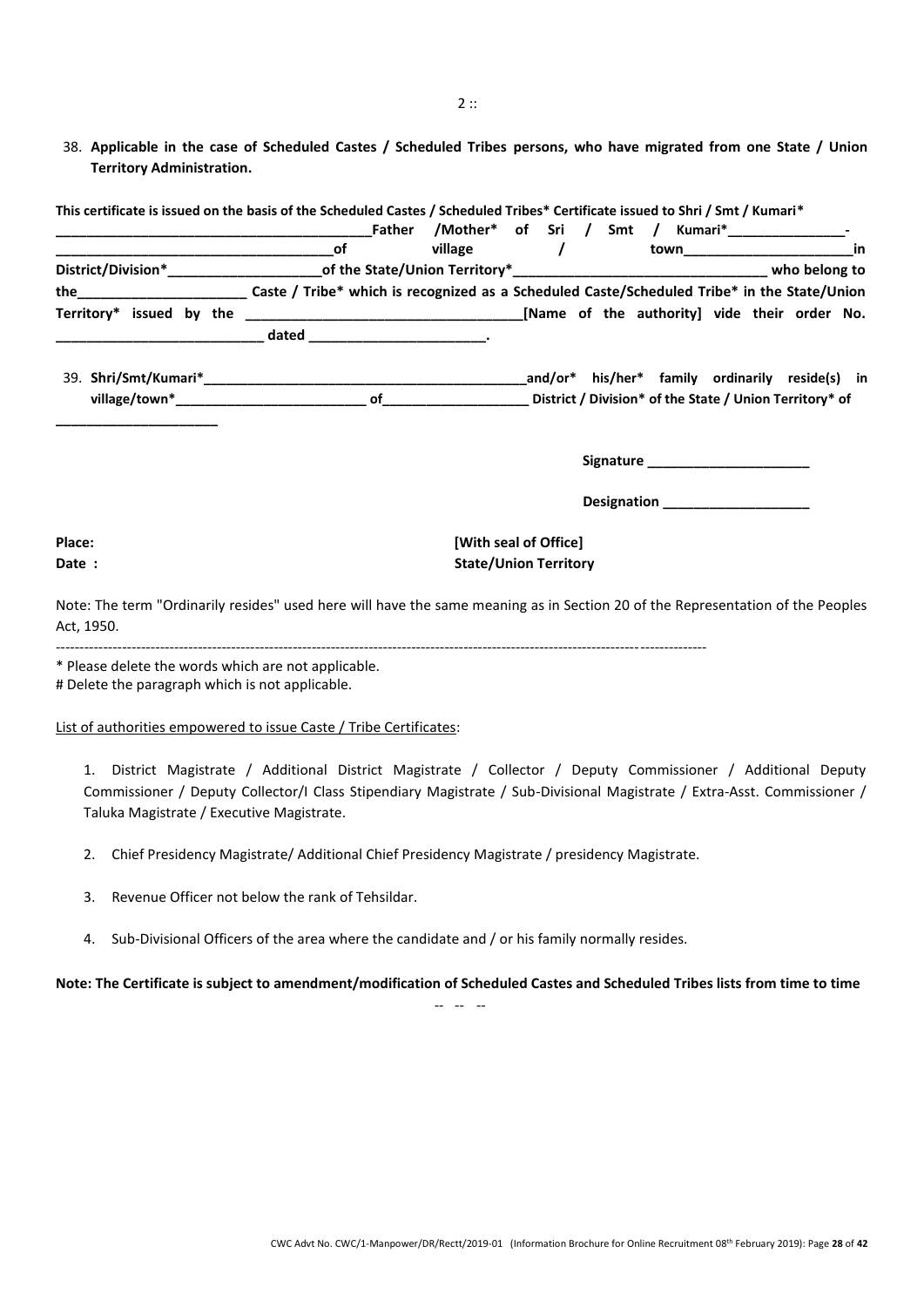38. **Applicable in the case of Scheduled Castes / Scheduled Tribes persons, who have migrated from one State / Union Territory Administration.**

| This certificate is issued on the basis of the Scheduled Castes / Scheduled Tribes* Certificate issued to Shri / Smt / Kumari*               |  |                              |                                    |    |
|----------------------------------------------------------------------------------------------------------------------------------------------|--|------------------------------|------------------------------------|----|
|                                                                                                                                              |  |                              |                                    |    |
|                                                                                                                                              |  |                              |                                    | in |
|                                                                                                                                              |  |                              |                                    |    |
| the____________________________Caste / Tribe* which is recognized as a Scheduled Caste/Scheduled Tribe* in the State/Union                   |  |                              |                                    |    |
|                                                                                                                                              |  |                              |                                    |    |
|                                                                                                                                              |  |                              |                                    |    |
|                                                                                                                                              |  |                              |                                    |    |
|                                                                                                                                              |  |                              |                                    |    |
|                                                                                                                                              |  |                              | Signature Signature                |    |
|                                                                                                                                              |  |                              | Designation ______________________ |    |
| Place:                                                                                                                                       |  | [With seal of Office]        |                                    |    |
| Date:                                                                                                                                        |  | <b>State/Union Territory</b> |                                    |    |
| Note: The term "Ordinarily resides" used here will have the same meaning as in Section 20 of the Representation of the Peoples<br>Act, 1950. |  |                              |                                    |    |

\* Please delete the words which are not applicable. # Delete the paragraph which is not applicable.

#### List of authorities empowered to issue Caste / Tribe Certificates:

1. District Magistrate / Additional District Magistrate / Collector / Deputy Commissioner / Additional Deputy Commissioner / Deputy Collector/I Class Stipendiary Magistrate / Sub-Divisional Magistrate / Extra-Asst. Commissioner / Taluka Magistrate / Executive Magistrate.

2. Chief Presidency Magistrate/ Additional Chief Presidency Magistrate / presidency Magistrate.

-----------------------------------------------------------------------------------------------------------------------------------------

- 3. Revenue Officer not below the rank of Tehsildar.
- 4. Sub-Divisional Officers of the area where the candidate and / or his family normally resides.

#### **Note: The Certificate is subject to amendment/modification of Scheduled Castes and Scheduled Tribes lists from time to time** -- -- --

 $2::$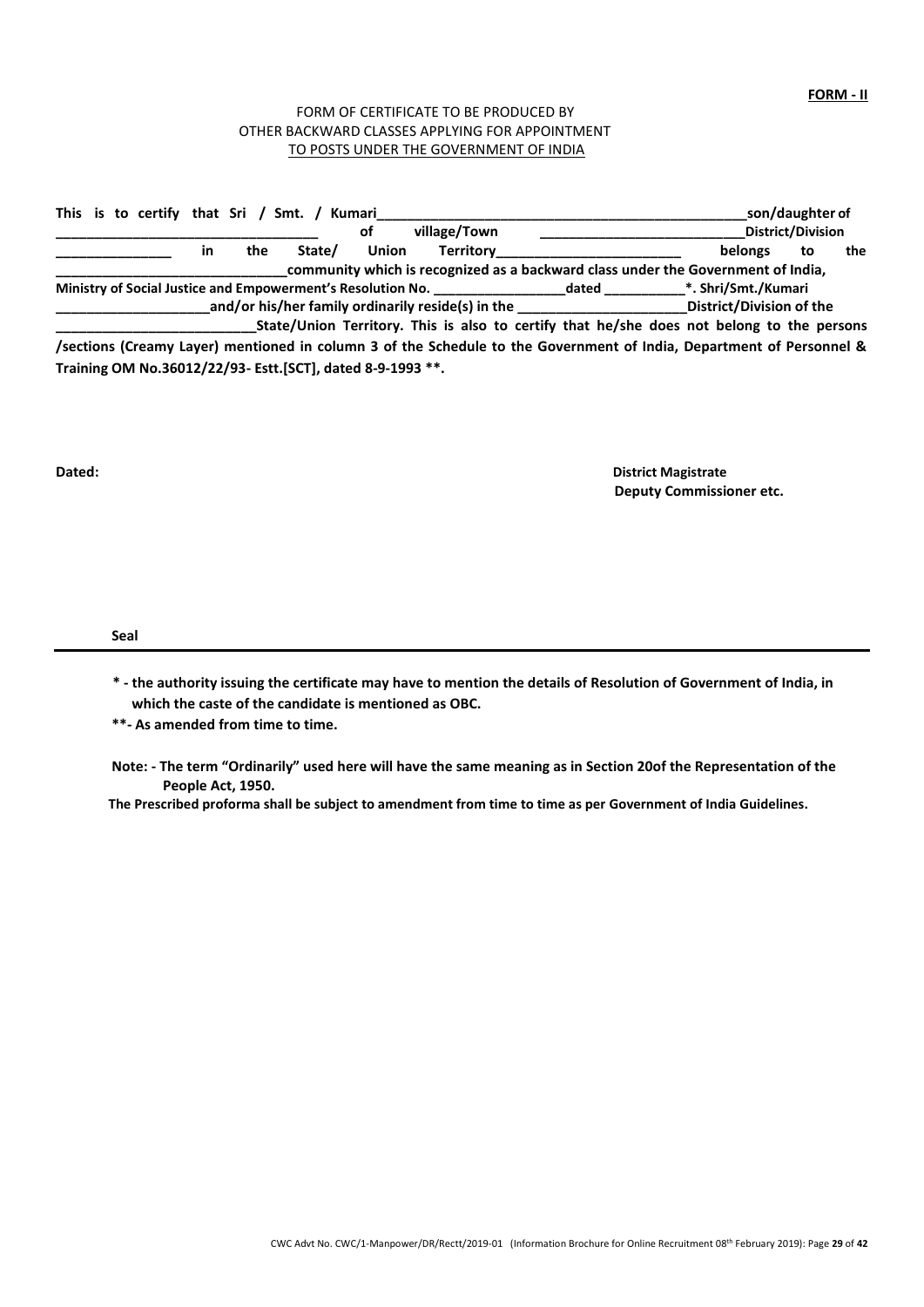#### FORM OF CERTIFICATE TO BE PRODUCED BY OTHER BACKWARD CLASSES APPLYING FOR APPOINTMENT TO POSTS UNDER THE GOVERNMENT OF INDIA

|  |  |           |     | This is to certify that Sri / Smt. / Kumari                |              |                                                             |                                                                                                                      |                          | son/daughter of          |     |
|--|--|-----------|-----|------------------------------------------------------------|--------------|-------------------------------------------------------------|----------------------------------------------------------------------------------------------------------------------|--------------------------|--------------------------|-----|
|  |  |           |     |                                                            | οf           | village/Town                                                |                                                                                                                      |                          | <b>District/Division</b> |     |
|  |  | <b>in</b> | the | State/                                                     | <b>Union</b> | Territory                                                   |                                                                                                                      | <b>belongs</b>           | to                       | the |
|  |  |           |     |                                                            |              |                                                             | community which is recognized as a backward class under the Government of India,                                     |                          |                          |     |
|  |  |           |     |                                                            |              | Ministry of Social Justice and Empowerment's Resolution No. | dated                                                                                                                | *. Shri/Smt./Kumari      |                          |     |
|  |  |           |     |                                                            |              |                                                             | and/or his/her family ordinarily reside(s) in the                                                                    | District/Division of the |                          |     |
|  |  |           |     |                                                            |              |                                                             | State/Union Territory. This is also to certify that he/she does not belong to the persons                            |                          |                          |     |
|  |  |           |     |                                                            |              |                                                             | /sections (Creamy Layer) mentioned in column 3 of the Schedule to the Government of India, Department of Personnel & |                          |                          |     |
|  |  |           |     | Training OM No.36012/22/93- Estt.[SCT], dated 8-9-1993 **. |              |                                                             |                                                                                                                      |                          |                          |     |

**Dated: District Magistrate Deputy Commissioner etc.**

**Seal**

- **\* - the authority issuing the certificate may have to mention the details of Resolution of Government of India, in which the caste of the candidate is mentioned as OBC.**
- **\*\*- As amended from time to time.**
- **Note: - The term "Ordinarily" used here will have the same meaning as in Section 20of the Representation of the People Act, 1950.**

**The Prescribed proforma shall be subject to amendment from time to time as per Government of India Guidelines.**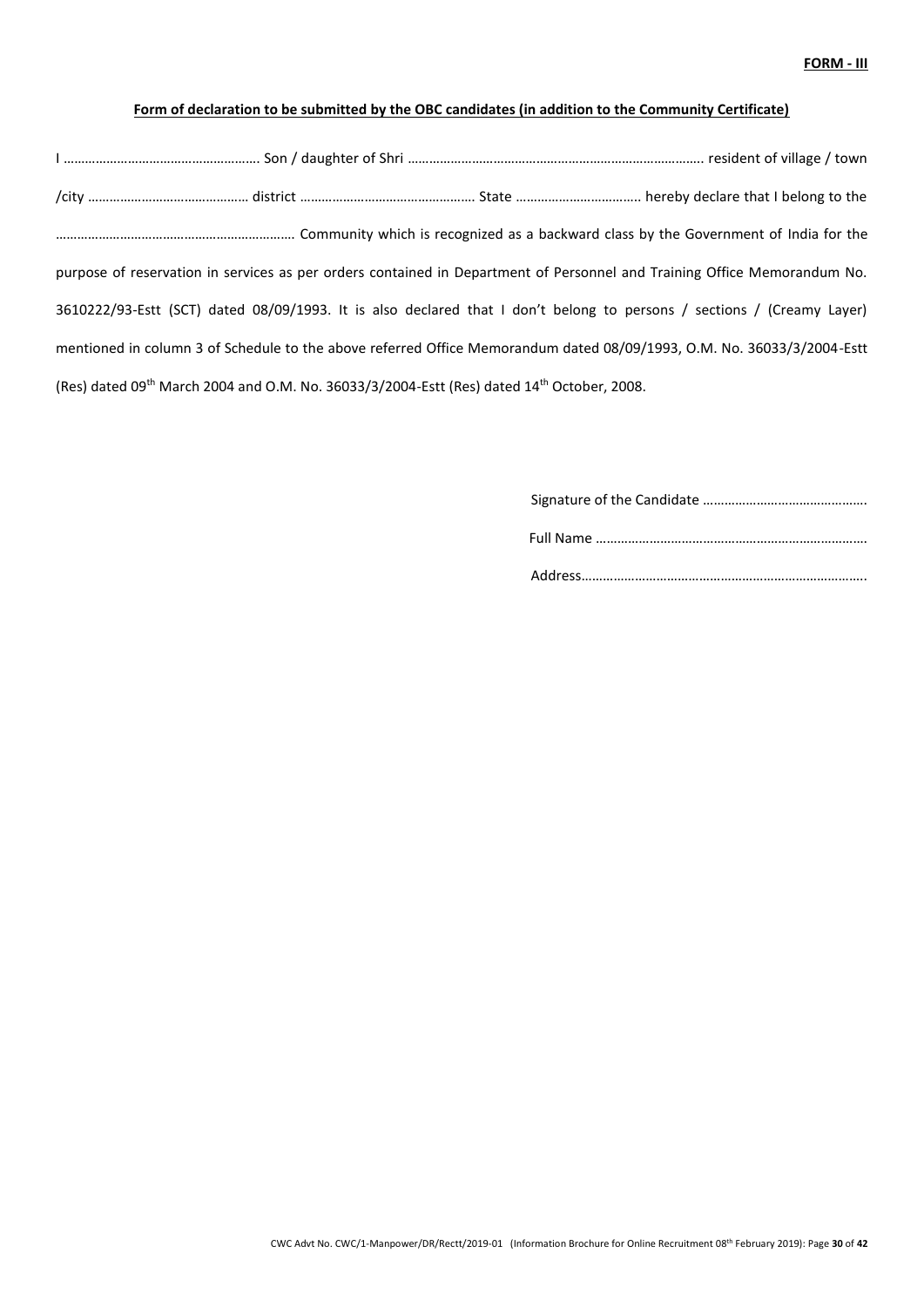### **Form of declaration to be submitted by the OBC candidates (in addition to the Community Certificate)**

| purpose of reservation in services as per orders contained in Department of Personnel and Training Office Memorandum No. |  |
|--------------------------------------------------------------------------------------------------------------------------|--|
| 3610222/93-Estt (SCT) dated 08/09/1993. It is also declared that I don't belong to persons / sections / (Creamy Layer)   |  |
| mentioned in column 3 of Schedule to the above referred Office Memorandum dated 08/09/1993, O.M. No. 36033/3/2004-Estt   |  |
| (Res) dated 09th March 2004 and O.M. No. 36033/3/2004-Estt (Res) dated 14th October, 2008.                               |  |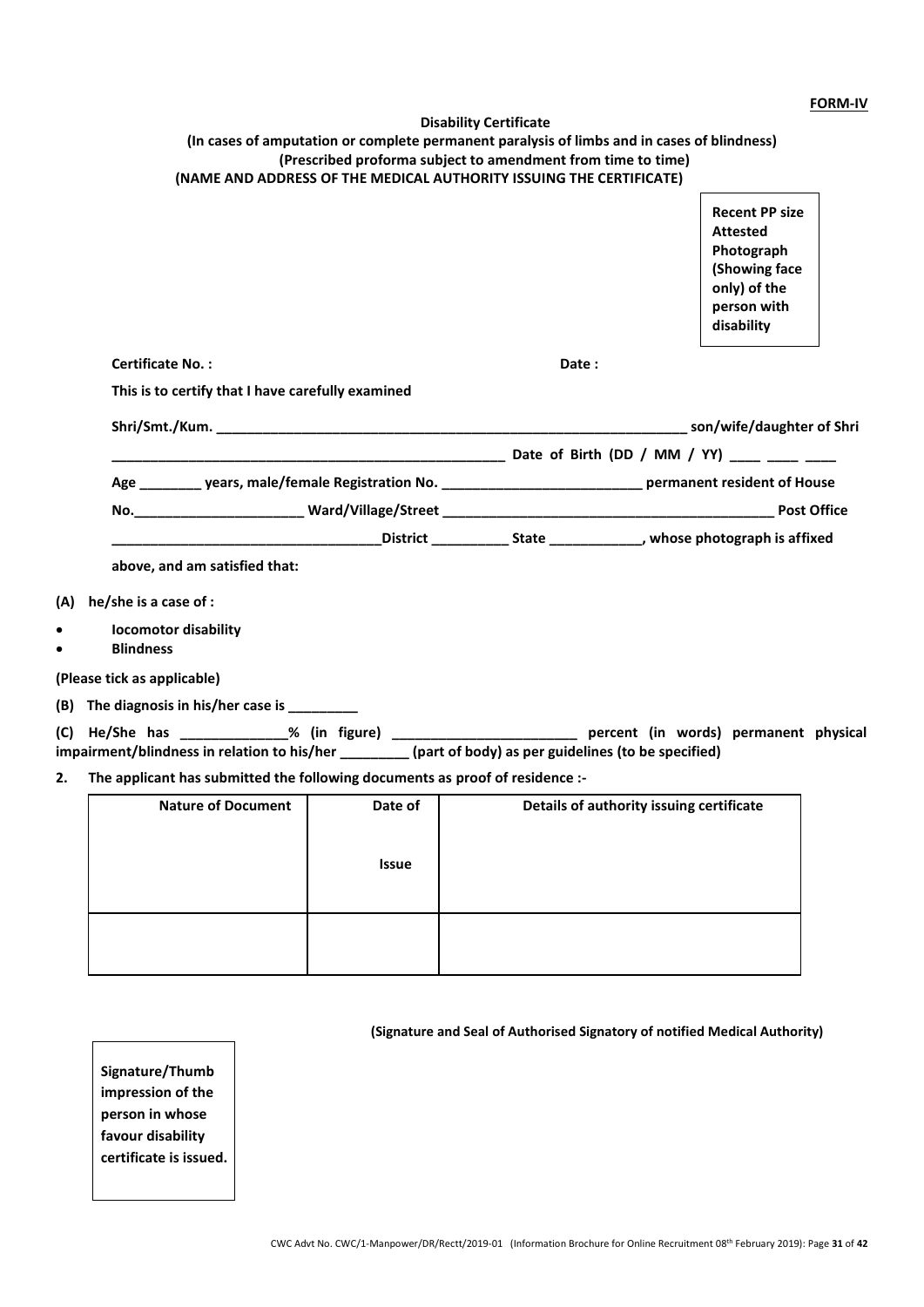#### **FORM-IV**

|           | (In cases of amputation or complete permanent paralysis of limbs and in cases of blindness)<br>(Prescribed proforma subject to amendment from time to time)<br>(NAME AND ADDRESS OF THE MEDICAL AUTHORITY ISSUING THE CERTIFICATE) | <b>Disability Certificate</b> |       |                                                                                                                      |  |
|-----------|------------------------------------------------------------------------------------------------------------------------------------------------------------------------------------------------------------------------------------|-------------------------------|-------|----------------------------------------------------------------------------------------------------------------------|--|
|           |                                                                                                                                                                                                                                    |                               |       | <b>Recent PP size</b><br><b>Attested</b><br>Photograph<br>(Showing face<br>only) of the<br>person with<br>disability |  |
|           | <b>Certificate No.:</b>                                                                                                                                                                                                            |                               | Date: |                                                                                                                      |  |
|           | This is to certify that I have carefully examined                                                                                                                                                                                  |                               |       |                                                                                                                      |  |
|           | Shri/Smt./Kum. Channels.com/wife/daughter of Shri                                                                                                                                                                                  |                               |       |                                                                                                                      |  |
|           |                                                                                                                                                                                                                                    |                               |       |                                                                                                                      |  |
|           | Age ________ years, male/female Registration No. ______________________________ permanent resident of House                                                                                                                        |                               |       |                                                                                                                      |  |
|           |                                                                                                                                                                                                                                    |                               |       |                                                                                                                      |  |
|           |                                                                                                                                                                                                                                    |                               |       |                                                                                                                      |  |
|           | above, and am satisfied that:                                                                                                                                                                                                      |                               |       |                                                                                                                      |  |
| (A)       | he/she is a case of :                                                                                                                                                                                                              |                               |       |                                                                                                                      |  |
| $\bullet$ | <b>locomotor disability</b><br><b>Blindness</b>                                                                                                                                                                                    |                               |       |                                                                                                                      |  |
|           | (Please tick as applicable)                                                                                                                                                                                                        |                               |       |                                                                                                                      |  |
|           | (B) The diagnosis in his/her case is __________                                                                                                                                                                                    |                               |       |                                                                                                                      |  |
|           |                                                                                                                                                                                                                                    |                               |       |                                                                                                                      |  |
|           | impairment/blindness in relation to his/her _________(part of body) as per guidelines (to be specified)                                                                                                                            |                               |       |                                                                                                                      |  |

## **2. The applicant has submitted the following documents as proof of residence :-**

| <b>Nature of Document</b> | Date of<br><b>Issue</b> | Details of authority issuing certificate |
|---------------------------|-------------------------|------------------------------------------|
|                           |                         |                                          |

## **(Signature and Seal of Authorised Signatory of notified Medical Authority)**

**Signature/Thumb impression of the person in whose favour disability certificate is issued.**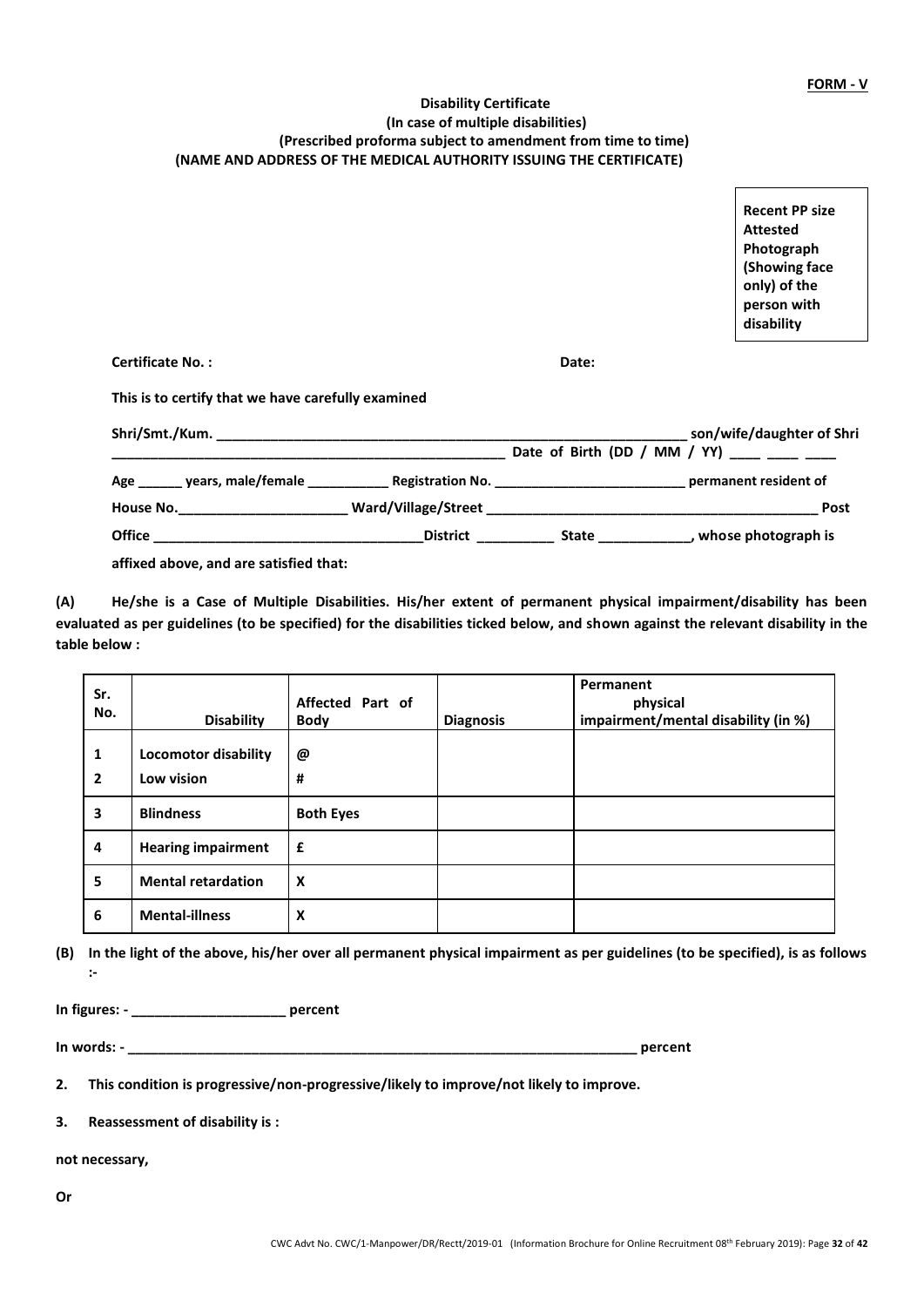### **Disability Certificate (In case of multiple disabilities) (Prescribed proforma subject to amendment from time to time) (NAME AND ADDRESS OF THE MEDICAL AUTHORITY ISSUING THE CERTIFICATE)**

**Recent PP size Attested Photograph (Showing face only) of the person with disability**

**Certificate No. : Date:**

**This is to certify that we have carefully examined**

|                                         |                 |                                           | son/wife/daughter of Shri |  |
|-----------------------------------------|-----------------|-------------------------------------------|---------------------------|--|
|                                         |                 | Date of Birth (DD / MM / YY) ____ ___ ___ |                           |  |
| Age _______ years, male/female ________ |                 |                                           | permanent resident of     |  |
| House No.___________________            |                 |                                           | Post                      |  |
| <b>Office</b>                           | <b>District</b> | <b>State</b>                              | whose photograph is       |  |
|                                         |                 |                                           |                           |  |

**affixed above, and are satisfied that:**

**(A) He/she is a Case of Multiple Disabilities. His/her extent of permanent physical impairment/disability has been evaluated as per guidelines (to be specified) for the disabilities ticked below, and shown against the relevant disability in the table below :**

| Sr.<br>No.              | <b>Disability</b>                         | Affected Part of<br><b>Body</b> | <b>Diagnosis</b> | Permanent<br>physical<br>impairment/mental disability (in %) |
|-------------------------|-------------------------------------------|---------------------------------|------------------|--------------------------------------------------------------|
| 1<br>$\overline{2}$     | <b>Locomotor disability</b><br>Low vision | @<br>#                          |                  |                                                              |
| $\overline{\mathbf{3}}$ | <b>Blindness</b>                          | <b>Both Eyes</b>                |                  |                                                              |
| 4                       | <b>Hearing impairment</b>                 | £                               |                  |                                                              |
| 5                       | <b>Mental retardation</b>                 | X                               |                  |                                                              |
| 6                       | <b>Mental-illness</b>                     | x                               |                  |                                                              |

**(B) In the light of the above, his/her over all permanent physical impairment as per guidelines (to be specified), is as follows :-**

**In figures: - \_\_\_\_\_\_\_\_\_\_\_\_\_\_\_\_\_\_\_\_ percent**

**In words: - \_\_\_\_\_\_\_\_\_\_\_\_\_\_\_\_\_\_\_\_\_\_\_\_\_\_\_\_\_\_\_\_\_\_\_\_\_\_\_\_\_\_\_\_\_\_\_\_\_\_\_\_\_\_\_\_\_\_\_\_\_\_\_\_\_\_ percent**

**2. This condition is progressive/non-progressive/likely to improve/not likely to improve.**

**3. Reassessment of disability is :**

**not necessary,**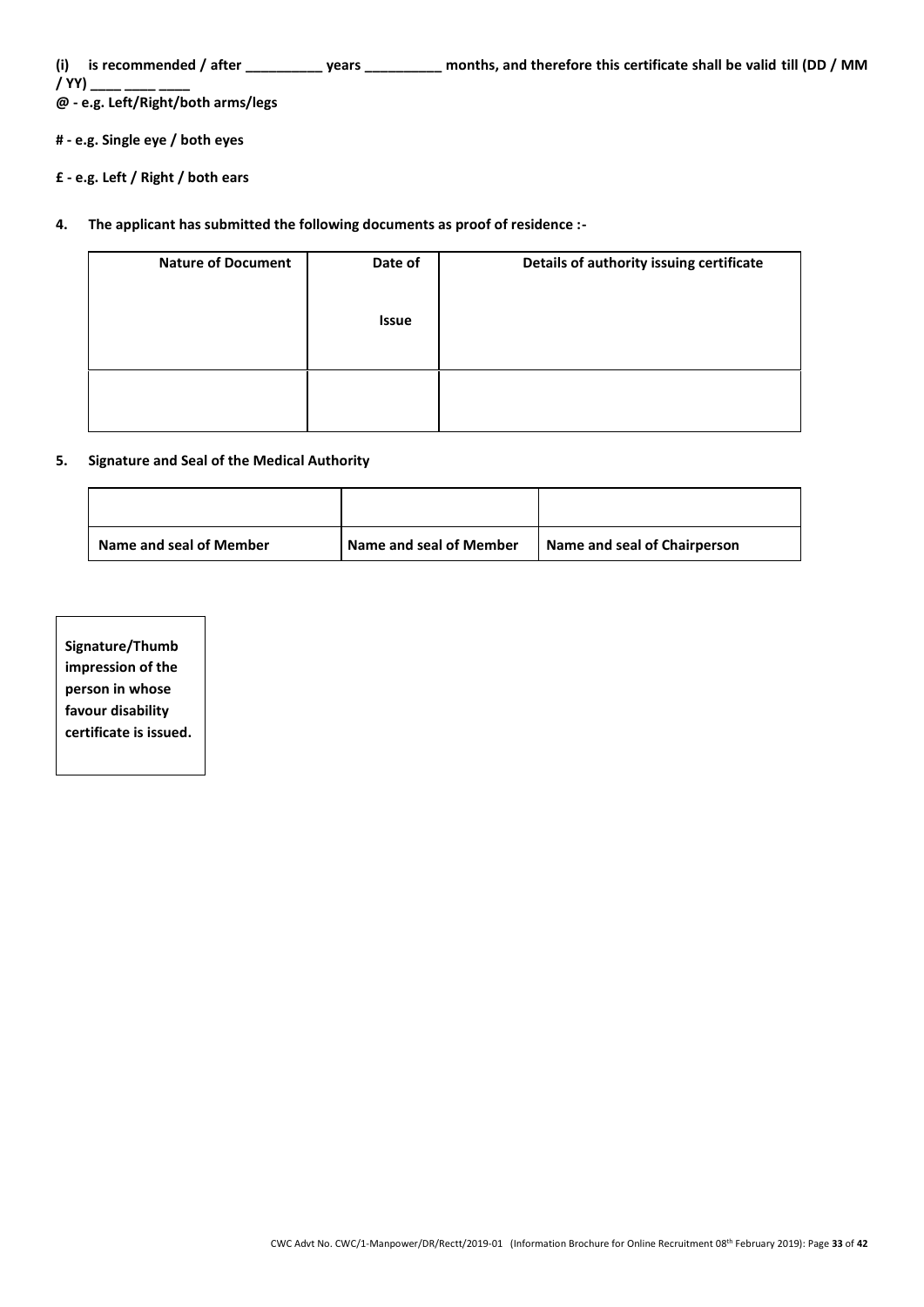**(i) is recommended / after \_\_\_\_\_\_\_\_\_\_ years \_\_\_\_\_\_\_\_\_\_ months, and therefore this certificate shall be valid till (DD / MM** 

**/ YY) \_\_\_\_ \_\_\_\_ \_\_\_\_ @ - e.g. Left/Right/both arms/legs**

- **# - e.g. Single eye / both eyes**
- **£ - e.g. Left / Right / both ears**
- **4. The applicant has submitted the following documents as proof of residence :-**

| <b>Nature of Document</b> | Date of<br><b>Issue</b> | Details of authority issuing certificate |
|---------------------------|-------------------------|------------------------------------------|
|                           |                         |                                          |
|                           |                         |                                          |

#### **5. Signature and Seal of the Medical Authority**

| Name and seal of Member | Name and seal of Member | Name and seal of Chairperson |
|-------------------------|-------------------------|------------------------------|

| Signature/Thumb        |
|------------------------|
| impression of the      |
| person in whose        |
| favour disability      |
| certificate is issued. |
|                        |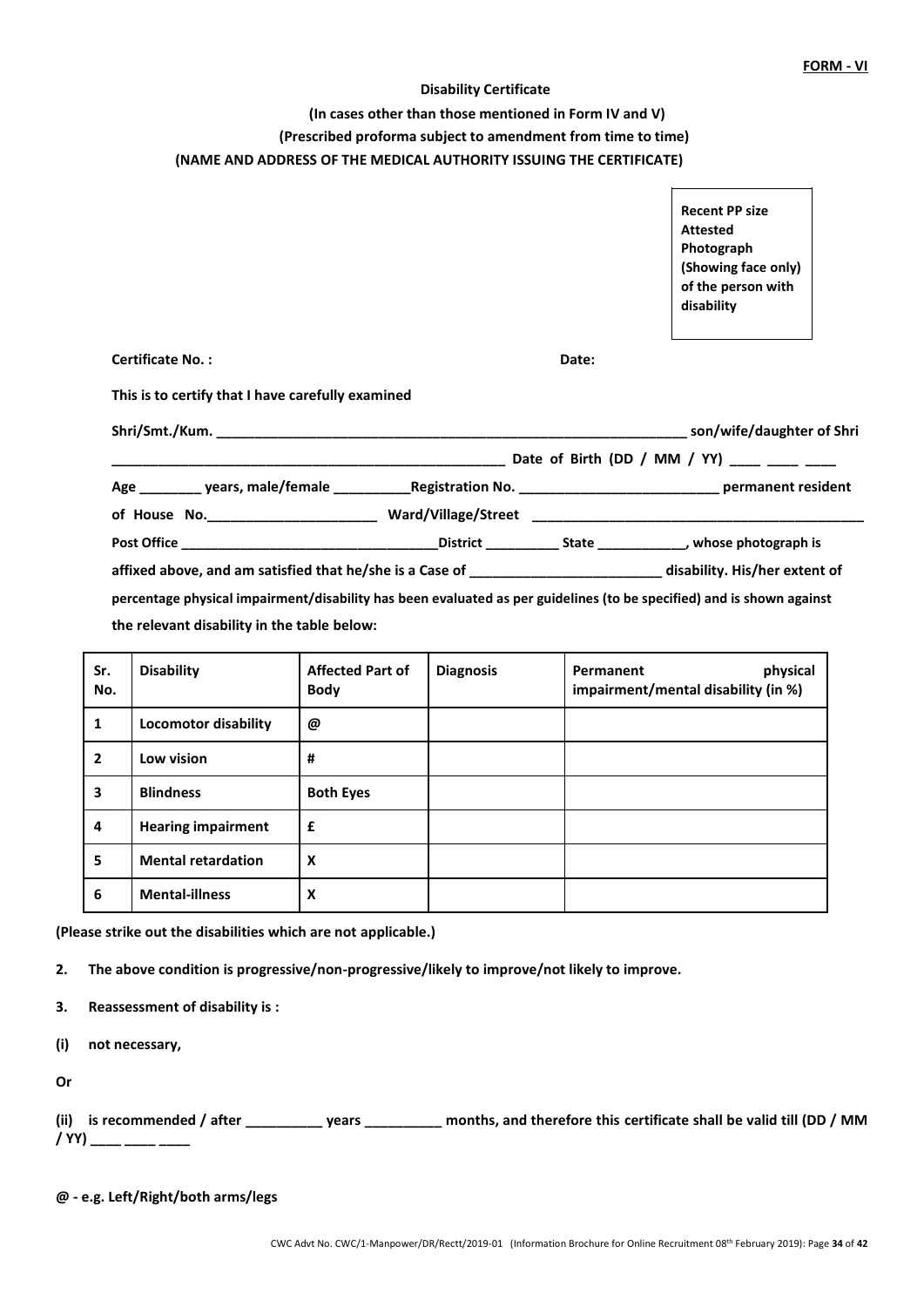#### **Disability Certificate**

**(In cases other than those mentioned in Form IV and V)** 

**(Prescribed proforma subject to amendment from time to time)**

#### **(NAME AND ADDRESS OF THE MEDICAL AUTHORITY ISSUING THE CERTIFICATE)**

|                                                                                                                       |       | <b>Recent PP size</b><br><b>Attested</b> |  |
|-----------------------------------------------------------------------------------------------------------------------|-------|------------------------------------------|--|
|                                                                                                                       |       | Photograph                               |  |
|                                                                                                                       |       | (Showing face only)                      |  |
|                                                                                                                       |       | of the person with                       |  |
|                                                                                                                       |       | disability                               |  |
|                                                                                                                       |       |                                          |  |
| <b>Certificate No.:</b>                                                                                               | Date: |                                          |  |
| This is to certify that I have carefully examined                                                                     |       |                                          |  |
|                                                                                                                       |       |                                          |  |
|                                                                                                                       |       |                                          |  |
|                                                                                                                       |       |                                          |  |
|                                                                                                                       |       |                                          |  |
|                                                                                                                       |       |                                          |  |
| affixed above, and am satisfied that he/she is a Case of ____________________________disability. His/her extent of    |       |                                          |  |
| percentage physical impairment/disability has been evaluated as per guidelines (to be specified) and is shown against |       |                                          |  |
| the relevant disability in the table below:                                                                           |       |                                          |  |
|                                                                                                                       |       |                                          |  |

| Sr.<br>No.              | <b>Disability</b>           | <b>Affected Part of</b><br><b>Body</b> | <b>Diagnosis</b> | physical<br>Permanent<br>impairment/mental disability (in %) |
|-------------------------|-----------------------------|----------------------------------------|------------------|--------------------------------------------------------------|
| 1                       | <b>Locomotor disability</b> | @                                      |                  |                                                              |
| $\overline{2}$          | Low vision                  | #                                      |                  |                                                              |
| $\overline{\mathbf{3}}$ | <b>Blindness</b>            | <b>Both Eyes</b>                       |                  |                                                              |
| 4                       | <b>Hearing impairment</b>   | £                                      |                  |                                                              |
| 5                       | <b>Mental retardation</b>   | X                                      |                  |                                                              |
| 6                       | <b>Mental-illness</b>       | X                                      |                  |                                                              |

**(Please strike out the disabilities which are not applicable.)**

**2. The above condition is progressive/non-progressive/likely to improve/not likely to improve.**

**3. Reassessment of disability is :**

**(i) not necessary,**

**Or**

|             | (ii) is recommended / after | vears | months, and therefore this certificate shall be valid till (DD / MM |  |
|-------------|-----------------------------|-------|---------------------------------------------------------------------|--|
| $/$ YY) $-$ |                             |       |                                                                     |  |

**@ - e.g. Left/Right/both arms/legs**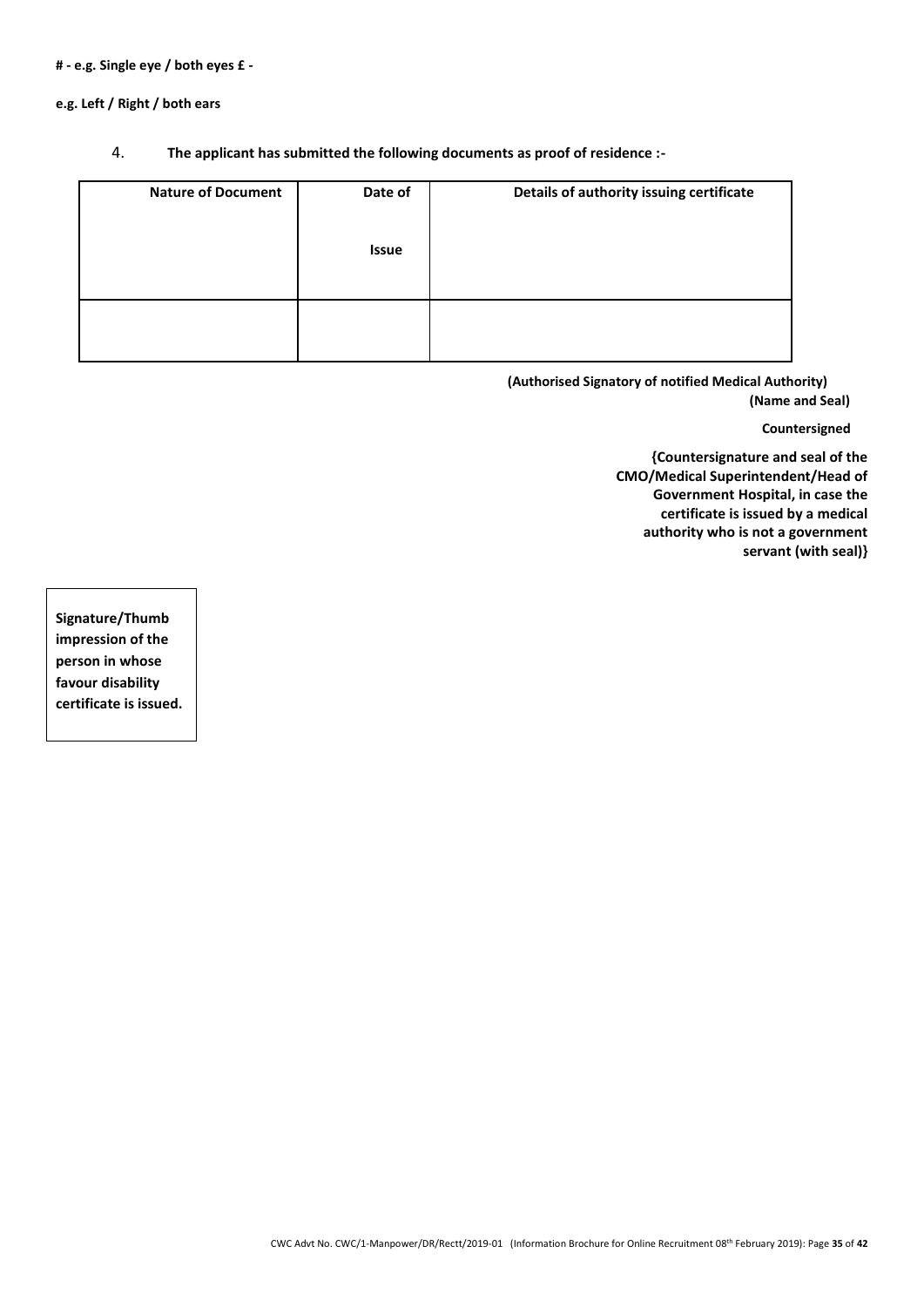#### **# - e.g. Single eye / both eyes £ -**

**e.g. Left / Right / both ears**

#### 4. **The applicant has submitted the following documents as proof of residence :-**

| <b>Nature of Document</b> | Date of      | Details of authority issuing certificate |
|---------------------------|--------------|------------------------------------------|
|                           | <b>Issue</b> |                                          |
|                           |              |                                          |
|                           |              |                                          |
|                           |              |                                          |

**(Authorised Signatory of notified Medical Authority) (Name and Seal)**

#### **Countersigned**

**{Countersignature and seal of the CMO/Medical Superintendent/Head of Government Hospital, in case the certificate is issued by a medical authority who is not a government servant (with seal)}**

**Signature/Thumb impression of the person in whose favour disability certificate is issued.**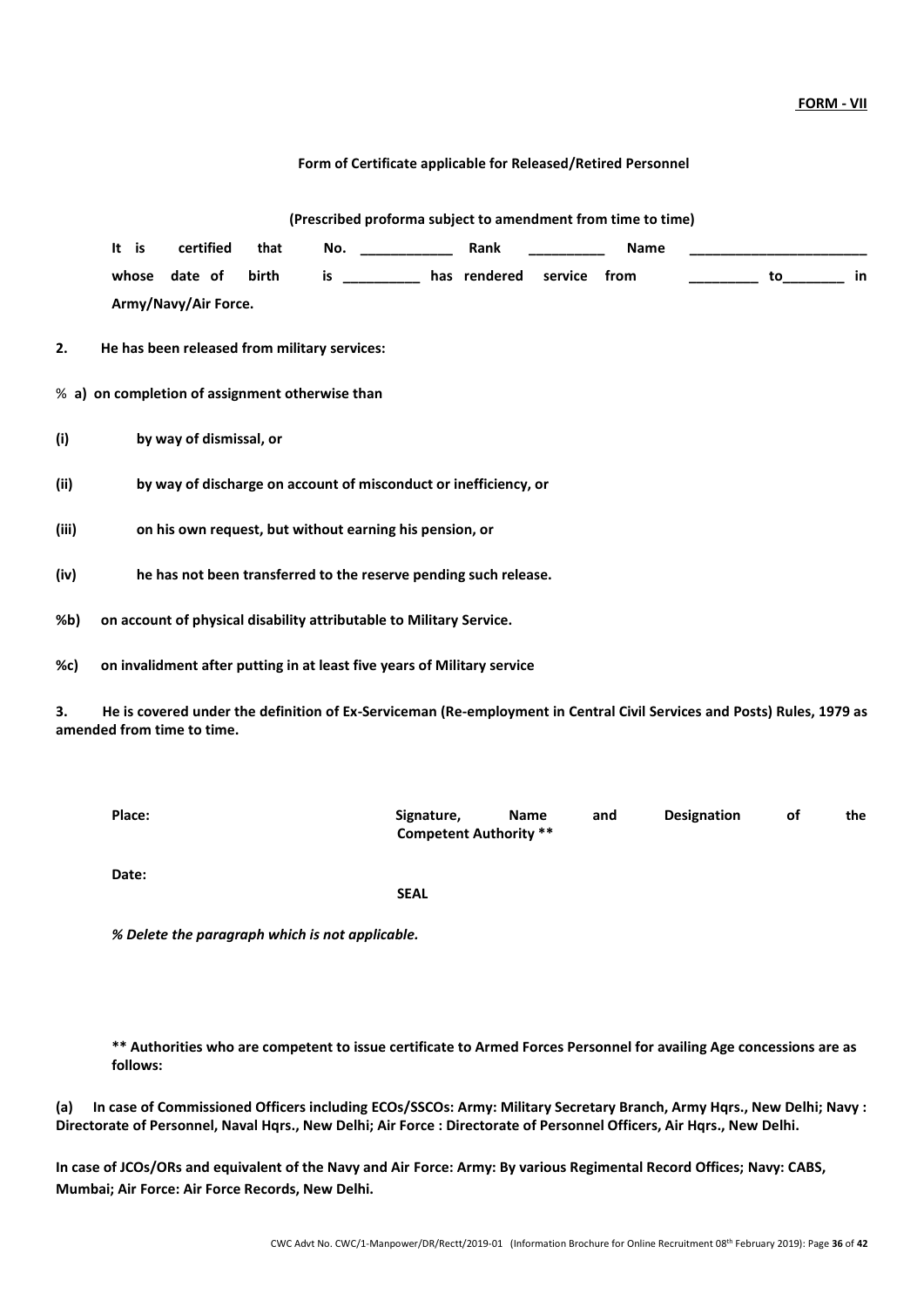#### **FORM - VII**

|  | Form of Certificate applicable for Released/Retired Personnel |  |  |  |  |  |
|--|---------------------------------------------------------------|--|--|--|--|--|
|--|---------------------------------------------------------------|--|--|--|--|--|

|       |       |                         |       |                                                                                                                                                                                                                                |                                          | (Prescribed proforma subject to amendment from time to time) |    |     |
|-------|-------|-------------------------|-------|--------------------------------------------------------------------------------------------------------------------------------------------------------------------------------------------------------------------------------|------------------------------------------|--------------------------------------------------------------|----|-----|
|       | It is | certified               | that  | No. And the contract of the contract of the contract of the contract of the contract of the contract of the contract of the contract of the contract of the contract of the contract of the contract of the contract of the co | Rank                                     | Name                                                         |    |     |
|       | whose | date of                 | birth |                                                                                                                                                                                                                                | is ___________ has rendered service from |                                                              | to | in. |
|       |       | Army/Navy/Air Force.    |       |                                                                                                                                                                                                                                |                                          |                                                              |    |     |
| 2.    |       |                         |       | He has been released from military services:                                                                                                                                                                                   |                                          |                                                              |    |     |
|       |       |                         |       | % a) on completion of assignment otherwise than                                                                                                                                                                                |                                          |                                                              |    |     |
| (i)   |       | by way of dismissal, or |       |                                                                                                                                                                                                                                |                                          |                                                              |    |     |
| (ii)  |       |                         |       | by way of discharge on account of misconduct or inefficiency, or                                                                                                                                                               |                                          |                                                              |    |     |
| (iii) |       |                         |       | on his own request, but without earning his pension, or                                                                                                                                                                        |                                          |                                                              |    |     |
| (iv)  |       |                         |       | he has not been transferred to the reserve pending such release.                                                                                                                                                               |                                          |                                                              |    |     |
| %b)   |       |                         |       | on account of physical disability attributable to Military Service.                                                                                                                                                            |                                          |                                                              |    |     |
| %c)   |       |                         |       | on invalidment after putting in at least five years of Military service                                                                                                                                                        |                                          |                                                              |    |     |

**3. He is covered under the definition of Ex-Serviceman (Re-employment in Central Civil Services and Posts) Rules, 1979 as amended from time to time.**

| Place: | Signature,<br><b>Competent Authority **</b> | Name | and | <b>Designation</b> | οf | the |
|--------|---------------------------------------------|------|-----|--------------------|----|-----|
| Date:  | <b>SEAL</b>                                 |      |     |                    |    |     |

*% Delete the paragraph which is not applicable.*

**\*\* Authorities who are competent to issue certificate to Armed Forces Personnel for availing Age concessions are as follows:**

**(a) In case of Commissioned Officers including ECOs/SSCOs: Army: Military Secretary Branch, Army Hqrs., New Delhi; Navy : Directorate of Personnel, Naval Hqrs., New Delhi; Air Force : Directorate of Personnel Officers, Air Hqrs., New Delhi.**

**In case of JCOs/ORs and equivalent of the Navy and Air Force: Army: By various Regimental Record Offices; Navy: CABS, Mumbai; Air Force: Air Force Records, New Delhi.**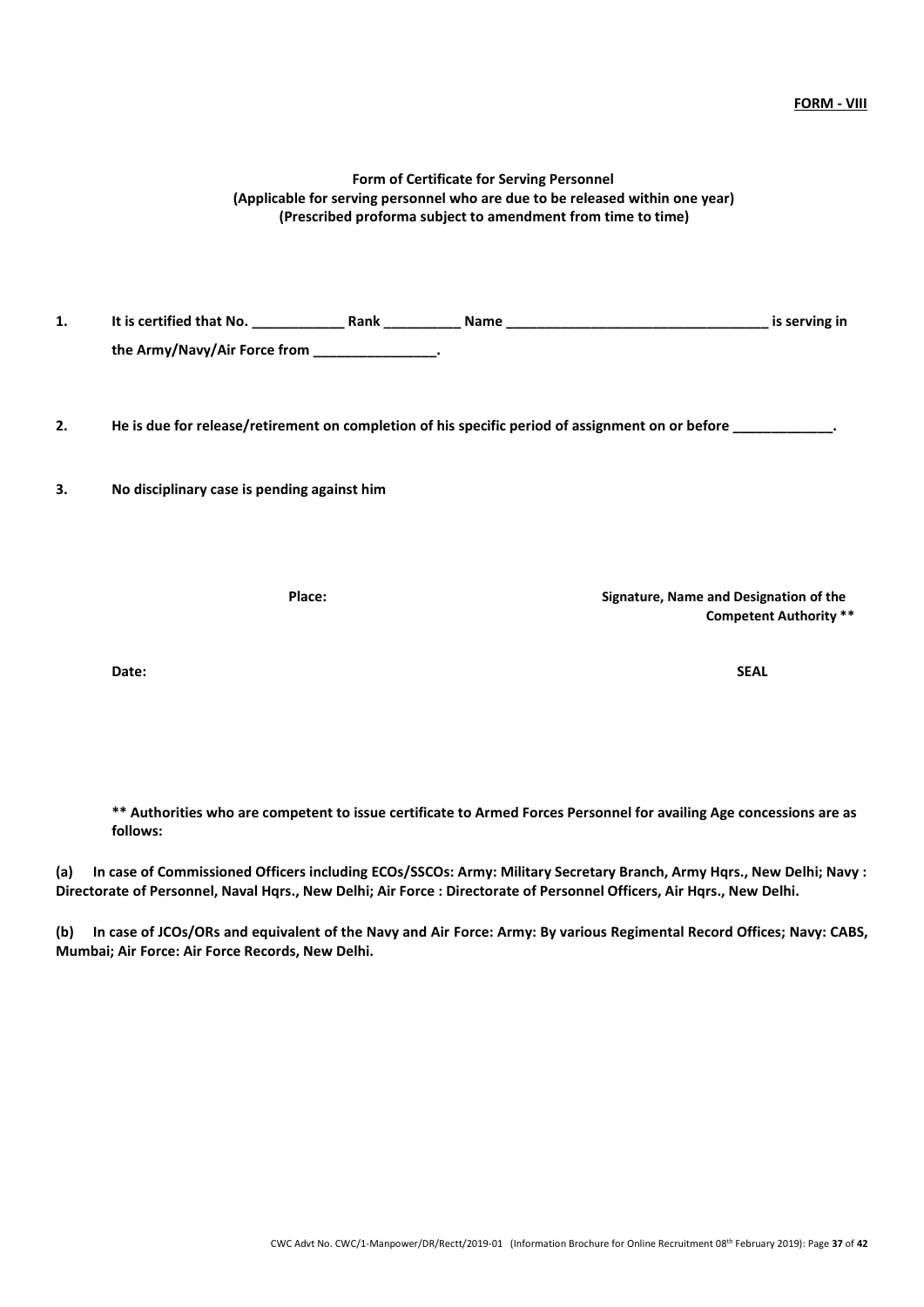## CWC Advt No. CWC/1-Manpower/DR/Rectt/2019-01 (Information Brochure for Online Recruitment 08 th February 2019): Page **37** of **42**

### **Form of Certificate for Serving Personnel (Applicable for serving personnel who are due to be released within one year) (Prescribed proforma subject to amendment from time to time)**

**1. It is certified that No. \_\_\_\_\_\_\_\_\_\_\_\_ Rank \_\_\_\_\_\_\_\_\_\_ Name \_\_\_\_\_\_\_\_\_\_\_\_\_\_\_\_\_\_\_\_\_\_\_\_\_\_\_\_\_\_\_\_\_\_ is serving in the Army/Navy/Air Force from \_\_\_\_\_\_\_\_\_\_\_\_\_\_\_\_.**

**2. He is due for release/retirement on completion of his specific period of assignment on or before \_\_\_\_\_\_\_\_\_\_\_\_\_.**

**3. No disciplinary case is pending against him**

**Place: Signature, Name and Designation of the**

**Date: SEAL**

**\*\* Authorities who are competent to issue certificate to Armed Forces Personnel for availing Age concessions are as follows:**

**(a) In case of Commissioned Officers including ECOs/SSCOs: Army: Military Secretary Branch, Army Hqrs., New Delhi; Navy : Directorate of Personnel, Naval Hqrs., New Delhi; Air Force : Directorate of Personnel Officers, Air Hqrs., New Delhi.**

**(b) In case of JCOs/ORs and equivalent of the Navy and Air Force: Army: By various Regimental Record Offices; Navy: CABS, Mumbai; Air Force: Air Force Records, New Delhi.**

**Competent Authority \*\***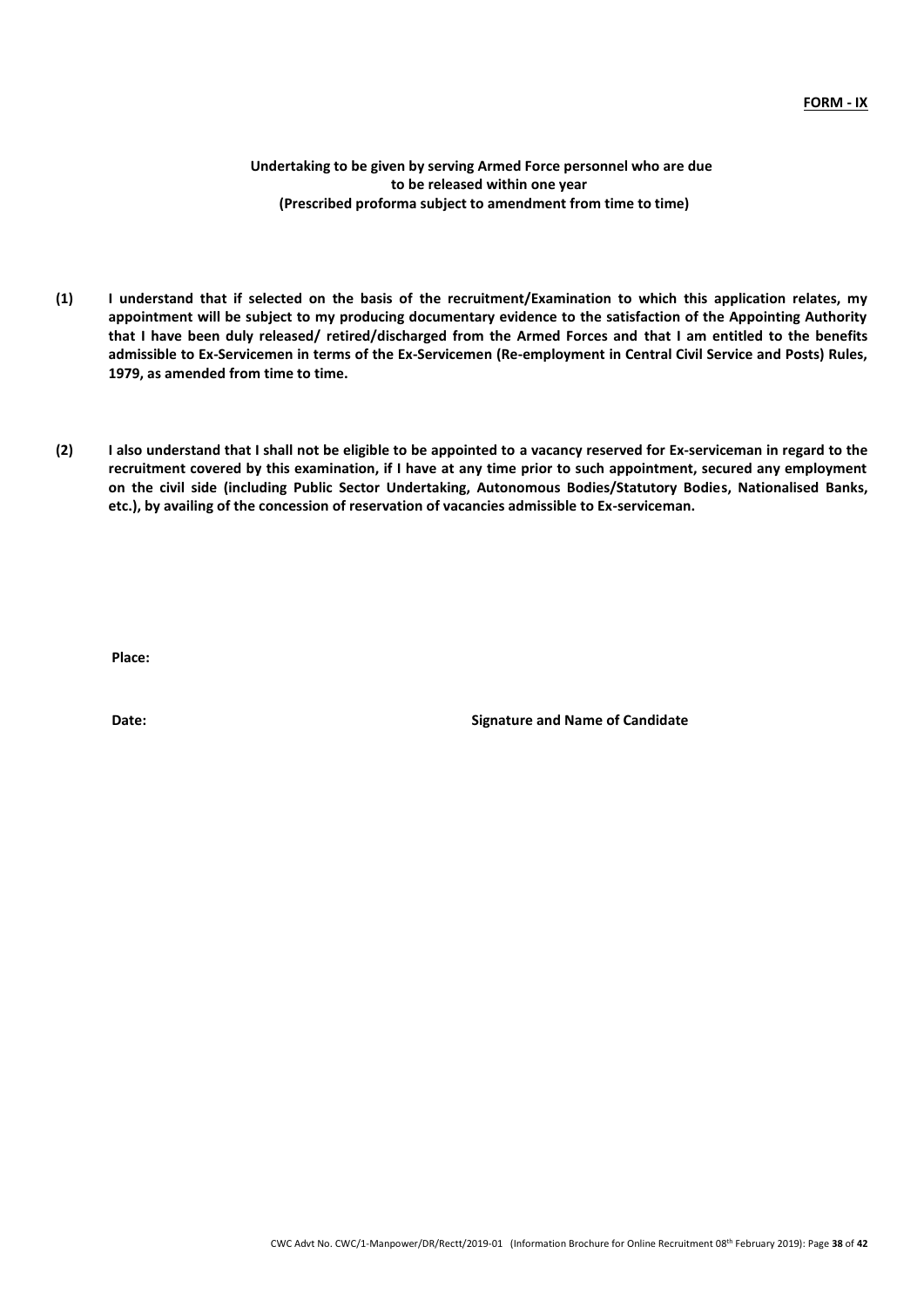**Undertaking to be given by serving Armed Force personnel who are due to be released within one year (Prescribed proforma subject to amendment from time to time)**

- **(1) I understand that if selected on the basis of the recruitment/Examination to which this application relates, my appointment will be subject to my producing documentary evidence to the satisfaction of the Appointing Authority that I have been duly released/ retired/discharged from the Armed Forces and that I am entitled to the benefits admissible to Ex-Servicemen in terms of the Ex-Servicemen (Re-employment in Central Civil Service and Posts) Rules, 1979, as amended from time to time.**
- **(2) I also understand that I shall not be eligible to be appointed to a vacancy reserved for Ex-serviceman in regard to the recruitment covered by this examination, if I have at any time prior to such appointment, secured any employment on the civil side (including Public Sector Undertaking, Autonomous Bodies/Statutory Bodies, Nationalised Banks, etc.), by availing of the concession of reservation of vacancies admissible to Ex-serviceman.**

**Place:**

**Date: Signature and Name of Candidate**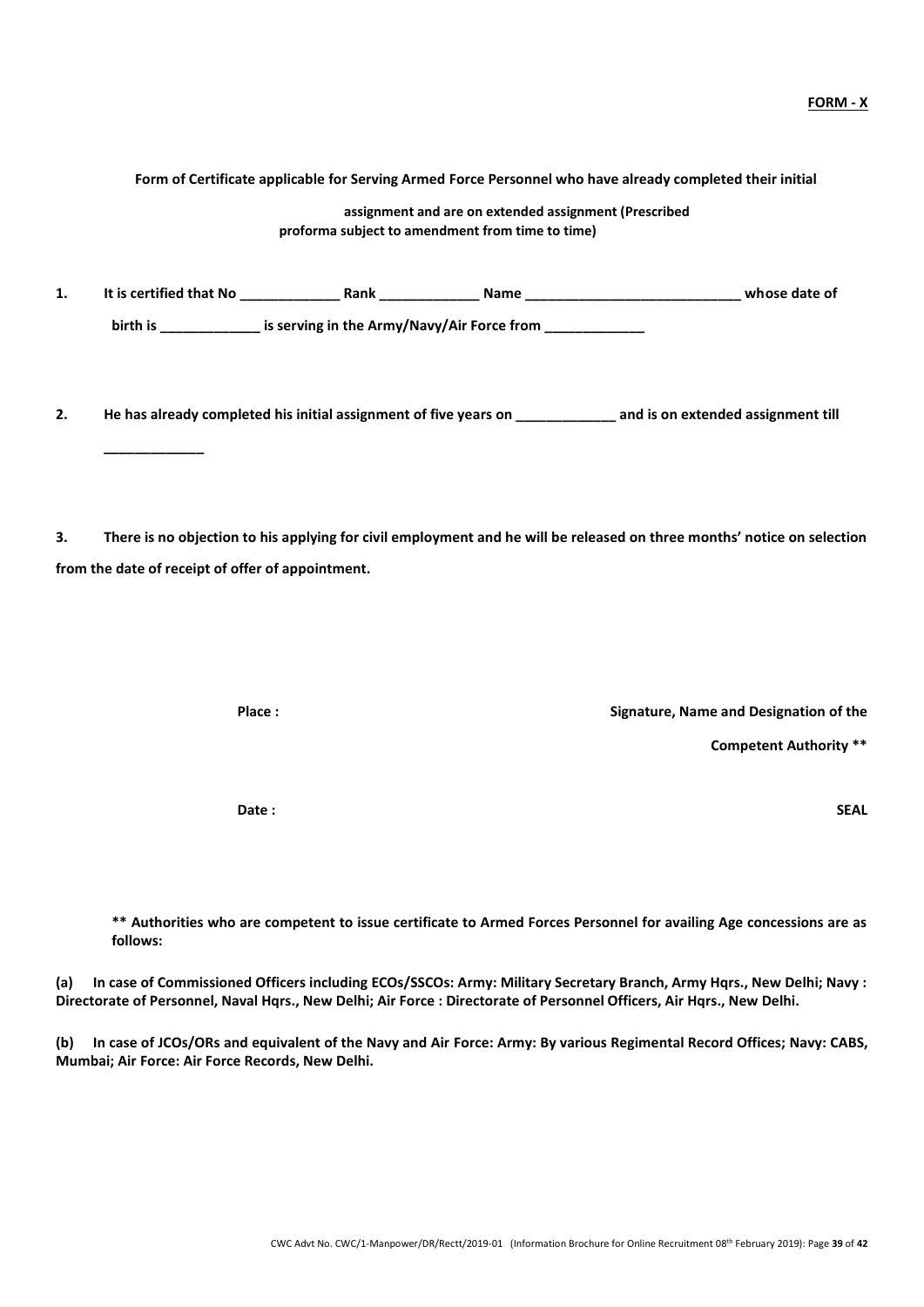|     | assignment and are on extended assignment (Prescribed<br>proforma subject to amendment from time to time)                                                                                                                                       |  |  |                                        |                               |
|-----|-------------------------------------------------------------------------------------------------------------------------------------------------------------------------------------------------------------------------------------------------|--|--|----------------------------------------|-------------------------------|
| 1.  |                                                                                                                                                                                                                                                 |  |  |                                        |                               |
|     | birth is ________________ is serving in the Army/Navy/Air Force from ___________                                                                                                                                                                |  |  |                                        |                               |
| 2.  | He has already completed his initial assignment of five years on ________________ and is on extended assignment till                                                                                                                            |  |  |                                        |                               |
| 3.  | There is no objection to his applying for civil employment and he will be released on three months' notice on selection<br>from the date of receipt of offer of appointment.                                                                    |  |  |                                        |                               |
|     | Place:                                                                                                                                                                                                                                          |  |  | Signature, Name and Designation of the | <b>Competent Authority **</b> |
|     | Date:                                                                                                                                                                                                                                           |  |  |                                        | <b>SEAL</b>                   |
|     | ** Authorities who are competent to issue certificate to Armed Forces Personnel for availing Age concessions are as<br>follows:                                                                                                                 |  |  |                                        |                               |
| (a) | In case of Commissioned Officers including ECOs/SSCOs: Army: Military Secretary Branch, Army Hqrs., New Delhi; Navy :<br>Directorate of Personnel, Naval Hqrs., New Delhi; Air Force : Directorate of Personnel Officers, Air Hqrs., New Delhi. |  |  |                                        |                               |

**(b) In case of JCOs/ORs and equivalent of the Navy and Air Force: Army: By various Regimental Record Offices; Navy: CABS, Mumbai; Air Force: Air Force Records, New Delhi.**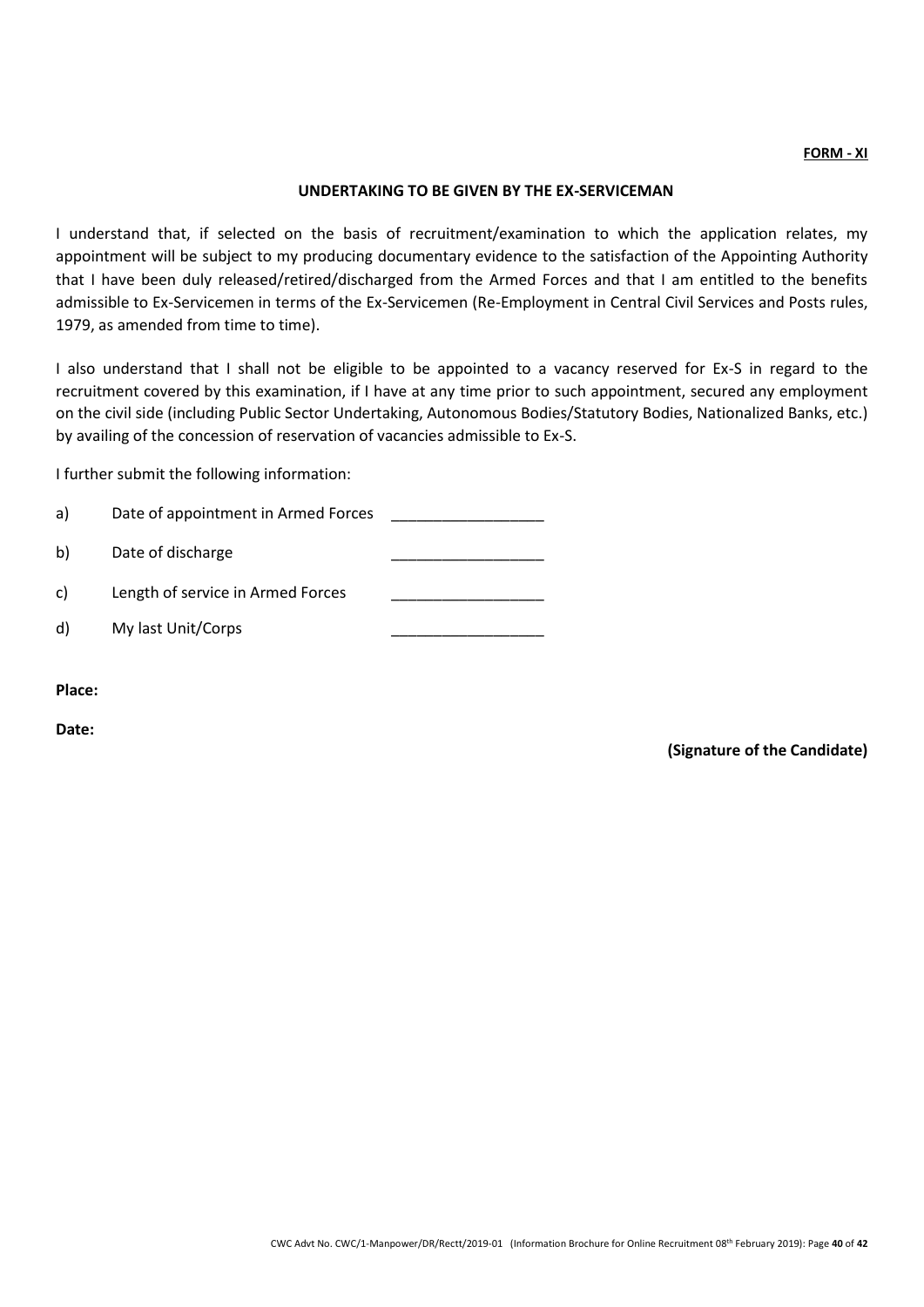#### **FORM - XI**

#### **UNDERTAKING TO BE GIVEN BY THE EX-SERVICEMAN**

I understand that, if selected on the basis of recruitment/examination to which the application relates, my appointment will be subject to my producing documentary evidence to the satisfaction of the Appointing Authority that I have been duly released/retired/discharged from the Armed Forces and that I am entitled to the benefits admissible to Ex-Servicemen in terms of the Ex-Servicemen (Re-Employment in Central Civil Services and Posts rules, 1979, as amended from time to time).

I also understand that I shall not be eligible to be appointed to a vacancy reserved for Ex-S in regard to the recruitment covered by this examination, if I have at any time prior to such appointment, secured any employment on the civil side (including Public Sector Undertaking, Autonomous Bodies/Statutory Bodies, Nationalized Banks, etc.) by availing of the concession of reservation of vacancies admissible to Ex-S.

I further submit the following information:

| a) | Date of appointment in Armed Forces |  |
|----|-------------------------------------|--|
| b) | Date of discharge                   |  |
| C) | Length of service in Armed Forces   |  |
| d) | My last Unit/Corps                  |  |

**Place:**

**Date:** 

**(Signature of the Candidate)**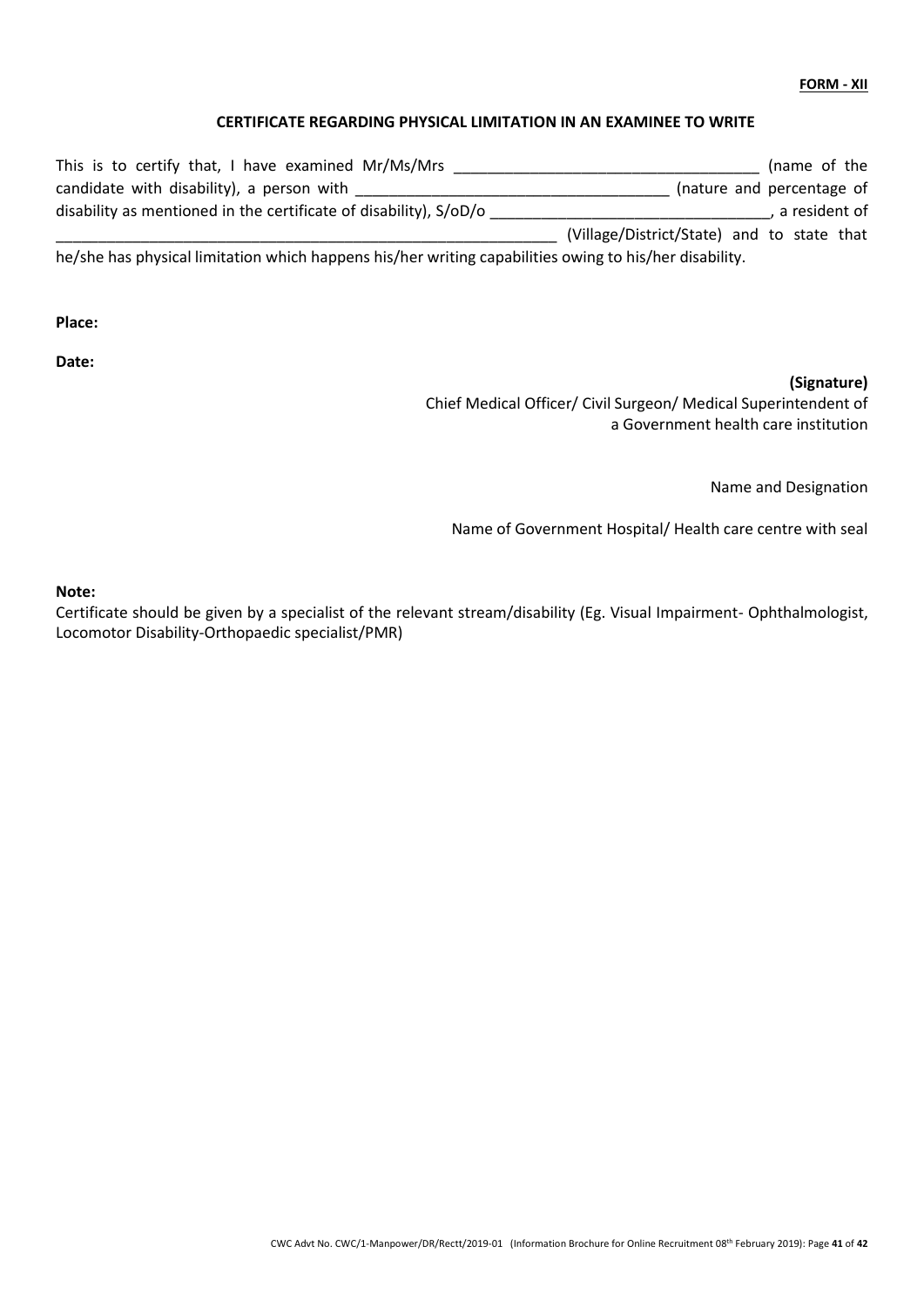#### **FORM - XII**

#### **CERTIFICATE REGARDING PHYSICAL LIMITATION IN AN EXAMINEE TO WRITE**

| This is to certify that, I have examined Mr/Ms/Mrs                                                     | (name of the                               |
|--------------------------------------------------------------------------------------------------------|--------------------------------------------|
| candidate with disability), a person with                                                              | (nature and percentage of                  |
| disability as mentioned in the certificate of disability), S/oD/o                                      | , a resident of                            |
|                                                                                                        | (Village/District/State) and to state that |
| he/she has physical limitation which happens his/her writing capabilities owing to his/her disability. |                                            |

**Place:**

**Date:** 

## **(Signature)**

Chief Medical Officer/ Civil Surgeon/ Medical Superintendent of a Government health care institution

Name and Designation

Name of Government Hospital/ Health care centre with seal

#### **Note:**

Certificate should be given by a specialist of the relevant stream/disability (Eg. Visual Impairment- Ophthalmologist, Locomotor Disability-Orthopaedic specialist/PMR)